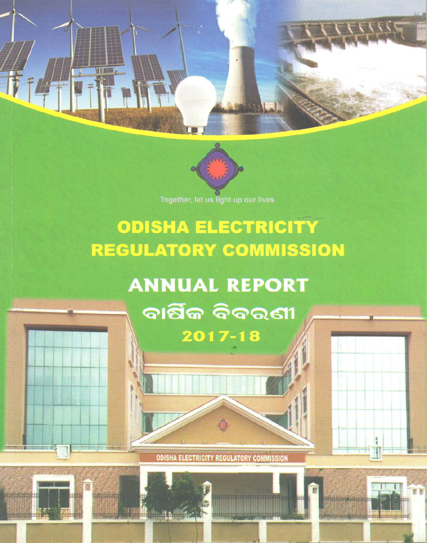



Together, let us light up our lives

## **ODISHA ELECTRICITY REGULATORY COMMISSION**

# **ANNUAL REPORT** ବାର୍ଷିକ ବିବରଣୀ  $2017 - 18$

**ODISHA ELECTRICITY REGULATORY COMMISSION**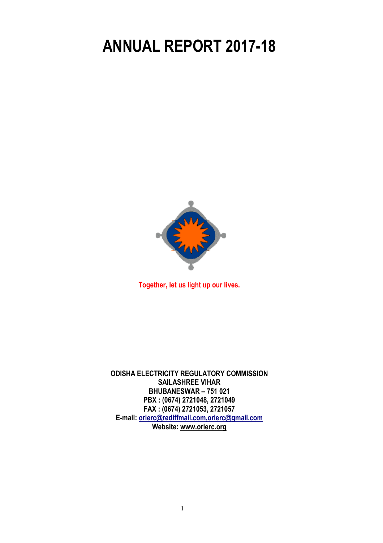## **ANNUAL REPORT 2017-18**



**Together, let us light up our lives.** 

**ODISHA ELECTRICITY REGULATORY COMMISSION SAILASHREE VIHAR BHUBANESWAR 751 021 PBX : (0674) 2721048, 2721049 FAX : (0674) 2721053, 2721057 E-mail: orierc@rediffmail.com,orierc@gmail.com Website: www.orierc.org**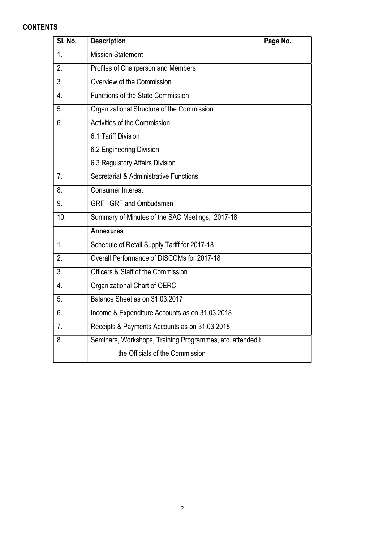### **CONTENTS**

| SI. No.        | <b>Description</b>                                        | Page No. |
|----------------|-----------------------------------------------------------|----------|
| 1.             | <b>Mission Statement</b>                                  |          |
| 2.             | Profiles of Chairperson and Members                       |          |
| 3 <sub>1</sub> | Overview of the Commission                                |          |
| 4.             | Functions of the State Commission                         |          |
| 5.             | Organizational Structure of the Commission                |          |
| 6.             | Activities of the Commission                              |          |
|                | 6.1 Tariff Division                                       |          |
|                | 6.2 Engineering Division                                  |          |
|                | 6.3 Regulatory Affairs Division                           |          |
| 7 <sub>1</sub> | Secretariat & Administrative Functions                    |          |
| 8.             | Consumer Interest                                         |          |
| 9.             | GRF GRF and Ombudsman                                     |          |
| 10.            | Summary of Minutes of the SAC Meetings, 2017-18           |          |
|                | <b>Annexures</b>                                          |          |
| 1.             | Schedule of Retail Supply Tariff for 2017-18              |          |
| 2.             | Overall Performance of DISCOMs for 2017-18                |          |
| 3 <sub>1</sub> | <b>Officers &amp; Staff of the Commission</b>             |          |
| 4.             | Organizational Chart of OERC                              |          |
| 5.             | Balance Sheet as on 31.03.2017                            |          |
| 6.             | Income & Expenditure Accounts as on 31.03.2018            |          |
| 7.             | Receipts & Payments Accounts as on 31.03.2018             |          |
| 8.             | Seminars, Workshops, Training Programmes, etc. attended I |          |
|                | the Officials of the Commission                           |          |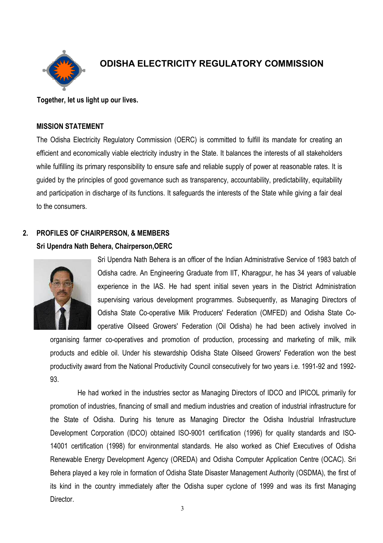

## **ODISHA ELECTRICITY REGULATORY COMMISSION**

 **Together, let us light up our lives.** 

#### **MISSION STATEMENT**

 The Odisha Electricity Regulatory Commission (OERC) is committed to fulfill its mandate for creating an efficient and economically viable electricity industry in the State. It balances the interests of all stakeholders while fulfilling its primary responsibility to ensure safe and reliable supply of power at reasonable rates. It is guided by the principles of good governance such as transparency, accountability, predictability, equitability and participation in discharge of its functions. It safeguards the interests of the State while giving a fair deal to the consumers.

### **2. PROFILES OF CHAIRPERSON, & MEMBERS**

#### **Sri Upendra Nath Behera, Chairperson,OERC**



Sri Upendra Nath Behera is an officer of the Indian Administrative Service of 1983 batch of Odisha cadre. An Engineering Graduate from IIT, Kharagpur, he has 34 years of valuable experience in the IAS. He had spent initial seven years in the District Administration supervising various development programmes. Subsequently, as Managing Directors of Odisha State Co-operative Milk Producers' Federation (OMFED) and Odisha State Cooperative Oilseed Growers' Federation (Oil Odisha) he had been actively involved in

organising farmer co-operatives and promotion of production, processing and marketing of milk, milk products and edible oil. Under his stewardship Odisha State Oilseed Growers' Federation won the best productivity award from the National Productivity Council consecutively for two years i.e. 1991-92 and 1992- 93.

 He had worked in the industries sector as Managing Directors of IDCO and IPICOL primarily for promotion of industries, financing of small and medium industries and creation of industrial infrastructure for the State of Odisha. During his tenure as Managing Director the Odisha Industrial Infrastructure Development Corporation (IDCO) obtained ISO-9001 certification (1996) for quality standards and ISO-14001 certification (1998) for environmental standards. He also worked as Chief Executives of Odisha Renewable Energy Development Agency (OREDA) and Odisha Computer Application Centre (OCAC). Sri Behera played a key role in formation of Odisha State Disaster Management Authority (OSDMA), the first of its kind in the country immediately after the Odisha super cyclone of 1999 and was its first Managing Director.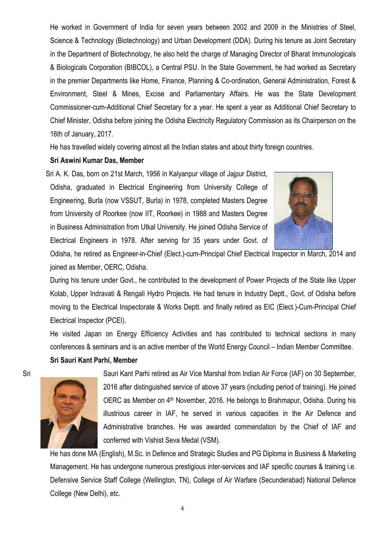He worked in Government of India for seven years between 2002 and 2009 in the Ministries of Steel, Science & Technology (Biotechnology) and Urban Development (DDA). During his tenure as Joint Secretary in the Department of Biotechnology, he also held the charge of Managing Director of Bharat Immunologicals & Biologicals Corporation (BIBCOL), a Central PSU. In the State Government, he had worked as Secretary in the premier Departments like Home, Finance, Planning & Co-ordination, General Administration, Forest & Environment, Steel & Mines, Excise and Parliamentary Affairs. He was the State Development Commissioner-cum-Additional Chief Secretary for a year. He spent a year as Additional Chief Secretary to Chief Minister, Odisha before joining the Odisha Electricity Regulatory Commission as its Chairperson on the 16th of January, 2017.

He has travelled widely covering almost all the Indian states and about thirty foreign countries.

#### **Sri Aswini Kumar Das, Member**

Sri A. K. Das, born on 21st March, 1956 in Kalyanpur village of Jajpur District, Odisha, graduated in Electrical Engineering from University College of Engineering, Burla (now VSSUT, Burla) in 1978, completed Masters Degree from University of Roorkee (now IIT, Roorkee) in 1988 and Masters Degree in Business Administration from Utkal University. He joined Odisha Service of Electrical Engineers in 1978. After serving for 35 years under Govt. of



Odisha, he retired as Engineer-in-Chief (Elect.)-cum-Principal Chief Electrical Inspector in March, 2014 and joined as Member, OERC, Odisha.

 During his tenure under Govt., he contributed to the development of Power Projects of the State like Upper Kolab, Upper Indravati & Rengali Hydro Projects. He had tenure in Industry Deptt., Govt. of Odisha before moving to the Electrical Inspectorate & Works Deptt. and finally retired as EIC (Elect.)-Cum-Principal Chief Electrical Inspector (PCEI).

 He visited Japan on Energy Efficiency Activities and has contributed to technical sections in many conferences & seminars and is an active member of the World Energy Council – Indian Member Committee.

#### **Sri Sauri Kant Parhi, Member**



Sri Sauri Kant Parhi retired as Air Vice Marshal from Indian Air Force (IAF) on 30 September, 2016 after distinguished service of above 37 years (including period of training). He joined OERC as Member on 4th November, 2016. He belongs to Brahmapur, Odisha. During his illustrious career in IAF, he served in various capacities in the Air Defence and Administrative branches. He was awarded commendation by the Chief of IAF and conferred with Vishist Seva Medal (VSM).

 He has done MA (English), M.Sc. in Defence and Strategic Studies and PG Diploma in Business & Marketing Management. He has undergone numerous prestigious inter-services and IAF specific courses & training i.e. Defensive Service Staff College (Wellington, TN), College of Air Warfare (Secunderabad) National Defence College (New Delhi), etc.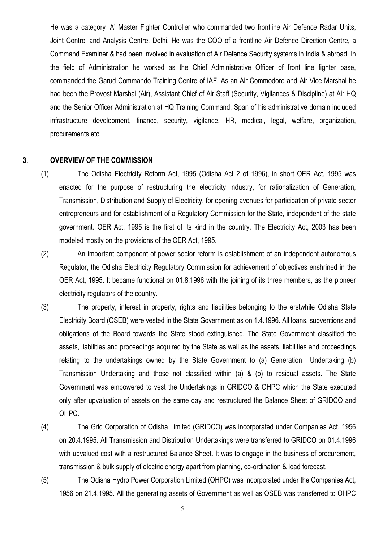He was a category 'A' Master Fighter Controller who commanded two frontline Air Defence Radar Units, Joint Control and Analysis Centre, Delhi. He was the COO of a frontline Air Defence Direction Centre, a Command Examiner & had been involved in evaluation of Air Defence Security systems in India & abroad. In the field of Administration he worked as the Chief Administrative Officer of front line fighter base, commanded the Garud Commando Training Centre of IAF. As an Air Commodore and Air Vice Marshal he had been the Provost Marshal (Air), Assistant Chief of Air Staff (Security, Vigilances & Discipline) at Air HQ and the Senior Officer Administration at HQ Training Command. Span of his administrative domain included infrastructure development, finance, security, vigilance, HR, medical, legal, welfare, organization, procurements etc.

#### **3. OVERVIEW OF THE COMMISSION**

- (1) The Odisha Electricity Reform Act, 1995 (Odisha Act 2 of 1996), in short OER Act, 1995 was enacted for the purpose of restructuring the electricity industry, for rationalization of Generation, Transmission, Distribution and Supply of Electricity, for opening avenues for participation of private sector entrepreneurs and for establishment of a Regulatory Commission for the State, independent of the state government. OER Act, 1995 is the first of its kind in the country. The Electricity Act, 2003 has been modeled mostly on the provisions of the OER Act, 1995.
- (2) An important component of power sector reform is establishment of an independent autonomous Regulator, the Odisha Electricity Regulatory Commission for achievement of objectives enshrined in the OER Act, 1995. It became functional on 01.8.1996 with the joining of its three members, as the pioneer electricity regulators of the country.
- (3) The property, interest in property, rights and liabilities belonging to the erstwhile Odisha State Electricity Board (OSEB) were vested in the State Government as on 1.4.1996. All loans, subventions and obligations of the Board towards the State stood extinguished. The State Government classified the assets, liabilities and proceedings acquired by the State as well as the assets, liabilities and proceedings relating to the undertakings owned by the State Government to (a) Generation Undertaking (b) Transmission Undertaking and those not classified within (a) & (b) to residual assets. The State Government was empowered to vest the Undertakings in GRIDCO & OHPC which the State executed only after upvaluation of assets on the same day and restructured the Balance Sheet of GRIDCO and OHPC.
- 

(4) The Grid Corporation of Odisha Limited (GRIDCO) was incorporated under Companies Act, 1956 on 20.4.1995. All Transmission and Distribution Undertakings were transferred to GRIDCO on 01.4.1996 with upvalued cost with a restructured Balance Sheet. It was to engage in the business of procurement, transmission & bulk supply of electric energy apart from planning, co-ordination & load forecast.

(5) The Odisha Hydro Power Corporation Limited (OHPC) was incorporated under the Companies Act, 1956 on 21.4.1995. All the generating assets of Government as well as OSEB was transferred to OHPC

5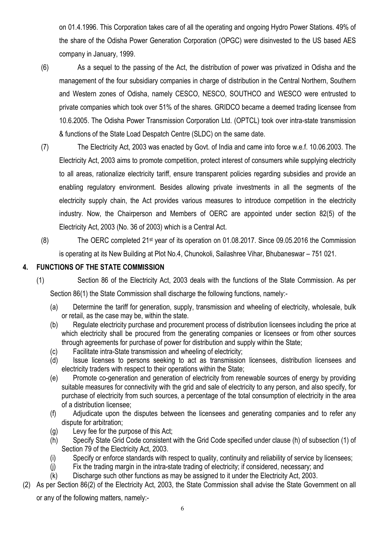on 01.4.1996. This Corporation takes care of all the operating and ongoing Hydro Power Stations. 49% of the share of the Odisha Power Generation Corporation (OPGC) were disinvested to the US based AES company in January, 1999.

(6) As a sequel to the passing of the Act, the distribution of power was privatized in Odisha and the management of the four subsidiary companies in charge of distribution in the Central Northern, Southern and Western zones of Odisha, namely CESCO, NESCO, SOUTHCO and WESCO were entrusted to private companies which took over 51% of the shares. GRIDCO became a deemed trading licensee from 10.6.2005. The Odisha Power Transmission Corporation Ltd. (OPTCL) took over intra-state transmission & functions of the State Load Despatch Centre (SLDC) on the same date.

- (7) The Electricity Act, 2003 was enacted by Govt. of India and came into force w.e.f. 10.06.2003. The Electricity Act, 2003 aims to promote competition, protect interest of consumers while supplying electricity to all areas, rationalize electricity tariff, ensure transparent policies regarding subsidies and provide an enabling regulatory environment. Besides allowing private investments in all the segments of the electricity supply chain, the Act provides various measures to introduce competition in the electricity industry. Now, the Chairperson and Members of OERC are appointed under section 82(5) of the Electricity Act, 2003 (No. 36 of 2003) which is a Central Act.
- (8) The OERC completed 21st year of its operation on 01.08.2017. Since 09.05.2016 the Commission is operating at its New Building at Plot No.4, Chunokoli, Sailashree Vihar, Bhubaneswar - 751 021.

#### **4. FUNCTIONS OF THE STATE COMMISSION**

(1) Section 86 of the Electricity Act, 2003 deals with the functions of the State Commission. As per

Section 86(1) the State Commission shall discharge the following functions, namely:-

- (a) Determine the tariff for generation, supply, transmission and wheeling of electricity, wholesale, bulk or retail, as the case may be, within the state.
- (b) Regulate electricity purchase and procurement process of distribution licensees including the price at which electricity shall be procured from the generating companies or licensees or from other sources through agreements for purchase of power for distribution and supply within the State;
- (c) Facilitate intra-State transmission and wheeling of electricity;
- (d) Issue licenses to persons seeking to act as transmission licensees, distribution licensees and electricity traders with respect to their operations within the State;
- (e) Promote co-generation and generation of electricity from renewable sources of energy by providing suitable measures for connectivity with the grid and sale of electricity to any person, and also specify, for purchase of electricity from such sources, a percentage of the total consumption of electricity in the area of a distribution licensee;
- (f) Adjudicate upon the disputes between the licensees and generating companies and to refer any dispute for arbitration;
- (g) Levy fee for the purpose of this Act;
- (h) Specify State Grid Code consistent with the Grid Code specified under clause (h) of subsection (1) of Section 79 of the Electricity Act, 2003.
- (i) Specify or enforce standards with respect to quality, continuity and reliability of service by licensees;
- (j) Fix the trading margin in the intra-state trading of electricity; if considered, necessary; and
- (k) Discharge such other functions as may be assigned to it under the Electricity Act, 2003.
- (2) As per Section 86(2) of the Electricity Act, 2003, the State Commission shall advise the State Government on all

or any of the following matters, namely:-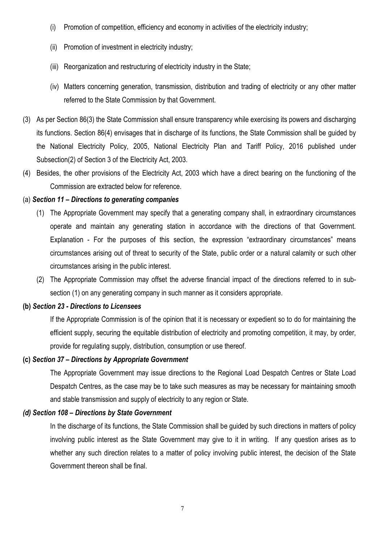- (i) Promotion of competition, efficiency and economy in activities of the electricity industry;
- (ii) Promotion of investment in electricity industry;
- (iii) Reorganization and restructuring of electricity industry in the State;
- (iv) Matters concerning generation, transmission, distribution and trading of electricity or any other matter referred to the State Commission by that Government.
- (3) As per Section 86(3) the State Commission shall ensure transparency while exercising its powers and discharging its functions. Section 86(4) envisages that in discharge of its functions, the State Commission shall be guided by the National Electricity Policy, 2005, National Electricity Plan and Tariff Policy, 2016 published under Subsection(2) of Section 3 of the Electricity Act, 2003.
- (4) Besides, the other provisions of the Electricity Act, 2003 which have a direct bearing on the functioning of the Commission are extracted below for reference.

#### (a) *Section 11 Directions to generating companies*

- (1) The Appropriate Government may specify that a generating company shall, in extraordinary circumstances operate and maintain any generating station in accordance with the directions of that Government. Explanation - For the purposes of this section, the expression "extraordinary circumstances" means circumstances arising out of threat to security of the State, public order or a natural calamity or such other circumstances arising in the public interest.
- (2) The Appropriate Commission may offset the adverse financial impact of the directions referred to in subsection (1) on any generating company in such manner as it considers appropriate.

#### **(b)** *Section 23 - Directions to Licensees*

 If the Appropriate Commission is of the opinion that it is necessary or expedient so to do for maintaining the efficient supply, securing the equitable distribution of electricity and promoting competition, it may, by order, provide for regulating supply, distribution, consumption or use thereof.

#### **(c)** *Section 37 Directions by Appropriate Government*

 The Appropriate Government may issue directions to the Regional Load Despatch Centres or State Load Despatch Centres, as the case may be to take such measures as may be necessary for maintaining smooth and stable transmission and supply of electricity to any region or State.

#### *(d) Section 108 Directions by State Government*

 In the discharge of its functions, the State Commission shall be guided by such directions in matters of policy involving public interest as the State Government may give to it in writing. If any question arises as to whether any such direction relates to a matter of policy involving public interest, the decision of the State Government thereon shall be final.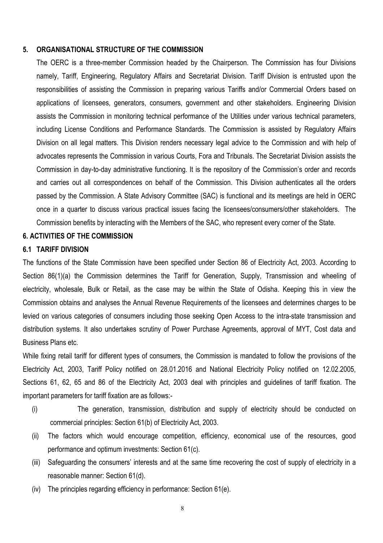#### **5. ORGANISATIONAL STRUCTURE OF THE COMMISSION**

The OERC is a three-member Commission headed by the Chairperson. The Commission has four Divisions namely, Tariff, Engineering, Regulatory Affairs and Secretariat Division. Tariff Division is entrusted upon the responsibilities of assisting the Commission in preparing various Tariffs and/or Commercial Orders based on applications of licensees, generators, consumers, government and other stakeholders. Engineering Division assists the Commission in monitoring technical performance of the Utilities under various technical parameters, including License Conditions and Performance Standards. The Commission is assisted by Regulatory Affairs Division on all legal matters. This Division renders necessary legal advice to the Commission and with help of advocates represents the Commission in various Courts, Fora and Tribunals. The Secretariat Division assists the Commission in day-to-day administrative functioning. It is the repository of the Commission's order and records and carries out all correspondences on behalf of the Commission. This Division authenticates all the orders passed by the Commission. A State Advisory Committee (SAC) is functional and its meetings are held in OERC once in a quarter to discuss various practical issues facing the licensees/consumers/other stakeholders. The Commission benefits by interacting with the Members of the SAC, who represent every corner of the State.

#### **6. ACTIVITIES OF THE COMMISSION**

#### **6.1 TARIFF DIVISION**

The functions of the State Commission have been specified under Section 86 of Electricity Act, 2003. According to Section 86(1)(a) the Commission determines the Tariff for Generation, Supply, Transmission and wheeling of electricity, wholesale, Bulk or Retail, as the case may be within the State of Odisha. Keeping this in view the Commission obtains and analyses the Annual Revenue Requirements of the licensees and determines charges to be levied on various categories of consumers including those seeking Open Access to the intra-state transmission and distribution systems. It also undertakes scrutiny of Power Purchase Agreements, approval of MYT, Cost data and Business Plans etc.

While fixing retail tariff for different types of consumers, the Commission is mandated to follow the provisions of the Electricity Act, 2003, Tariff Policy notified on 28.01.2016 and National Electricity Policy notified on 12.02.2005, Sections 61, 62, 65 and 86 of the Electricity Act, 2003 deal with principles and guidelines of tariff fixation. The important parameters for tariff fixation are as follows:-

- (i) The generation, transmission, distribution and supply of electricity should be conducted on commercial principles: Section 61(b) of Electricity Act, 2003.
- (ii) The factors which would encourage competition, efficiency, economical use of the resources, good performance and optimum investments: Section 61(c).
- (iii) Safeguarding the consumers' interests and at the same time recovering the cost of supply of electricity in a reasonable manner: Section 61(d).
- (iv) The principles regarding efficiency in performance: Section 61(e).

8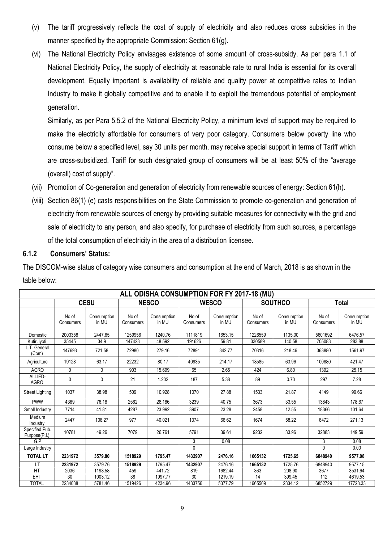- (v) The tariff progressively reflects the cost of supply of electricity and also reduces cross subsidies in the manner specified by the appropriate Commission: Section 61(g).
- (vi) The National Electricity Policy envisages existence of some amount of cross-subsidy. As per para 1.1 of National Electricity Policy, the supply of electricity at reasonable rate to rural India is essential for its overall development. Equally important is availability of reliable and quality power at competitive rates to Indian Industry to make it globally competitive and to enable it to exploit the tremendous potential of employment generation.

Similarly, as per Para 5.5.2 of the National Electricity Policy, a minimum level of support may be required to make the electricity affordable for consumers of very poor category. Consumers below poverty line who consume below a specified level, say 30 units per month, may receive special support in terms of Tariff which are cross-subsidized. Tariff for such designated group of consumers will be at least 50% of the "average" (overall) cost of supply.

- (vii) Promotion of Co-generation and generation of electricity from renewable sources of energy: Section 61(h).
- (viii) Section 86(1) (e) casts responsibilities on the State Commission to promote co-generation and generation of electricity from renewable sources of energy by providing suitable measures for connectivity with the grid and sale of electricity to any person, and also specify, for purchase of electricity from such sources, a percentage of the total consumption of electricity in the area of a distribution licensee.

#### **6.1.2** Consumers' Status:

The DISCOM-wise status of category wise consumers and consumption at the end of March, 2018 is as shown in the table below:

|                                 | ALL ODISHA CONSUMPTION FOR FY 2017-18 (MU) |                      |                    |                      |                    |                      |                    |                      |                    |                      |
|---------------------------------|--------------------------------------------|----------------------|--------------------|----------------------|--------------------|----------------------|--------------------|----------------------|--------------------|----------------------|
|                                 |                                            | <b>CESU</b>          |                    | <b>NESCO</b>         |                    | <b>WESCO</b>         |                    | <b>SOUTHCO</b>       |                    | <b>Total</b>         |
|                                 | No of<br>Consumers                         | Consumption<br>in MU | No of<br>Consumers | Consumption<br>in MU | No of<br>Consumers | Consumption<br>in MU | No of<br>Consumers | Consumption<br>in MU | No of<br>Consumers | Consumption<br>in MU |
| Domestic                        | 2003358                                    | 2447.65              | 1259956            | 1240.76              | 1111819            | 1653.15              | 1226559            | 1135.00              | 5601692            | 6476.57              |
| Kutir Jyoti                     | 35445                                      | 34.9                 | 147423             | 48.592               | 191626             | 59.81                | 330589             | 140.58               | 705083             | 283.88               |
| L.T. General<br>(Com)           | 147693                                     | 721.58               | 72980              | 279.16               | 72891              | 342.77               | 70316              | 218.46               | 363880             | 1561.97              |
| Agriculture                     | 19128                                      | 63.17                | 22232              | 80.17                | 40935              | 214.17               | 18585              | 63.96                | 100880             | 421.47               |
| <b>AGRO</b>                     | $\mathbf{0}$                               | $\mathbf{0}$         | 903                | 15.699               | 65                 | 2.65                 | 424                | 6.80                 | 1392               | 25.15                |
| ALLIED-<br><b>AGRO</b>          | 0                                          | 0                    | 21                 | 1.202                | 187                | 5.38                 | 89                 | 0.70                 | 297                | 7.28                 |
| <b>Street Lighting</b>          | 1037                                       | 38.98                | 509                | 10.928               | 1070               | 27.88                | 1533               | 21.87                | 4149               | 99.66                |
| <b>PWW</b>                      | 4369                                       | 76.18                | 2562               | 28.186               | 3239               | 40.75                | 3673               | 33.55                | 13843              | 178.67               |
| Small Industry                  | 7714                                       | 41.81                | 4287               | 23.992               | 3907               | 23.28                | 2458               | 12.55                | 18366              | 101.64               |
| Medium<br>Industry              | 2447                                       | 106.27               | 977                | 40.021               | 1374               | 66.62                | 1674               | 58.22                | 6472               | 271.13               |
| Specified Pub.<br>Purpose(P.I.) | 10781                                      | 49.26                | 7079               | 26.761               | 5791               | 39.61                | 9232               | 33.96                | 32883              | 149.59               |
| G.P                             |                                            |                      |                    |                      | 3                  | 0.08                 |                    |                      | 3                  | 0.08                 |
| Large Industry                  |                                            |                      |                    |                      | 0                  |                      |                    |                      | $\mathbf{0}$       | 0.00                 |
| <b>TOTAL LT</b>                 | 2231972                                    | 3579.80              | 1518929            | 1795.47              | 1432907            | 2476.16              | 1665132            | 1725.65              | 6848940            | 9577.08              |
| LT                              | 2231972                                    | 3579.76              | 1518929            | 1795.47              | 1432907            | 2476.16              | 1665132            | 1725.76              | 6848940            | 9577.15              |
| HT                              | 2036                                       | 1198.58              | 459                | 441.72               | 819                | 1682.44              | 363                | 208.90               | 3677               | 3531.64              |
| EHT                             | 30                                         | 1003.12              | $\overline{38}$    | 1997.77              | 30                 | 1219.19              | 14                 | 399.45               | 112                | 4619.53              |
| <b>TOTAL</b>                    | 2234038                                    | 5781.46              | 1519426            | 4234.96              | 1433756            | 5377.79              | 1665509            | 2334.12              | 6852729            | 17728.33             |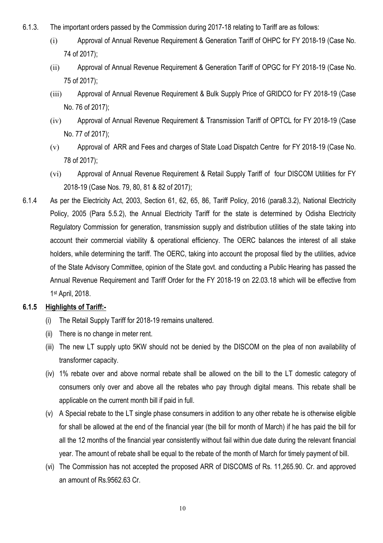- 6.1.3. The important orders passed by the Commission during 2017-18 relating to Tariff are as follows:
	- (i) Approval of Annual Revenue Requirement & Generation Tariff of OHPC for FY 2018-19 (Case No. 74 of 2017);
	- (ii) Approval of Annual Revenue Requirement & Generation Tariff of OPGC for FY 2018-19 (Case No. 75 of 2017);
	- (iii) Approval of Annual Revenue Requirement & Bulk Supply Price of GRIDCO for FY 2018-19 (Case No. 76 of 2017);
	- (iv) Approval of Annual Revenue Requirement & Transmission Tariff of OPTCL for FY 2018-19 (Case No. 77 of 2017);
	- (v) Approval of ARR and Fees and charges of State Load Dispatch Centre for FY 2018-19 (Case No. 78 of 2017);
	- (vi) Approval of Annual Revenue Requirement & Retail Supply Tariff of four DISCOM Utilities for FY 2018-19 (Case Nos. 79, 80, 81 & 82 of 2017);
- 6.1.4 As per the Electricity Act, 2003, Section 61, 62, 65, 86, Tariff Policy, 2016 (para8.3.2), National Electricity Policy, 2005 (Para 5.5.2), the Annual Electricity Tariff for the state is determined by Odisha Electricity Regulatory Commission for generation, transmission supply and distribution utilities of the state taking into account their commercial viability & operational efficiency. The OERC balances the interest of all stake holders, while determining the tariff. The OERC, taking into account the proposal filed by the utilities, advice of the State Advisory Committee, opinion of the State govt. and conducting a Public Hearing has passed the Annual Revenue Requirement and Tariff Order for the FY 2018-19 on 22.03.18 which will be effective from 1st April, 2018.

### **6.1.5 Highlights of Tariff:-**

- (i) The Retail Supply Tariff for 2018-19 remains unaltered.
- (ii) There is no change in meter rent.
- (iii) The new LT supply upto 5KW should not be denied by the DISCOM on the plea of non availability of transformer capacity.
- (iv) 1% rebate over and above normal rebate shall be allowed on the bill to the LT domestic category of consumers only over and above all the rebates who pay through digital means. This rebate shall be applicable on the current month bill if paid in full.
- (v) A Special rebate to the LT single phase consumers in addition to any other rebate he is otherwise eligible for shall be allowed at the end of the financial year (the bill for month of March) if he has paid the bill for all the 12 months of the financial year consistently without fail within due date during the relevant financial year. The amount of rebate shall be equal to the rebate of the month of March for timely payment of bill.
- (vi) The Commission has not accepted the proposed ARR of DISCOMS of Rs. 11,265.90. Cr. and approved an amount of Rs.9562.63 Cr.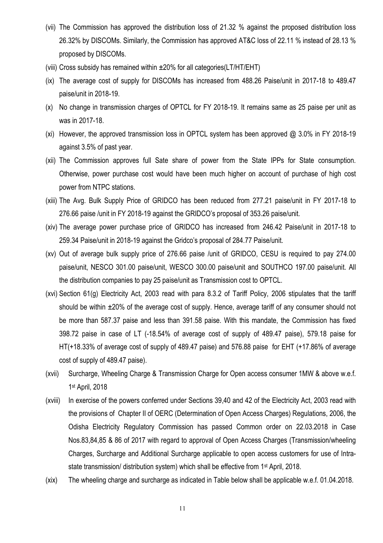- (vii) The Commission has approved the distribution loss of 21.32 % against the proposed distribution loss 26.32% by DISCOMs. Similarly, the Commission has approved AT&C loss of 22.11 % instead of 28.13 % proposed by DISCOMs.
- (viii) Cross subsidy has remained within ±20% for all categories(LT/HT/EHT)
- (ix) The average cost of supply for DISCOMs has increased from 488.26 Paise/unit in 2017-18 to 489.47 paise/unit in 2018-19.
- (x) No change in transmission charges of OPTCL for FY 2018-19. It remains same as 25 paise per unit as was in 2017-18.
- (xi) However, the approved transmission loss in OPTCL system has been approved @ 3.0% in FY 2018-19 against 3.5% of past year.
- (xii) The Commission approves full Sate share of power from the State IPPs for State consumption. Otherwise, power purchase cost would have been much higher on account of purchase of high cost power from NTPC stations.
- (xiii) The Avg. Bulk Supply Price of GRIDCO has been reduced from 277.21 paise/unit in FY 2017-18 to 276.66 paise /unit in FY 2018-19 against the GRIDCO's proposal of 353.26 paise/unit.
- (xiv) The average power purchase price of GRIDCO has increased from 246.42 Paise/unit in 2017-18 to 259.34 Paise/unit in 2018-19 against the Gridco's proposal of 284.77 Paise/unit.
- (xv) Out of average bulk supply price of 276.66 paise /unit of GRIDCO, CESU is required to pay 274.00 paise/unit, NESCO 301.00 paise/unit, WESCO 300.00 paise/unit and SOUTHCO 197.00 paise/unit. All the distribution companies to pay 25 paise/unit as Transmission cost to OPTCL.
- (xvi) Section 61(g) Electricity Act, 2003 read with para 8.3.2 of Tariff Policy, 2006 stipulates that the tariff should be within ±20% of the average cost of supply. Hence, average tariff of any consumer should not be more than 587.37 paise and less than 391.58 paise. With this mandate, the Commission has fixed 398.72 paise in case of LT (-18.54% of average cost of supply of 489.47 paise), 579.18 paise for HT(+18.33% of average cost of supply of 489.47 paise) and 576.88 paise for EHT (+17.86% of average cost of supply of 489.47 paise).
- (xvii) Surcharge, Wheeling Charge & Transmission Charge for Open access consumer 1MW & above w.e.f. 1st April, 2018
- (xviii) In exercise of the powers conferred under Sections 39,40 and 42 of the Electricity Act, 2003 read with the provisions of Chapter II of OERC (Determination of Open Access Charges) Regulations, 2006, the Odisha Electricity Regulatory Commission has passed Common order on 22.03.2018 in Case Nos.83,84,85 & 86 of 2017 with regard to approval of Open Access Charges (Transmission/wheeling Charges, Surcharge and Additional Surcharge applicable to open access customers for use of Intrastate transmission/ distribution system) which shall be effective from 1st April, 2018.
- (xix) The wheeling charge and surcharge as indicated in Table below shall be applicable w.e.f. 01.04.2018.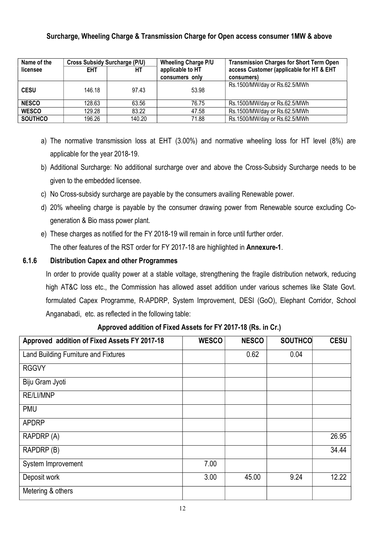### **Surcharge, Wheeling Charge & Transmission Charge for Open access consumer 1MW & above**

| Name of the    | <b>Cross Subsidy Surcharge (P/U)</b> |        | <b>Wheeling Charge P/U</b>         | <b>Transmission Charges for Short Term Open</b>        |  |  |
|----------------|--------------------------------------|--------|------------------------------------|--------------------------------------------------------|--|--|
| licensee       | <b>EHT</b>                           | HТ     | applicable to HT<br>consumers only | access Customer (applicable for HT & EHT<br>consumers) |  |  |
| <b>CESU</b>    | 146.18                               | 97.43  | 53.98                              | Rs.1500/MW/day or Rs.62.5/MWh                          |  |  |
| <b>NESCO</b>   | 128.63                               | 63.56  | 76.75                              | Rs.1500/MW/day or Rs.62.5/MWh                          |  |  |
| <b>WESCO</b>   | 129.28                               | 83.22  | 47.58                              | Rs.1500/MW/day or Rs.62.5/MWh                          |  |  |
| <b>SOUTHCO</b> | 196.26                               | 140.20 | 71.88                              | Rs.1500/MW/day or Rs.62.5/MWh                          |  |  |

- a) The normative transmission loss at EHT (3.00%) and normative wheeling loss for HT level (8%) are applicable for the year 2018-19.
- b) Additional Surcharge: No additional surcharge over and above the Cross-Subsidy Surcharge needs to be given to the embedded licensee.
- c) No Cross-subsidy surcharge are payable by the consumers availing Renewable power.
- d) 20% wheeling charge is payable by the consumer drawing power from Renewable source excluding Cogeneration & Bio mass power plant.
- e) These charges as notified for the FY 2018-19 will remain in force until further order.

The other features of the RST order for FY 2017-18 are highlighted in **Annexure-1**.

### **6.1.6 Distribution Capex and other Programmes**

In order to provide quality power at a stable voltage, strengthening the fragile distribution network, reducing high AT&C loss etc., the Commission has allowed asset addition under various schemes like State Govt. formulated Capex Programme, R-APDRP, System Improvement, DESI (GoO), Elephant Corridor, School Anganabadi, etc. as reflected in the following table:

| Approved addition of Fixed Assets FY 2017-18 | <b>WESCO</b> | <b>NESCO</b> | <b>SOUTHCO</b> | <b>CESU</b> |
|----------------------------------------------|--------------|--------------|----------------|-------------|
| Land Building Furniture and Fixtures         |              | 0.62         | 0.04           |             |
| <b>RGGVY</b>                                 |              |              |                |             |
| Biju Gram Jyoti                              |              |              |                |             |
| <b>RE/LI/MNP</b>                             |              |              |                |             |
| <b>PMU</b>                                   |              |              |                |             |
| <b>APDRP</b>                                 |              |              |                |             |
| RAPDRP (A)                                   |              |              |                | 26.95       |
| RAPDRP (B)                                   |              |              |                | 34.44       |
| System Improvement                           | 7.00         |              |                |             |
| Deposit work                                 | 3.00         | 45.00        | 9.24           | 12.22       |
| Metering & others                            |              |              |                |             |

### **Approved addition of Fixed Assets for FY 2017-18 (Rs. in Cr.)**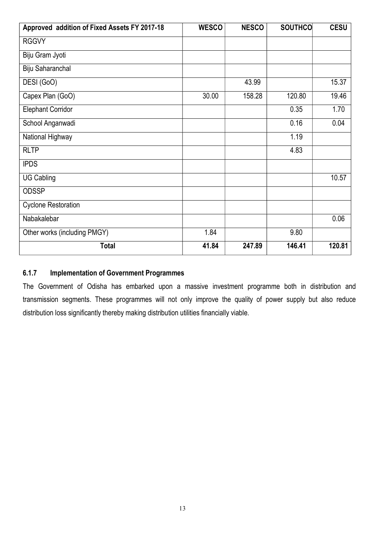| Approved addition of Fixed Assets FY 2017-18 | <b>WESCO</b> | <b>NESCO</b> | <b>SOUTHCO</b> | <b>CESU</b> |
|----------------------------------------------|--------------|--------------|----------------|-------------|
| <b>RGGVY</b>                                 |              |              |                |             |
| Biju Gram Jyoti                              |              |              |                |             |
| Biju Saharanchal                             |              |              |                |             |
| DESI (GoO)                                   |              | 43.99        |                | 15.37       |
| Capex Plan (GoO)                             | 30.00        | 158.28       | 120.80         | 19.46       |
| <b>Elephant Corridor</b>                     |              |              | 0.35           | 1.70        |
| School Anganwadi                             |              |              | 0.16           | 0.04        |
| National Highway                             |              |              | 1.19           |             |
| <b>RLTP</b>                                  |              |              | 4.83           |             |
| <b>IPDS</b>                                  |              |              |                |             |
| <b>UG Cabling</b>                            |              |              |                | 10.57       |
| <b>ODSSP</b>                                 |              |              |                |             |
| <b>Cyclone Restoration</b>                   |              |              |                |             |
| Nabakalebar                                  |              |              |                | 0.06        |
| Other works (including PMGY)                 | 1.84         |              | 9.80           |             |
| <b>Total</b>                                 | 41.84        | 247.89       | 146.41         | 120.81      |

### **6.1.7 Implementation of Government Programmes**

The Government of Odisha has embarked upon a massive investment programme both in distribution and transmission segments. These programmes will not only improve the quality of power supply but also reduce distribution loss significantly thereby making distribution utilities financially viable.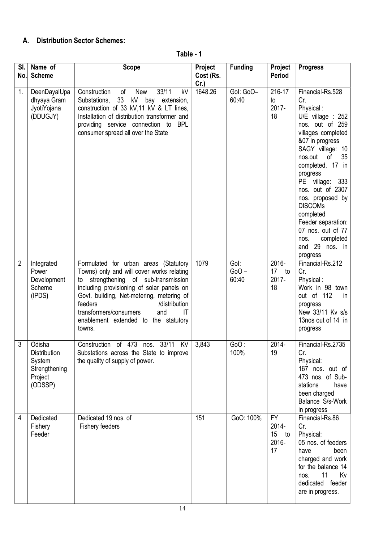### **A. Distribution Sector Schemes:**

| able |  |
|------|--|
|------|--|

| SI.<br>No. | Name of<br><b>Scheme</b>                                                       | <b>Scope</b>                                                                                                                                                                                                                                                                                                                                 | Project<br>Cost (Rs.<br>$Cr.$ ) | <b>Funding</b>           | Project<br><b>Period</b>                      | <b>Progress</b>                                                                                                                                                                                                                                                                                                                                                                                  |
|------------|--------------------------------------------------------------------------------|----------------------------------------------------------------------------------------------------------------------------------------------------------------------------------------------------------------------------------------------------------------------------------------------------------------------------------------------|---------------------------------|--------------------------|-----------------------------------------------|--------------------------------------------------------------------------------------------------------------------------------------------------------------------------------------------------------------------------------------------------------------------------------------------------------------------------------------------------------------------------------------------------|
| 1.         | DeenDayalUpa<br>dhyaya Gram<br>JyotiYojana<br>(DDUGJY)                         | 33/11<br>Construction<br>of<br><b>New</b><br>kV<br>33<br>kV bay extension,<br>Substations,<br>construction of 33 kV,11 kV & LT lines,<br>Installation of distribution transformer and<br>providing service connection to BPL<br>consumer spread all over the State                                                                           | 1648.26                         | Gol: GoO-<br>60:40       | 216-17<br>to<br>2017-<br>18                   | Financial-Rs.528<br>Cr.<br>Physical:<br>$U/E$ village : 252<br>nos. out of 259<br>villages completed<br>&07 in progress<br>SAGY village: 10<br>35<br>οf<br>nos.out<br>completed, 17 in<br>progress<br>PE village:<br>333<br>nos. out of 2307<br>nos. proposed by<br><b>DISCOMs</b><br>completed<br>Feeder separation:<br>07 nos. out of 77<br>completed<br>nos.<br>29 nos. in<br>and<br>progress |
| 2          | Integrated<br>Power<br>Development<br>Scheme<br>(IPDS)                         | Formulated for urban areas (Statutory<br>Towns) only and will cover works relating<br>strengthening of sub-transmission<br>to<br>including provisioning of solar panels on<br>Govt. building, Net-metering, metering of<br>feeders<br>/distribution<br>transformers/consumers<br>and<br>IT<br>enablement extended to the statutory<br>towns. | 1079                            | Gol:<br>$GoO -$<br>60:40 | 2016-<br>17<br>to<br>2017-<br>18              | Financial-Rs.212<br>Cr.<br>Physical:<br>Work in 98 town<br>out of 112<br>in<br>progress<br>New 33/11 Kv s/s<br>13nos out of 14 in<br>progress                                                                                                                                                                                                                                                    |
| 3          | Odisha<br><b>Distribution</b><br>System<br>Strengthening<br>Project<br>(ODSSP) | Construction of 473 nos. 33/11<br>KV<br>Substations across the State to improve<br>the quality of supply of power.                                                                                                                                                                                                                           | 3,843                           | GoO:<br>100%             | 2014-<br>19                                   | Financial-Rs.2735<br>Cr.<br>Physical:<br>167 nos. out of<br>473 nos. of Sub-<br>stations<br>have<br>been charged<br>Balance S/s-Work<br>in progress                                                                                                                                                                                                                                              |
| 4          | Dedicated<br>Fishery<br>Feeder                                                 | Dedicated 19 nos. of<br><b>Fishery feeders</b>                                                                                                                                                                                                                                                                                               | 151                             | GoO: 100%                | <b>FY</b><br>2014-<br>15<br>to<br>2016-<br>17 | Financial-Rs.86<br>Cr.<br>Physical:<br>05 nos. of feeders<br>have<br>been<br>charged and work<br>for the balance 14<br>11<br>Kv<br>nos.<br>dedicated feeder<br>are in progress.                                                                                                                                                                                                                  |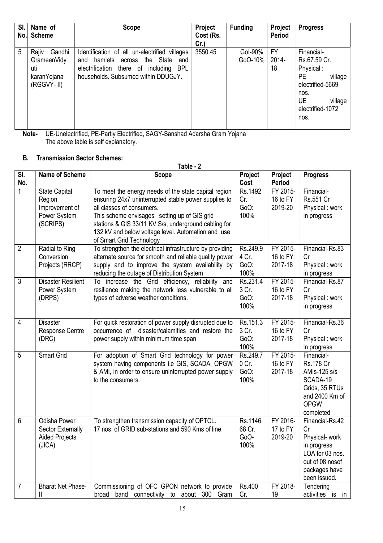| SI.<br>No. | Name of<br><b>Scheme</b>                                           | <b>Scope</b>                                                                                                                                                                      | Project<br>Cost (Rs.<br>Cr.) | <b>Funding</b>     | Project<br><b>Period</b> | <b>Progress</b>                                                                                                                           |
|------------|--------------------------------------------------------------------|-----------------------------------------------------------------------------------------------------------------------------------------------------------------------------------|------------------------------|--------------------|--------------------------|-------------------------------------------------------------------------------------------------------------------------------------------|
| 5          | Rajiv<br>Gandhi<br>GrameenVidy<br>uti<br>karanYojana<br>(RGGVY-II) | Identification of all un-electrified villages<br>hamlets<br>the State<br>across<br>and<br>and<br>electrification there of including<br>BPL<br>households. Subsumed within DDUGJY. | 3550.45                      | Gol-90%<br>GoO-10% | <b>FY</b><br>2014-<br>18 | Financial-<br>Rs.67.59 Cr.<br>Physical:<br>PE.<br>village<br>electrified-5669<br>nos.<br><b>UE</b><br>village<br>electrified-1072<br>nos. |

**Note-** UE-Unelectrified, PE-Partly Electrified, SAGY-Sanshad Adarsha Gram Yojana The above table is self explanatory.

#### **B. Transmission Sector Schemes:**

|                                 |                                                                              | <b>I ANIC - L</b>                                                                                                                                                                                                                                                                                                                   |                                    |                                 |                                                                                                                               |
|---------------------------------|------------------------------------------------------------------------------|-------------------------------------------------------------------------------------------------------------------------------------------------------------------------------------------------------------------------------------------------------------------------------------------------------------------------------------|------------------------------------|---------------------------------|-------------------------------------------------------------------------------------------------------------------------------|
| $\overline{\mathsf{SI}}$<br>No. | <b>Name of Scheme</b>                                                        | <b>Scope</b>                                                                                                                                                                                                                                                                                                                        | Project<br>Cost                    | Project<br><b>Period</b>        | <b>Progress</b>                                                                                                               |
| 1                               | <b>State Capital</b><br>Region<br>Improvement of<br>Power System<br>(SCRIPS) | To meet the energy needs of the state capital region<br>ensuring 24x7 uninterrupted stable power supplies to<br>all classes of consumers.<br>This scheme envisages setting up of GIS grid<br>stations & GIS 33/11 KV S/s, underground cabling for<br>132 kV and below voltage level. Automation and use<br>of Smart Grid Technology | Rs.1492<br>Cr.<br>GoO:<br>100%     | FY 2015-<br>16 to FY<br>2019-20 | Financial-<br>Rs.551 Cr<br>Physical: work<br>in progress                                                                      |
| $\overline{2}$                  | Radial to Ring<br>Conversion<br>Projects (RRCP)                              | To strengthen the electrical infrastructure by providing<br>alternate source for smooth and reliable quality power<br>supply and to improve the system availability by<br>reducing the outage of Distribution System                                                                                                                | Rs.249.9<br>4 Cr.<br>GoO:<br>100%  | FY 2015-<br>16 to FY<br>2017-18 | Financial-Rs.83<br>Cr<br>Physical: work<br>in progress                                                                        |
| 3                               | <b>Disaster Resilient</b><br>Power System<br>(DRPS)                          | To increase the Grid efficiency, reliability and<br>resilience making the network less vulnerable to all<br>types of adverse weather conditions.                                                                                                                                                                                    | Rs.231.4<br>3 Cr.<br>GoO:<br>100%  | FY 2015-<br>16 to FY<br>2017-18 | Financial-Rs.87<br>Cr<br>Physical: work<br>in progress                                                                        |
| $\overline{4}$                  | <b>Disaster</b><br>Response Centre<br>(DRC)                                  | For quick restoration of power supply disrupted due to<br>occurrence of disaster/calamities and restore the<br>power supply within minimum time span                                                                                                                                                                                | Rs.151.3<br>3 Cr.<br>GoO:<br>100%  | FY 2015-<br>16 to FY<br>2017-18 | Financial-Rs.36<br>Cr<br>Physical: work<br>in progress                                                                        |
| 5                               | <b>Smart Grid</b>                                                            | For adoption of Smart Grid technology for power<br>system having components i.e GIS, SCADA, OPGW<br>& AMI, in order to ensure uninterrupted power supply<br>to the consumers.                                                                                                                                                       | Rs.249.7<br>0 Cr.<br>GoO:<br>100%  | FY 2015-<br>16 to FY<br>2017-18 | Financial-<br><b>Rs.178 Cr</b><br>AMIs-125 s/s<br>SCADA-19<br>Grids, 35 RTUs<br>and 2400 Km of<br><b>OPGW</b><br>completed    |
| $6\phantom{1}6$                 | Odisha Power<br><b>Sector Externally</b><br><b>Aided Projects</b><br>(JICA)  | To strengthen transmission capacity of OPTCL.<br>17 nos. of GRID sub-stations and 590 Kms of line.                                                                                                                                                                                                                                  | Rs.1146.<br>68 Cr.<br>GoO-<br>100% | FY 2016-<br>17 to FY<br>2019-20 | Financial-Rs.42<br>Cr<br>Physical- work<br>in progress<br>LOA for 03 nos.<br>out of 08 nosof<br>packages have<br>been issued. |
| $\overline{7}$                  | <b>Bharat Net Phase-</b><br>$\mathbf{  }$                                    | Commissioning of OFC GPON network to provide<br>band connectivity to about 300 Gram<br>broad                                                                                                                                                                                                                                        | Rs.400<br>Cr.                      | FY 2018-<br>19                  | Tendering<br>activities is in                                                                                                 |

#### **Table - 2**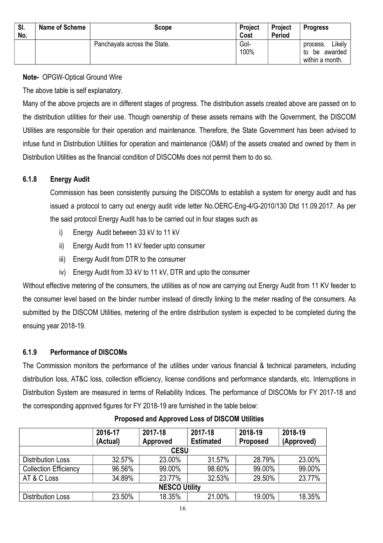| SI.<br>No. | Name of Scheme | Scope                        | <b>Project</b><br>Cost | <b>Project</b><br><b>Period</b> | <b>Progress</b>                                              |
|------------|----------------|------------------------------|------------------------|---------------------------------|--------------------------------------------------------------|
|            |                | Panchayats across the State. | Gol-<br>100%           |                                 | Likely<br>process.<br>awarded<br>be<br>to<br>within a month. |

**Note-** OPGW-Optical Ground Wire

The above table is self explanatory.

Many of the above projects are in different stages of progress. The distribution assets created above are passed on to the distribution utilities for their use. Though ownership of these assets remains with the Government, the DISCOM Utilities are responsible for their operation and maintenance. Therefore, the State Government has been advised to infuse fund in Distribution Utilities for operation and maintenance (O&M) of the assets created and owned by them in Distribution Utilities as the financial condition of DISCOMs does not permit them to do so.

### **6.1.8 Energy Audit**

Commission has been consistently pursuing the DISCOMs to establish a system for energy audit and has issued a protocol to carry out energy audit vide letter No.OERC-Eng-4/G-2010/130 Dtd 11.09.2017. As per the said protocol Energy Audit has to be carried out in four stages such as

- i) Energy Audit between 33 kV to 11 kV
- ii) Energy Audit from 11 kV feeder upto consumer
- iii) Energy Audit from DTR to the consumer
- iv) Energy Audit from 33 kV to 11 kV, DTR and upto the consumer

Without effective metering of the consumers, the utilities as of now are carrying out Energy Audit from 11 KV feeder to the consumer level based on the binder number instead of directly linking to the meter reading of the consumers. As submitted by the DISCOM Utilities, metering of the entire distribution system is expected to be completed during the ensuing year 2018-19.

### **6.1.9 Performance of DISCOMs**

The Commission monitors the performance of the utilities under various financial & technical parameters, including distribution loss, AT&C loss, collection efficiency, license conditions and performance standards, etc. Interruptions in Distribution System are measured in terms of Reliability Indices. The performance of DISCOMs for FY 2017-18 and the corresponding approved figures for FY 2018-19 are furnished in the table below:

|                              | 2016-17<br>(Actual) | 2017-18<br>Approved | 2017-18<br><b>Estimated</b> | 2018-19<br><b>Proposed</b> | 2018-19<br>(Approved) |  |  |  |  |
|------------------------------|---------------------|---------------------|-----------------------------|----------------------------|-----------------------|--|--|--|--|
| <b>CESU</b>                  |                     |                     |                             |                            |                       |  |  |  |  |
| <b>Distribution Loss</b>     | 32.57%              | 23.00%              | 31.57%                      | 28.79%                     | 23.00%                |  |  |  |  |
| <b>Collection Efficiency</b> | 96.56%              | 99.00%              | 98.60%                      | 99.00%                     | 99.00%                |  |  |  |  |
| AT & C Loss                  | 34.89%              | 23.77%              | 32.53%                      | 29.50%                     | 23.77%                |  |  |  |  |
| <b>NESCO Utility</b>         |                     |                     |                             |                            |                       |  |  |  |  |
| <b>Distribution Loss</b>     | 23.50%              | 18.35%              | 21.00%                      | 19.00%                     | 18.35%                |  |  |  |  |

### **Proposed and Approved Loss of DISCOM Utilities**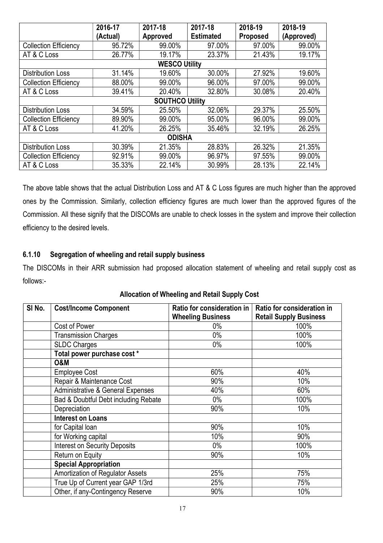|                              | 2016-17       | 2017-18                | 2017-18          | 2018-19         | 2018-19    |  |  |  |  |
|------------------------------|---------------|------------------------|------------------|-----------------|------------|--|--|--|--|
|                              | (Actual)      | Approved               | <b>Estimated</b> | <b>Proposed</b> | (Approved) |  |  |  |  |
| <b>Collection Efficiency</b> | 95.72%        | 99.00%                 | 97.00%           | 97.00%          | 99.00%     |  |  |  |  |
| AT & C Loss                  | 26.77%        | 19.17%                 | 23.37%           | 21.43%          | 19.17%     |  |  |  |  |
|                              |               | <b>WESCO Utility</b>   |                  |                 |            |  |  |  |  |
| <b>Distribution Loss</b>     | 31.14%        | 19.60%                 | 30.00%           | 27.92%          | 19.60%     |  |  |  |  |
| <b>Collection Efficiency</b> | 88.00%        | 99.00%                 | 96.00%           | 97.00%          | 99.00%     |  |  |  |  |
| AT & C Loss                  | 39.41%        | 20.40%                 | 32.80%           | 30.08%          | 20.40%     |  |  |  |  |
|                              |               | <b>SOUTHCO Utility</b> |                  |                 |            |  |  |  |  |
| <b>Distribution Loss</b>     | 34.59%        | 25.50%                 | 32.06%           | 29.37%          | 25.50%     |  |  |  |  |
| <b>Collection Efficiency</b> | 89.90%        | 99.00%                 | 95.00%           | 96.00%          | 99.00%     |  |  |  |  |
| AT & C Loss                  | 41.20%        | 26.25%                 | 35.46%           | 32.19%          | 26.25%     |  |  |  |  |
|                              | <b>ODISHA</b> |                        |                  |                 |            |  |  |  |  |
| <b>Distribution Loss</b>     | 30.39%        | 21.35%                 | 28.83%           | 26.32%          | 21.35%     |  |  |  |  |
| <b>Collection Efficiency</b> | 92.91%        | 99.00%                 | 96.97%           | 97.55%          | 99.00%     |  |  |  |  |
| AT & C Loss                  | 35.33%        | 22.14%                 | 30.99%           | 28.13%          | 22.14%     |  |  |  |  |

The above table shows that the actual Distribution Loss and AT & C Loss figures are much higher than the approved ones by the Commission. Similarly, collection efficiency figures are much lower than the approved figures of the Commission. All these signify that the DISCOMs are unable to check losses in the system and improve their collection efficiency to the desired levels.

### **6.1.10 Segregation of wheeling and retail supply business**

The DISCOMs in their ARR submission had proposed allocation statement of wheeling and retail supply cost as follows:-

| SI No. | <b>Cost/Income Component</b>                 | Ratio for consideration in | Ratio for consideration in    |  |
|--------|----------------------------------------------|----------------------------|-------------------------------|--|
|        |                                              | <b>Wheeling Business</b>   | <b>Retail Supply Business</b> |  |
|        | Cost of Power                                | $0\%$                      | 100%                          |  |
|        | <b>Transmission Charges</b>                  | $0\%$                      | 100%                          |  |
|        | <b>SLDC Charges</b>                          | $0\%$                      | 100%                          |  |
|        | Total power purchase cost *                  |                            |                               |  |
|        | <b>O&amp;M</b>                               |                            |                               |  |
|        | <b>Employee Cost</b>                         | 60%                        | 40%                           |  |
|        | Repair & Maintenance Cost                    | 90%                        | 10%                           |  |
|        | <b>Administrative &amp; General Expenses</b> | 40%                        | 60%                           |  |
|        | Bad & Doubtful Debt including Rebate         | $0\%$                      | 100%                          |  |
|        | Depreciation                                 | 90%                        | 10%                           |  |
|        | <b>Interest on Loans</b>                     |                            |                               |  |
|        | for Capital loan                             | 90%                        | 10%                           |  |
|        | for Working capital                          | 10%                        | 90%                           |  |
|        | <b>Interest on Security Deposits</b>         | $0\%$                      | 100%                          |  |
|        | Return on Equity                             | 90%                        | 10%                           |  |
|        | <b>Special Appropriation</b>                 |                            |                               |  |
|        | Amortization of Regulator Assets             | 25%                        | 75%                           |  |
|        | True Up of Current year GAP 1/3rd            | 25%                        | 75%                           |  |
|        | Other, if any-Contingency Reserve            | 90%                        | 10%                           |  |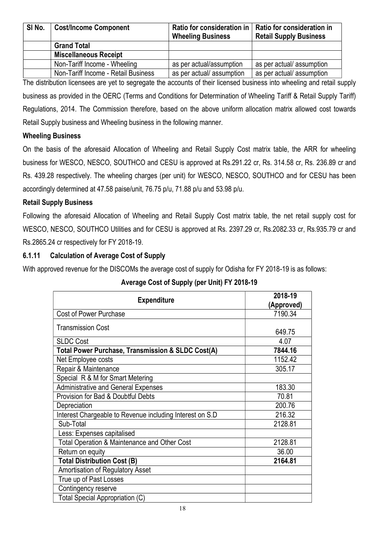| SI No. | <b>Cost/Income Component</b>        | Ratio for consideration in $\vert$ Ratio for consideration in<br><b>Wheeling Business</b> | <b>Retail Supply Business</b> |
|--------|-------------------------------------|-------------------------------------------------------------------------------------------|-------------------------------|
|        | <b>Grand Total</b>                  |                                                                                           |                               |
|        | <b>Miscellaneous Receipt</b>        |                                                                                           |                               |
|        | Non-Tariff Income - Wheeling        | as per actual/assumption                                                                  | as per actual/ assumption     |
|        | Non-Tariff Income - Retail Business | as per actual/ assumption                                                                 | as per actual/ assumption     |

The distribution licensees are yet to segregate the accounts of their licensed business into wheeling and retail supply business as provided in the OERC (Terms and Conditions for Determination of Wheeling Tariff & Retail Supply Tariff) Regulations, 2014. The Commission therefore, based on the above uniform allocation matrix allowed cost towards Retail Supply business and Wheeling business in the following manner.

### **Wheeling Business**

On the basis of the aforesaid Allocation of Wheeling and Retail Supply Cost matrix table, the ARR for wheeling business for WESCO, NESCO, SOUTHCO and CESU is approved at Rs.291.22 cr, Rs. 314.58 cr, Rs. 236.89 cr and Rs. 439.28 respectively. The wheeling charges (per unit) for WESCO, NESCO, SOUTHCO and for CESU has been accordingly determined at 47.58 paise/unit, 76.75 p/u, 71.88 p/u and 53.98 p/u.

### **Retail Supply Business**

Following the aforesaid Allocation of Wheeling and Retail Supply Cost matrix table, the net retail supply cost for WESCO, NESCO, SOUTHCO Utilities and for CESU is approved at Rs. 2397.29 cr, Rs.2082.33 cr, Rs.935.79 cr and Rs.2865.24 cr respectively for FY 2018-19.

### **6.1.11 Calculation of Average Cost of Supply**

With approved revenue for the DISCOMs the average cost of supply for Odisha for FY 2018-19 is as follows:

**Average Cost of Supply (per Unit) FY 2018-19** 

| <b>Expenditure</b>                                       | 2018-19    |  |  |
|----------------------------------------------------------|------------|--|--|
|                                                          | (Approved) |  |  |
| <b>Cost of Power Purchase</b>                            | 7190.34    |  |  |
| <b>Transmission Cost</b>                                 |            |  |  |
|                                                          | 649.75     |  |  |
| <b>SLDC Cost</b>                                         | 4.07       |  |  |
| Total Power Purchase, Transmission & SLDC Cost(A)        | 7844.16    |  |  |
| Net Employee costs                                       | 1152.42    |  |  |
| Repair & Maintenance                                     | 305.17     |  |  |
| Special R & M for Smart Metering                         |            |  |  |
| Administrative and General Expenses                      | 183.30     |  |  |
| Provision for Bad & Doubtful Debts                       | 70.81      |  |  |
| Depreciation                                             | 200.76     |  |  |
| Interest Chargeable to Revenue including Interest on S.D | 216.32     |  |  |
| Sub-Total                                                | 2128.81    |  |  |
| Less: Expenses capitalised                               |            |  |  |
| Total Operation & Maintenance and Other Cost             | 2128.81    |  |  |
| Return on equity                                         | 36.00      |  |  |
| <b>Total Distribution Cost (B)</b>                       | 2164.81    |  |  |
| Amortisation of Regulatory Asset                         |            |  |  |
| True up of Past Losses                                   |            |  |  |
| Contingency reserve                                      |            |  |  |
| <b>Total Special Appropriation (C)</b>                   |            |  |  |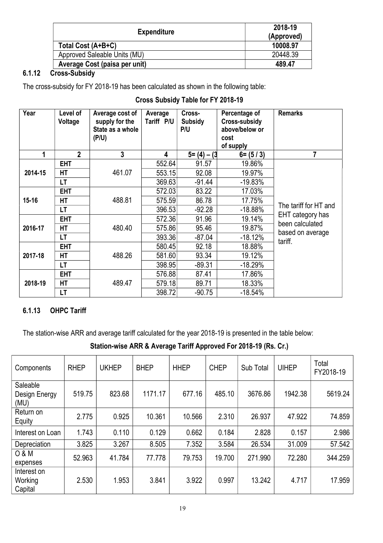| <b>Expenditure</b>            | 2018-19<br>(Approved) |
|-------------------------------|-----------------------|
| Total Cost (A+B+C)            | 10008.97              |
| Approved Saleable Units (MU)  | 20448.39              |
| Average Cost (paisa per unit) | 489.47                |

### **6.1.12 Cross-Subsidy**

The cross-subsidy for FY 2018-19 has been calculated as shown in the following table:

| Year      | Level of<br>Voltage | Average cost of<br>supply for the | Average<br>Tariff P/U | Cross-<br><b>Subsidy</b> | Percentage of<br><b>Cross-subsidy</b> | <b>Remarks</b>                      |
|-----------|---------------------|-----------------------------------|-----------------------|--------------------------|---------------------------------------|-------------------------------------|
|           |                     | State as a whole                  |                       | P/U                      | above/below or                        |                                     |
|           |                     | $($ P/U)                          |                       |                          | cost                                  |                                     |
|           |                     |                                   |                       |                          | of supply                             |                                     |
| 1         | $\overline{2}$      | $\overline{3}$                    | 4                     | $5 = (4) - (3)$          | $6 = (5/3)$                           | 7                                   |
|           | <b>EHT</b>          |                                   | 552.64                | 91.57                    | 19.86%                                |                                     |
| 2014-15   | НT                  | 461.07                            | 553.15                | 92.08                    | 19.97%                                |                                     |
|           | LT                  |                                   | 369.63                | $-91.44$                 | $-19.83%$                             |                                     |
|           | <b>EHT</b>          |                                   | 572.03                | 83.22                    | 17.03%                                |                                     |
| $15 - 16$ | HT                  | 488.81                            | 575.59                | 86.78                    | 17.75%                                |                                     |
|           | LT                  |                                   | 396.53                | $-92.28$                 | $-18.88%$                             | The tariff for HT and               |
|           | <b>EHT</b>          |                                   | 572.36                | 91.96                    | 19.14%                                | EHT category has<br>been calculated |
| 2016-17   | HT                  | 480.40                            | 575.86                | 95.46                    | 19.87%                                |                                     |
|           | LT                  |                                   | 393.36                | $-87.04$                 | $-18.12%$                             | based on average<br>tariff.         |
|           | <b>EHT</b>          |                                   | 580.45                | 92.18                    | 18.88%                                |                                     |
| 2017-18   | HT                  | 488.26                            | 581.60                | 93.34                    | 19.12%                                |                                     |
|           | LT                  |                                   | 398.95                | $-89.31$                 | $-18.29%$                             |                                     |
|           | <b>EHT</b>          |                                   | 576.88                | 87.41                    | 17.86%                                |                                     |
| 2018-19   | HT                  | 489.47                            | 579.18                | 89.71                    | 18.33%                                |                                     |
|           | LT                  |                                   | 398.72                | $-90.75$                 | $-18.54%$                             |                                     |

### **Cross Subsidy Table for FY 2018-19**

### **6.1.13 OHPC Tariff**

The station-wise ARR and average tariff calculated for the year 2018-19 is presented in the table below:

| Components                        | <b>RHEP</b> | <b>UKHEP</b> | <b>BHEP</b> | <b>HHEP</b> | <b>CHEP</b> | Sub Total | <b>UIHEP</b> | Total<br>FY2018-19 |
|-----------------------------------|-------------|--------------|-------------|-------------|-------------|-----------|--------------|--------------------|
| Saleable<br>Design Energy<br>(MU) | 519.75      | 823.68       | 1171.17     | 677.16      | 485.10      | 3676.86   | 1942.38      | 5619.24            |
| Return on<br>Equity               | 2.775       | 0.925        | 10.361      | 10.566      | 2.310       | 26.937    | 47.922       | 74.859             |
| Interest on Loan                  | 1.743       | 0.110        | 0.129       | 0.662       | 0.184       | 2.828     | 0.157        | 2.986              |
| Depreciation                      | 3.825       | 3.267        | 8.505       | 7.352       | 3.584       | 26.534    | 31.009       | 57.542             |
| 0 & M<br>expenses                 | 52.963      | 41.784       | 77.778      | 79.753      | 19.700      | 271.990   | 72.280       | 344.259            |
| Interest on<br>Working<br>Capital | 2.530       | 1.953        | 3.841       | 3.922       | 0.997       | 13.242    | 4.717        | 17.959             |

### **Station-wise ARR & Average Tariff Approved For 2018-19 (Rs. Cr.)**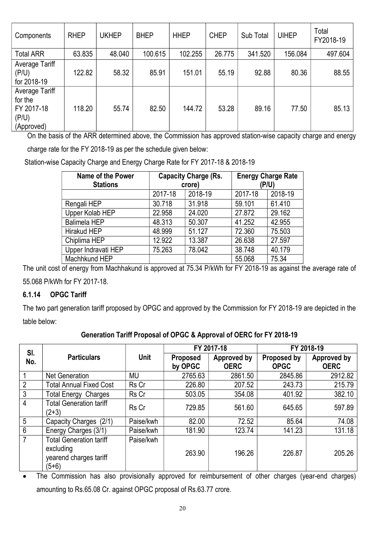| Components                                                            | <b>RHEP</b> | <b>UKHEP</b> | <b>BHEP</b> | <b>HHEP</b> | <b>CHEP</b> | Sub Total | <b>UIHEP</b> | Total<br>FY2018-19 |
|-----------------------------------------------------------------------|-------------|--------------|-------------|-------------|-------------|-----------|--------------|--------------------|
| <b>Total ARR</b>                                                      | 63.835      | 48.040       | 100.615     | 102.255     | 26.775      | 341.520   | 156.084      | 497.604            |
| Average Tariff<br>(P/U)<br>for 2018-19                                | 122.82      | 58.32        | 85.91       | 151.01      | 55.19       | 92.88     | 80.36        | 88.55              |
| <b>Average Tariff</b><br>for the<br>FY 2017-18<br>(P/U)<br>(Approved) | 118.20      | 55.74        | 82.50       | 144.72      | 53.28       | 89.16     | 77.50        | 85.13              |

On the basis of the ARR determined above, the Commission has approved station-wise capacity charge and energy

charge rate for the FY 2018-19 as per the schedule given below:

Station-wise Capacity Charge and Energy Charge Rate for FY 2017-18 & 2018-19

| Name of the Power   |         | <b>Capacity Charge (Rs.</b> |         | <b>Energy Charge Rate</b> |
|---------------------|---------|-----------------------------|---------|---------------------------|
| <b>Stations</b>     |         | crore)                      |         | $($ P/U)                  |
|                     | 2017-18 | 2018-19                     | 2017-18 | 2018-19                   |
| Rengali HEP         | 30.718  | 31.918                      | 59.101  | 61.410                    |
| Upper Kolab HEP     | 22.958  | 24.020                      | 27.872  | 29.162                    |
| <b>Balimela HEP</b> | 48.313  | 50.307                      | 41.252  | 42.955                    |
| Hirakud HEP         | 48.999  | 51.127                      | 72.360  | 75.503                    |
| Chiplima HEP        | 12.922  | 13.387                      | 26.638  | 27.597                    |
| Upper Indravati HEP | 75.263  | 78.042                      | 38.748  | 40.179                    |
| Machhkund HEP       |         |                             | 55.068  | 75.34                     |

The unit cost of energy from Machhakund is approved at 75.34 P/kWh for FY 2018-19 as against the average rate of

55.068 P/kWh for FY 2017-18.

### **6.1.14 OPGC Tariff**

The two part generation tariff proposed by OPGC and approved by the Commission for FY 2018-19 are depicted in the table below:

**Generation Tariff Proposal of OPGC & Approval of OERC for FY 2018-19** 

| SI.            |                                                                                  |             |                            | FY 2017-18                 | FY 2018-19                 |                            |  |
|----------------|----------------------------------------------------------------------------------|-------------|----------------------------|----------------------------|----------------------------|----------------------------|--|
| No.            | <b>Particulars</b>                                                               | <b>Unit</b> | <b>Proposed</b><br>by OPGC | Approved by<br><b>OERC</b> | Proposed by<br><b>OPGC</b> | Approved by<br><b>OERC</b> |  |
|                | Net Generation                                                                   | MU          | 2765.63                    | 2861.50                    | 2845.86                    | 2912.82                    |  |
| $\overline{2}$ | <b>Total Annual Fixed Cost</b>                                                   | Rs Cr       | 226.80                     | 207.52                     | 243.73                     | 215.79                     |  |
| 3              | <b>Total Energy Charges</b>                                                      | Rs Cr       | 503.05                     | 354.08                     | 401.92                     | 382.10                     |  |
| 4              | <b>Total Generation tariff</b><br>$(2+3)$                                        | Rs Cr       | 729.85                     | 561.60                     | 645.65                     | 597.89                     |  |
| 5              | Capacity Charges (2/1)                                                           | Paise/kwh   | 82.00                      | 72.52                      | 85.64                      | 74.08                      |  |
| 6              | Energy Charges (3/1)                                                             | Paise/kwh   | 181.90                     | 123.74                     | 141.23                     | 131.18                     |  |
| 7              | <b>Total Generation tariff</b><br>excluding<br>yearend charges tariff<br>$(5+6)$ | Paise/kwh   | 263.90                     | 196.26                     | 226.87                     | 205.26                     |  |

 The Commission has also provisionally approved for reimbursement of other charges (year-end charges) amounting to Rs.65.08 Cr. against OPGC proposal of Rs.63.77 crore.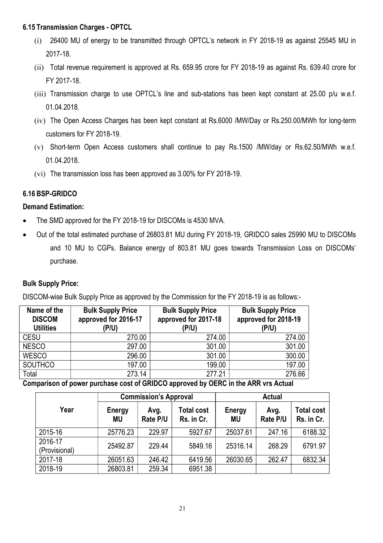### **6.15 Transmission Charges - OPTCL**

- $(i)$  26400 MU of energy to be transmitted through OPTCL's network in FY 2018-19 as against 25545 MU in 2017-18.
- (ii) Total revenue requirement is approved at Rs. 659.95 crore for FY 2018-19 as against Rs. 639.40 crore for FY 2017-18.
- (iii) Transmission charge to use OPTCL's line and sub-stations has been kept constant at 25.00 p/u w.e.f. 01.04.2018.
- (iv) The Open Access Charges has been kept constant at Rs.6000 /MW/Day or Rs.250.00/MWh for long-term customers for FY 2018-19.
- (v) Short-term Open Access customers shall continue to pay Rs.1500 /MW/day or Rs.62.50/MWh w.e.f. 01.04.2018.
- (vi) The transmission loss has been approved as 3.00% for FY 2018-19.

### **6.16 BSP-GRIDCO**

### **Demand Estimation:**

- The SMD approved for the FY 2018-19 for DISCOMs is 4530 MVA.
- Out of the total estimated purchase of 26803.81 MU during FY 2018-19, GRIDCO sales 25990 MU to DISCOMs and 10 MU to CGPs. Balance energy of 803.81 MU goes towards Transmission Loss on DISCOMs purchase.

### **Bulk Supply Price:**

DISCOM-wise Bulk Supply Price as approved by the Commission for the FY 2018-19 is as follows:-

| Name of the<br><b>DISCOM</b><br><b>Utilities</b> | <b>Bulk Supply Price</b><br>approved for 2016-17<br>(P/U) | <b>Bulk Supply Price</b><br>approved for 2017-18<br>(P/U) | <b>Bulk Supply Price</b><br>approved for 2018-19<br>(P/U) |
|--------------------------------------------------|-----------------------------------------------------------|-----------------------------------------------------------|-----------------------------------------------------------|
| <b>CESU</b>                                      | 270.00                                                    | 274.00                                                    | 274.00                                                    |
| <b>NESCO</b>                                     | 297.00                                                    | 301.00                                                    | 301.00                                                    |
| <b>WESCO</b>                                     | 296.00                                                    | 301.00                                                    | 300.00                                                    |
| <b>SOUTHCO</b>                                   | 197.00                                                    | 199.00                                                    | 197.00                                                    |
| Total                                            | 273.14                                                    | 277 21                                                    | 276.66                                                    |

#### **Comparison of power purchase cost of GRIDCO approved by OERC in the ARR vrs Actual**

|                          |                     | <b>Commission's Approval</b> |                                 | <b>Actual</b>       |                  |                                 |
|--------------------------|---------------------|------------------------------|---------------------------------|---------------------|------------------|---------------------------------|
| Year                     | Energy<br><b>MU</b> | Avg.<br>Rate P/U             | <b>Total cost</b><br>Rs. in Cr. | Energy<br><b>MU</b> | Avg.<br>Rate P/U | <b>Total cost</b><br>Rs. in Cr. |
| 2015-16                  | 25776.23            | 229.97                       | 5927.67                         | 25037.61            | 247.16           | 6188.32                         |
| 2016-17<br>(Provisional) | 25492.87            | 229.44                       | 5849.16                         | 25316.14            | 268.29           | 6791.97                         |
| 2017-18                  | 26051.63            | 246.42                       | 6419.56                         | 26030.65            | 262.47           | 6832.34                         |
| 2018-19                  | 26803.81            | 259.34                       | 6951.38                         |                     |                  |                                 |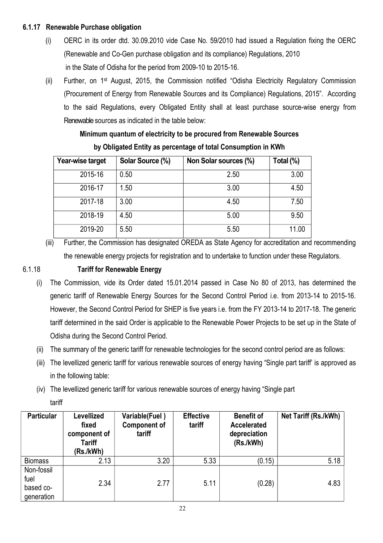### **6.1.17 Renewable Purchase obligation**

- (i) OERC in its order dtd. 30.09.2010 vide Case No. 59/2010 had issued a Regulation fixing the OERC (Renewable and Co-Gen purchase obligation and its compliance) Regulations, 2010 in the State of Odisha for the period from 2009-10 to 2015-16.
- (ii) Further, on 1<sup>st</sup> August, 2015, the Commission notified "Odisha Electricity Regulatory Commission (Procurement of Energy from Renewable Sources and its Compliance) Regulations, 2015. According to the said Regulations, every Obligated Entity shall at least purchase source-wise energy from Renewable sources as indicated in the table below:

### **Minimum quantum of electricity to be procured from Renewable Sources by Obligated Entity as percentage of total Consumption in KWh**

| Year-wise target | Solar Source (%) | Non Solar sources (%) | Total (%) |
|------------------|------------------|-----------------------|-----------|
| 2015-16          | 0.50             | 2.50                  | 3.00      |
| 2016-17          | 1.50             | 3.00                  | 4.50      |
| 2017-18          | 3.00             | 4.50                  | 7.50      |
| 2018-19          | 4.50             | 5.00                  | 9.50      |
| 2019-20          | 5.50             | 5.50                  | 11.00     |

<sup>(</sup>iii) Further, the Commission has designated OREDA as State Agency for accreditation and recommending the renewable energy projects for registration and to undertake to function under these Regulators.

### 6.1.18 **Tariff for Renewable Energy**

- (i) The Commission, vide its Order dated 15.01.2014 passed in Case No 80 of 2013, has determined the generic tariff of Renewable Energy Sources for the Second Control Period i.e. from 2013-14 to 2015-16. However, the Second Control Period for SHEP is five years i.e. from the FY 2013-14 to 2017-18. The generic tariff determined in the said Order is applicable to the Renewable Power Projects to be set up in the State of Odisha during the Second Control Period.
- (ii) The summary of the generic tariff for renewable technologies for the second control period are as follows:
- (iii) The levellized generic tariff for various renewable sources of energy having "Single part tariff' is approved as in the following table:
- $(iv)$  The levellized generic tariff for various renewable sources of energy having "Single part"

| <b>Particular</b>                             | Levellized<br>fixed<br>component of<br>Tariff<br>(Rs./kWh) | Variable(Fuel)<br><b>Component of</b><br>tariff | <b>Effective</b><br>tariff | <b>Benefit of</b><br><b>Accelerated</b><br>depreciation<br>(Rs./kWh) | Net Tariff (Rs./kWh) |
|-----------------------------------------------|------------------------------------------------------------|-------------------------------------------------|----------------------------|----------------------------------------------------------------------|----------------------|
| <b>Biomass</b>                                | 2.13                                                       | 3.20                                            | 5.33                       | (0.15)                                                               | 5.18                 |
| Non-fossil<br>fuel<br>based co-<br>generation | 2.34                                                       | 2.77                                            | 5.11                       | (0.28)                                                               | 4.83                 |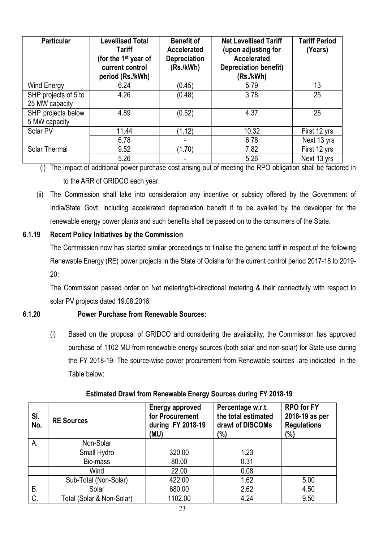| <b>Particular</b>                      | <b>Levellised Total</b><br><b>Tariff</b><br>(for the 1 <sup>st</sup> year of<br>current control<br>period (Rs./kWh) | <b>Benefit of</b><br><b>Accelerated</b><br><b>Depreciation</b><br>(Rs./kWh) | <b>Net Levellised Tariff</b><br>(upon adjusting for<br>Accelerated<br><b>Depreciation benefit)</b><br>(Rs./kWh) | <b>Tariff Period</b><br>(Years) |
|----------------------------------------|---------------------------------------------------------------------------------------------------------------------|-----------------------------------------------------------------------------|-----------------------------------------------------------------------------------------------------------------|---------------------------------|
| Wind Energy                            | 6.24                                                                                                                | (0.45)                                                                      | 5.79                                                                                                            | 13                              |
| SHP projects of 5 to<br>25 MW capacity | 4.26                                                                                                                | (0.48)                                                                      | 3.78                                                                                                            | 25                              |
| SHP projects below<br>5 MW capacity    | 4.89                                                                                                                | (0.52)                                                                      | 4.37                                                                                                            | 25                              |
| Solar PV                               | 11.44                                                                                                               | (1.12)                                                                      | 10.32                                                                                                           | First 12 yrs                    |
|                                        | 6.78                                                                                                                |                                                                             | 6.78                                                                                                            | Next 13 yrs                     |
| Solar Thermal                          | 9.52                                                                                                                | (1.70)                                                                      | 7.82                                                                                                            | First 12 yrs                    |
|                                        | 5.26                                                                                                                |                                                                             | 5.26                                                                                                            | Next 13 yrs                     |

(i) The impact of additional power purchase cost arising out of meeting the RPO obligation shall be factored in to the ARR of GRIDCO each year.

(ii) The Commission shall take into consideration any incentive or subsidy offered by the Government of India/State Govt. including accelerated depreciation benefit if to be availed by the developer for the renewable energy power plants and such benefits shall be passed on to the consumers of the State.

### **6.1.19 Recent Policy Initiatives by the Commission**

 The Commission now has started similar proceedings to finalise the generic tariff in respect of the following Renewable Energy (RE) power projects in the State of Odisha for the current control period 2017-18 to 2019- 20:

 The Commission passed order on Net metering/bi-directional metering & their connectivity with respect to solar PV projects dated 19.08.2016.

### **6.1.20 Power Purchase from Renewable Sources:**

(i) Based on the proposal of GRIDCO and considering the availability, the Commission has approved purchase of 1102 MU from renewable energy sources (both solar and non-solar) for State use during the FY 2018-19. The source-wise power procurement from Renewable sources are indicated in the Table below:

| SI.<br>No. | <b>RE Sources</b>         | <b>Energy approved</b><br>for Procurement<br>during FY 2018-19<br>(MU) | Percentage w.r.t.<br>the total estimated<br>drawl of DISCOMs<br>(%) | <b>RPO for FY</b><br>2018-19 as per<br><b>Regulations</b><br>(%) |
|------------|---------------------------|------------------------------------------------------------------------|---------------------------------------------------------------------|------------------------------------------------------------------|
| Α.         | Non-Solar                 |                                                                        |                                                                     |                                                                  |
|            | Small Hydro               | 320.00                                                                 | 1.23                                                                |                                                                  |
|            | Bio-mass                  | 80.00                                                                  | 0.31                                                                |                                                                  |
|            | Wind                      | 22.00                                                                  | 0.08                                                                |                                                                  |
|            | Sub-Total (Non-Solar)     | 422.00                                                                 | 1.62                                                                | 5.00                                                             |
| <b>B.</b>  | Solar                     | 680.00                                                                 | 2.62                                                                | 4.50                                                             |
| C.         | Total (Solar & Non-Solar) | 1102.00                                                                | 4.24                                                                | 9.50                                                             |

#### **Estimated Drawl from Renewable Energy Sources during FY 2018-19**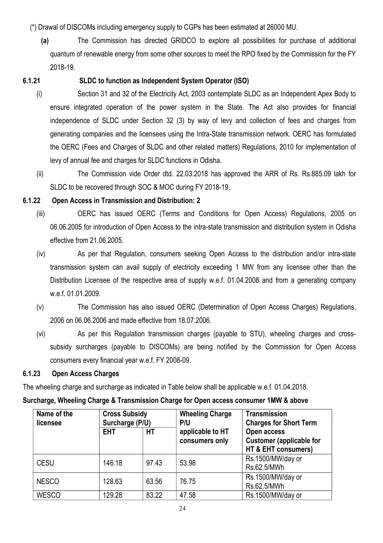- (\*) Drawal of DISCOMs including emergency supply to CGPs has been estimated at 26000 MU.
	- **(a)** The Commission has directed GRIDCO to explore all possibilities for purchase of additional quantum of renewable energy from some other sources to meet the RPO fixed by the Commission for the FY 2018-19.
- 

### **6.1.21 SLDC to function as Independent System Operator (ISO)**

- (i) Section 31 and 32 of the Electricity Act, 2003 contemplate SLDC as an Independent Apex Body to ensure integrated operation of the power system in the State. The Act also provides for financial independence of SLDC under Section 32 (3) by way of levy and collection of fees and charges from generating companies and the licensees using the Intra-State transmission network. OERC has formulated the OERC (Fees and Charges of SLDC and other related matters) Regulations, 2010 for implementation of levy of annual fee and charges for SLDC functions in Odisha.
- (ii) The Commission vide Order dtd. 22.03.2018 has approved the ARR of Rs. Rs.885.09 lakh for SLDC to be recovered through SOC & MOC during FY 2018-19.

#### **6.1.22 Open Access in Transmission and Distribution: 2**

- (iii) OERC has issued OERC (Terms and Conditions for Open Access) Regulations, 2005 on 06.06.2005 for introduction of Open Access to the intra-state transmission and distribution system in Odisha effective from 21.06.2005.
- (iv) As per that Regulation, consumers seeking Open Access to the distribution and/or intra-state transmission system can avail supply of electricity exceeding 1 MW from any licensee other than the Distribution Licensee of the respective area of supply w.e.f. 01.04.2008 and from a generating company w.e.f. 01.01.2009.
- (v) The Commission has also issued OERC (Determination of Open Access Charges) Regulations, 2006 on 06.06.2006 and made effective from 18.07.2006.
- (vi) As per this Regulation transmission charges (payable to STU), wheeling charges and crosssubsidy surcharges (payable to DISCOMs) are being notified by the Commission for Open Access consumers every financial year w.e.f. FY 2008-09.

#### **6.1.23 Open Access Charges**

The wheeling charge and surcharge as indicated in Table below shall be applicable w.e.f. 01.04.2018.

#### **Surcharge, Wheeling Charge & Transmission Charge for Open access consumer 1MW & above**

| Name of the<br>licensee | <b>Cross Subsidy</b><br>Surcharge (P/U) |       | <b>Wheeling Charge</b><br>P/U      | <b>Transmission</b><br><b>Charges for Short Term</b>                  |  |
|-------------------------|-----------------------------------------|-------|------------------------------------|-----------------------------------------------------------------------|--|
|                         | <b>EHT</b>                              | НT    | applicable to HT<br>consumers only | Open access<br><b>Customer (applicable for</b><br>HT & EHT consumers) |  |
| <b>CESU</b>             | 146.18                                  | 97.43 | 53.98                              | Rs.1500/MW/day or<br>Rs.62.5/MWh                                      |  |
| <b>NESCO</b>            | 128.63                                  | 63.56 | 76.75                              | Rs.1500/MW/day or<br>Rs.62.5/MWh                                      |  |
| <b>WESCO</b>            | 129.28                                  | 83.22 | 47.58                              | Rs.1500/MW/day or                                                     |  |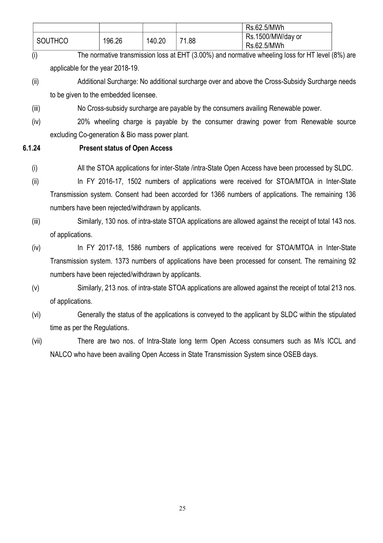|                |        |        |       | Rs.62.5/MWh       |  |
|----------------|--------|--------|-------|-------------------|--|
| <b>SOUTHCO</b> | 196.26 | 140.20 | 71.88 | Rs.1500/MW/day or |  |
|                |        |        |       | Rs.62.5/MWh       |  |

(i) The normative transmission loss at EHT (3.00%) and normative wheeling loss for HT level (8%) are applicable for the year 2018-19.

- (ii) Additional Surcharge: No additional surcharge over and above the Cross-Subsidy Surcharge needs to be given to the embedded licensee.
- (iii) No Cross-subsidy surcharge are payable by the consumers availing Renewable power.
- (iv) 20% wheeling charge is payable by the consumer drawing power from Renewable source excluding Co-generation & Bio mass power plant.

#### **6.1.24 Present status of Open Access**

- (i) All the STOA applications for inter-State /intra-State Open Access have been processed by SLDC.
- (ii) In FY 2016-17, 1502 numbers of applications were received for STOA/MTOA in Inter-State Transmission system. Consent had been accorded for 1366 numbers of applications. The remaining 136 numbers have been rejected/withdrawn by applicants.
- (iii) Similarly, 130 nos. of intra-state STOA applications are allowed against the receipt of total 143 nos. of applications.
- (iv) In FY 2017-18, 1586 numbers of applications were received for STOA/MTOA in Inter-State Transmission system. 1373 numbers of applications have been processed for consent. The remaining 92 numbers have been rejected/withdrawn by applicants.
- (v) Similarly, 213 nos. of intra-state STOA applications are allowed against the receipt of total 213 nos. of applications.
- (vi) Generally the status of the applications is conveyed to the applicant by SLDC within the stipulated time as per the Regulations.
- (vii) There are two nos. of Intra-State long term Open Access consumers such as M/s ICCL and NALCO who have been availing Open Access in State Transmission System since OSEB days.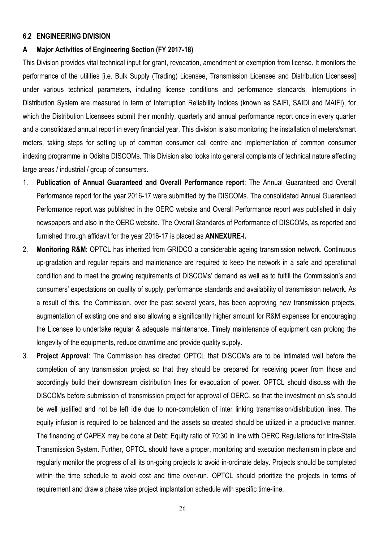#### **6.2 ENGINEERING DIVISION**

#### **A Major Activities of Engineering Section (FY 2017-18)**

This Division provides vital technical input for grant, revocation, amendment or exemption from license. It monitors the performance of the utilities [i.e. Bulk Supply (Trading) Licensee, Transmission Licensee and Distribution Licensees] under various technical parameters, including license conditions and performance standards. Interruptions in Distribution System are measured in term of Interruption Reliability Indices (known as SAIFI, SAIDI and MAIFI), for which the Distribution Licensees submit their monthly, quarterly and annual performance report once in every quarter and a consolidated annual report in every financial year. This division is also monitoring the installation of meters/smart meters, taking steps for setting up of common consumer call centre and implementation of common consumer indexing programme in Odisha DISCOMs. This Division also looks into general complaints of technical nature affecting large areas / industrial / group of consumers.

- 1. **Publication of Annual Guaranteed and Overall Performance report**: The Annual Guaranteed and Overall Performance report for the year 2016-17 were submitted by the DISCOMs. The consolidated Annual Guaranteed Performance report was published in the OERC website and Overall Performance report was published in daily newspapers and also in the OERC website. The Overall Standards of Performance of DISCOMs, as reported and furnished through affidavit for the year 2016-17 is placed as **ANNEXURE-I.**
- 2. **Monitoring R&M**: OPTCL has inherited from GRIDCO a considerable ageing transmission network. Continuous up-gradation and regular repairs and maintenance are required to keep the network in a safe and operational condition and to meet the growing requirements of DISCOMs' demand as well as to fulfill the Commission's and consumers' expectations on quality of supply, performance standards and availability of transmission network. As a result of this, the Commission, over the past several years, has been approving new transmission projects, augmentation of existing one and also allowing a significantly higher amount for R&M expenses for encouraging the Licensee to undertake regular & adequate maintenance. Timely maintenance of equipment can prolong the longevity of the equipments, reduce downtime and provide quality supply.
- 3. **Project Approval**: The Commission has directed OPTCL that DISCOMs are to be intimated well before the completion of any transmission project so that they should be prepared for receiving power from those and accordingly build their downstream distribution lines for evacuation of power. OPTCL should discuss with the DISCOMs before submission of transmission project for approval of OERC, so that the investment on s/s should be well justified and not be left idle due to non-completion of inter linking transmission/distribution lines. The equity infusion is required to be balanced and the assets so created should be utilized in a productive manner. The financing of CAPEX may be done at Debt: Equity ratio of 70:30 in line with OERC Regulations for Intra-State Transmission System. Further, OPTCL should have a proper, monitoring and execution mechanism in place and regularly monitor the progress of all its on-going projects to avoid in-ordinate delay. Projects should be completed within the time schedule to avoid cost and time over-run. OPTCL should prioritize the projects in terms of requirement and draw a phase wise project implantation schedule with specific time-line.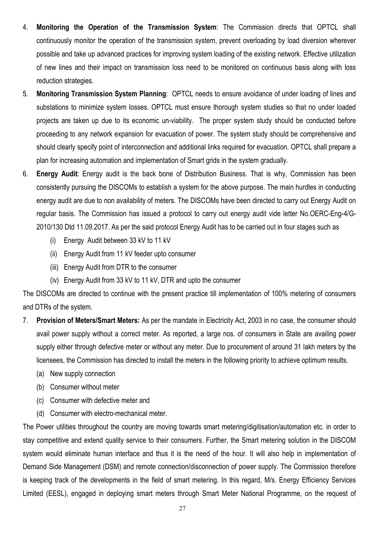- 4. **Monitoring the Operation of the Transmission System**: The Commission directs that OPTCL shall continuously monitor the operation of the transmission system, prevent overloading by load diversion wherever possible and take up advanced practices for improving system loading of the existing network. Effective utilization of new lines and their impact on transmission loss need to be monitored on continuous basis along with loss reduction strategies.
- 5. **Monitoring Transmission System Planning**: OPTCL needs to ensure avoidance of under loading of lines and substations to minimize system losses. OPTCL must ensure thorough system studies so that no under loaded projects are taken up due to its economic un-viability. The proper system study should be conducted before proceeding to any network expansion for evacuation of power. The system study should be comprehensive and should clearly specify point of interconnection and additional links required for evacuation. OPTCL shall prepare a plan for increasing automation and implementation of Smart grids in the system gradually.
- 6. **Energy Audit**: Energy audit is the back bone of Distribution Business. That is why, Commission has been consistently pursuing the DISCOMs to establish a system for the above purpose. The main hurdles in conducting energy audit are due to non availability of meters. The DISCOMs have been directed to carry out Energy Audit on regular basis. The Commission has issued a protocol to carry out energy audit vide letter No.OERC-Eng-4/G-2010/130 Dtd 11.09.2017. As per the said protocol Energy Audit has to be carried out in four stages such as
	- (i) Energy Audit between 33 kV to 11 kV
	- (ii) Energy Audit from 11 kV feeder upto consumer
	- (iii) Energy Audit from DTR to the consumer
	- (iv) Energy Audit from 33 kV to 11 kV, DTR and upto the consumer

The DISCOMs are directed to continue with the present practice till implementation of 100% metering of consumers and DTRs of the system.

- 7. **Provision of Meters/Smart Meters:** As per the mandate in Electricity Act, 2003 in no case, the consumer should avail power supply without a correct meter. As reported, a large nos. of consumers in State are availing power supply either through defective meter or without any meter. Due to procurement of around 31 lakh meters by the licensees, the Commission has directed to install the meters in the following priority to achieve optimum results.
	- (a) New supply connection
	- (b) Consumer without meter
	- (c) Consumer with defective meter and
	- (d) Consumer with electro-mechanical meter.

The Power utilities throughout the country are moving towards smart metering/digitisation/automation etc. in order to stay competitive and extend quality service to their consumers. Further, the Smart metering solution in the DISCOM system would eliminate human interface and thus it is the need of the hour. It will also help in implementation of Demand Side Management (DSM) and remote connection/disconnection of power supply. The Commission therefore is keeping track of the developments in the field of smart metering. In this regard, M/s. Energy Efficiency Services Limited (EESL), engaged in deploying smart meters through Smart Meter National Programme, on the request of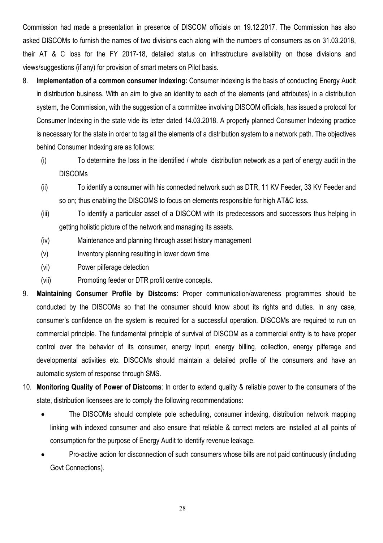Commission had made a presentation in presence of DISCOM officials on 19.12.2017. The Commission has also asked DISCOMs to furnish the names of two divisions each along with the numbers of consumers as on 31.03.2018, their AT & C loss for the FY 2017-18, detailed status on infrastructure availability on those divisions and views/suggestions (if any) for provision of smart meters on Pilot basis.

- 8. **Implementation of a common consumer indexing:** Consumer indexing is the basis of conducting Energy Audit in distribution business. With an aim to give an identity to each of the elements (and attributes) in a distribution system, the Commission, with the suggestion of a committee involving DISCOM officials, has issued a protocol for Consumer Indexing in the state vide its letter dated 14.03.2018. A properly planned Consumer Indexing practice is necessary for the state in order to tag all the elements of a distribution system to a network path. The objectives behind Consumer Indexing are as follows:
	- (i) To determine the loss in the identified / whole distribution network as a part of energy audit in the DISCOMs
	- (ii) To identify a consumer with his connected network such as DTR, 11 KV Feeder, 33 KV Feeder and so on; thus enabling the DISCOMS to focus on elements responsible for high AT&C loss.
	- (iii) To identify a particular asset of a DISCOM with its predecessors and successors thus helping in getting holistic picture of the network and managing its assets.
	- (iv) Maintenance and planning through asset history management
	- (v) Inventory planning resulting in lower down time
	- (vi) Power pilferage detection
	- (vii) Promoting feeder or DTR profit centre concepts.
- 9. **Maintaining Consumer Profile by Distcoms**: Proper communication/awareness programmes should be conducted by the DISCOMs so that the consumer should know about its rights and duties. In any case, consumer's confidence on the system is required for a successful operation. DISCOMs are required to run on commercial principle. The fundamental principle of survival of DISCOM as a commercial entity is to have proper control over the behavior of its consumer, energy input, energy billing, collection, energy pilferage and developmental activities etc. DISCOMs should maintain a detailed profile of the consumers and have an automatic system of response through SMS.
- 10. **Monitoring Quality of Power of Distcoms**: In order to extend quality & reliable power to the consumers of the state, distribution licensees are to comply the following recommendations:
	- The DISCOMs should complete pole scheduling, consumer indexing, distribution network mapping linking with indexed consumer and also ensure that reliable & correct meters are installed at all points of consumption for the purpose of Energy Audit to identify revenue leakage.
	- Pro-active action for disconnection of such consumers whose bills are not paid continuously (including Govt Connections).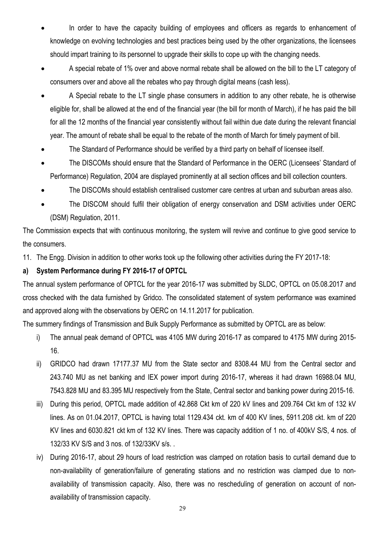- In order to have the capacity building of employees and officers as regards to enhancement of knowledge on evolving technologies and best practices being used by the other organizations, the licensees should impart training to its personnel to upgrade their skills to cope up with the changing needs.
- A special rebate of 1% over and above normal rebate shall be allowed on the bill to the LT category of consumers over and above all the rebates who pay through digital means (cash less).
- A Special rebate to the LT single phase consumers in addition to any other rebate, he is otherwise eligible for, shall be allowed at the end of the financial year (the bill for month of March), if he has paid the bill for all the 12 months of the financial year consistently without fail within due date during the relevant financial year. The amount of rebate shall be equal to the rebate of the month of March for timely payment of bill.
- The Standard of Performance should be verified by a third party on behalf of licensee itself.
- The DISCOMs should ensure that the Standard of Performance in the OERC (Licensees' Standard of Performance) Regulation, 2004 are displayed prominently at all section offices and bill collection counters.
- The DISCOMs should establish centralised customer care centres at urban and suburban areas also.
- The DISCOM should fulfil their obligation of energy conservation and DSM activities under OERC (DSM) Regulation, 2011.

The Commission expects that with continuous monitoring, the system will revive and continue to give good service to the consumers.

11. The Engg. Division in addition to other works took up the following other activities during the FY 2017-18:

### **a) System Performance during FY 2016-17 of OPTCL**

The annual system performance of OPTCL for the year 2016-17 was submitted by SLDC, OPTCL on 05.08.2017 and cross checked with the data furnished by Gridco. The consolidated statement of system performance was examined and approved along with the observations by OERC on 14.11.2017 for publication.

The summery findings of Transmission and Bulk Supply Performance as submitted by OPTCL are as below:

- i) The annual peak demand of OPTCL was 4105 MW during 2016-17 as compared to 4175 MW during 2015- 16.
- ii) GRIDCO had drawn 17177.37 MU from the State sector and 8308.44 MU from the Central sector and 243.740 MU as net banking and IEX power import during 2016-17, whereas it had drawn 16988.04 MU, 7543.828 MU and 83.395 MU respectively from the State, Central sector and banking power during 2015-16.
- iii) During this period, OPTCL made addition of 42.868 Ckt km of 220 kV lines and 209.764 Ckt km of 132 kV lines. As on 01.04.2017, OPTCL is having total 1129.434 ckt. km of 400 KV lines, 5911.208 ckt. km of 220 KV lines and 6030.821 ckt km of 132 KV lines. There was capacity addition of 1 no. of 400kV S/S, 4 nos. of 132/33 KV S/S and 3 nos. of 132/33KV s/s. .
- iv) During 2016-17, about 29 hours of load restriction was clamped on rotation basis to curtail demand due to non-availability of generation/failure of generating stations and no restriction was clamped due to nonavailability of transmission capacity. Also, there was no rescheduling of generation on account of nonavailability of transmission capacity.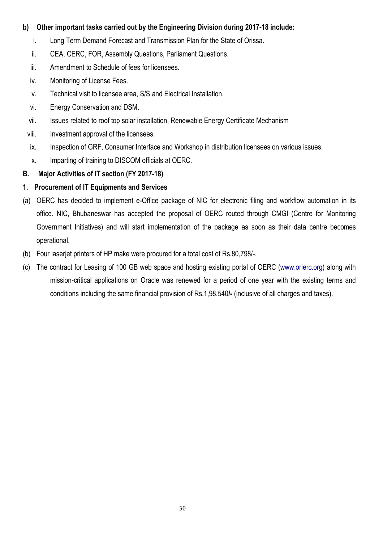### **b) Other important tasks carried out by the Engineering Division during 2017-18 include:**

- i. Long Term Demand Forecast and Transmission Plan for the State of Orissa.
- ii. CEA, CERC, FOR, Assembly Questions, Parliament Questions.
- iii. Amendment to Schedule of fees for licensees.
- iv. Monitoring of License Fees.
- v. Technical visit to licensee area, S/S and Electrical Installation.
- vi. Energy Conservation and DSM.
- vii. Issues related to roof top solar installation, Renewable Energy Certificate Mechanism
- viii. Investment approval of the licensees.
- ix. Inspection of GRF, Consumer Interface and Workshop in distribution licensees on various issues.
- x. Imparting of training to DISCOM officials at OERC.

### **B. Major Activities of IT section (FY 2017-18)**

### **1. Procurement of IT Equipments and Services**

- (a) OERC has decided to implement e-Office package of NIC for electronic filing and workflow automation in its office. NIC, Bhubaneswar has accepted the proposal of OERC routed through CMGI (Centre for Monitoring Government Initiatives) and will start implementation of the package as soon as their data centre becomes operational.
- (b) Four laserjet printers of HP make were procured for a total cost of Rs.80,798/-.
- (c) The contract for Leasing of 100 GB web space and hosting existing portal of OERC (www.orierc.org) along with mission-critical applications on Oracle was renewed for a period of one year with the existing terms and conditions including the same financial provision of Rs.1,98,540**/-** (inclusive of all charges and taxes).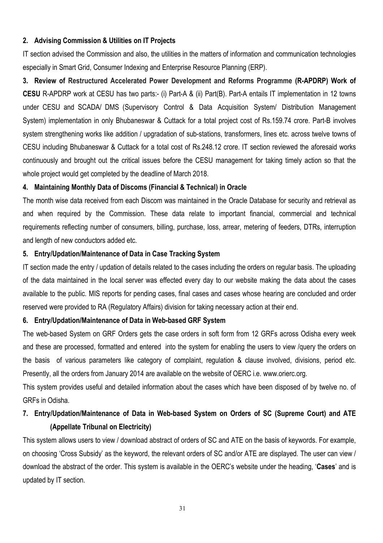#### **2. Advising Commission & Utilities on IT Projects**

IT section advised the Commission and also, the utilities in the matters of information and communication technologies especially in Smart Grid, Consumer Indexing and Enterprise Resource Planning (ERP).

**3. Review of Restructured Accelerated Power Development and Reforms Programme (R-APDRP) Work of CESU** R-APDRP work at CESU has two parts:- (i) Part-A & (ii) Part(B). Part-A entails IT implementation in 12 towns under CESU and SCADA/ DMS (Supervisory Control & Data Acquisition System/ Distribution Management System) implementation in only Bhubaneswar & Cuttack for a total project cost of Rs.159.74 crore. Part-B involves system strengthening works like addition / upgradation of sub-stations, transformers, lines etc. across twelve towns of CESU including Bhubaneswar & Cuttack for a total cost of Rs.248.12 crore. IT section reviewed the aforesaid works continuously and brought out the critical issues before the CESU management for taking timely action so that the whole project would get completed by the deadline of March 2018.

#### **4. Maintaining Monthly Data of Discoms (Financial & Technical) in Oracle**

The month wise data received from each Discom was maintained in the Oracle Database for security and retrieval as and when required by the Commission. These data relate to important financial, commercial and technical requirements reflecting number of consumers, billing, purchase, loss, arrear, metering of feeders, DTRs, interruption and length of new conductors added etc.

#### **5. Entry/Updation/Maintenance of Data in Case Tracking System**

IT section made the entry / updation of details related to the cases including the orders on regular basis. The uploading of the data maintained in the local server was effected every day to our website making the data about the cases available to the public. MIS reports for pending cases, final cases and cases whose hearing are concluded and order reserved were provided to RA (Regulatory Affairs) division for taking necessary action at their end.

#### **6. Entry/Updation/Maintenance of Data in Web-based GRF System**

The web-based System on GRF Orders gets the case orders in soft form from 12 GRFs across Odisha every week and these are processed, formatted and entered into the system for enabling the users to view /query the orders on the basis of various parameters like category of complaint, regulation & clause involved, divisions, period etc. Presently, all the orders from January 2014 are available on the website of OERC i.e. www.orierc.org.

This system provides useful and detailed information about the cases which have been disposed of by twelve no. of GRFs in Odisha.

### **7. Entry/Updation/Maintenance of Data in Web-based System on Orders of SC (Supreme Court) and ATE (Appellate Tribunal on Electricity)**

This system allows users to view / download abstract of orders of SC and ATE on the basis of keywords. For example, on choosing 'Cross Subsidy' as the keyword, the relevant orders of SC and/or ATE are displayed. The user can view / download the abstract of the order. This system is available in the OERC's website under the heading, 'Cases' and is updated by IT section.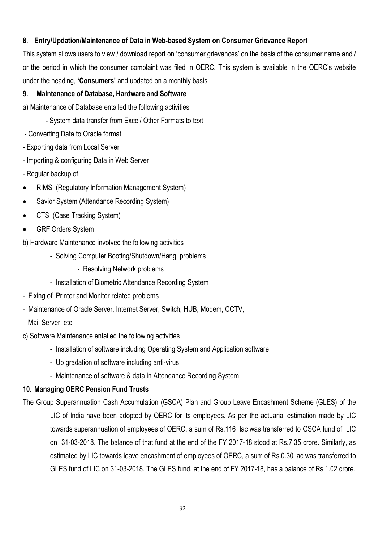### **8. Entry/Updation/Maintenance of Data in Web-based System on Consumer Grievance Report**

This system allows users to view / download report on 'consumer grievances' on the basis of the consumer name and / or the period in which the consumer complaint was filed in OERC. This system is available in the OERC's website under the heading, 'Consumers' and updated on a monthly basis

#### **9. Maintenance of Database, Hardware and Software**

- a) Maintenance of Database entailed the following activities
	- System data transfer from Excel/ Other Formats to text
- Converting Data to Oracle format
- Exporting data from Local Server
- Importing & configuring Data in Web Server
- Regular backup of
- RIMS (Regulatory Information Management System)
- Savior System (Attendance Recording System)
- CTS (Case Tracking System)
- GRF Orders System
- b) Hardware Maintenance involved the following activities
	- Solving Computer Booting/Shutdown/Hang problems
		- Resolving Network problems
	- Installation of Biometric Attendance Recording System
- Fixing of Printer and Monitor related problems
- Maintenance of Oracle Server, Internet Server, Switch, HUB, Modem, CCTV, Mail Server etc.
- c) Software Maintenance entailed the following activities
	- Installation of software including Operating System and Application software
	- Up gradation of software including anti-virus
	- Maintenance of software & data in Attendance Recording System

#### **10. Managing OERC Pension Fund Trusts**

The Group Superannuation Cash Accumulation (GSCA) Plan and Group Leave Encashment Scheme (GLES) of the LIC of India have been adopted by OERC for its employees. As per the actuarial estimation made by LIC towards superannuation of employees of OERC, a sum of Rs.116 lac was transferred to GSCA fund of LIC on 31-03-2018. The balance of that fund at the end of the FY 2017-18 stood at Rs.7.35 crore. Similarly, as estimated by LIC towards leave encashment of employees of OERC, a sum of Rs.0.30 lac was transferred to GLES fund of LIC on 31-03-2018. The GLES fund, at the end of FY 2017-18, has a balance of Rs.1.02 crore.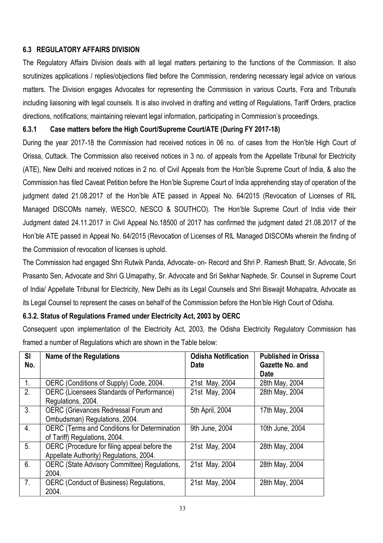#### **6.3 REGULATORY AFFAIRS DIVISION**

The Regulatory Affairs Division deals with all legal matters pertaining to the functions of the Commission. It also scrutinizes applications / replies/objections filed before the Commission, rendering necessary legal advice on various matters. The Division engages Advocates for representing the Commission in various Courts, Fora and Tribunals including liaisoning with legal counsels. It is also involved in drafting and vetting of Regulations, Tariff Orders, practice directions, notifications; maintaining relevant legal information, participating in Commission's proceedings.

#### **6.3.1 Case matters before the High Court/Supreme Court/ATE (During FY 2017-18)**

During the year 2017-18 the Commission had received notices in 06 no. of cases from the Hon'ble High Court of Orissa, Cuttack. The Commission also received notices in 3 no. of appeals from the Appellate Tribunal for Electricity (ATE), New Delhi and received notices in 2 no. of Civil Appeals from the Hon'ble Supreme Court of India, & also the Commission has filed Caveat Petition before the Hon'ble Supreme Court of India apprehending stay of operation of the judgment dated 21.08.2017 of the Hon'ble ATE passed in Appeal No. 64/2015 (Revocation of Licenses of RIL Managed DISCOMs namely, WESCO, NESCO & SOUTHCO). The Hon'ble Supreme Court of India vide their Judgment dated 24.11.2017 in Civil Appeal No.18500 of 2017 has confirmed the judgment dated 21.08.2017 of the Hon'ble ATE passed in Appeal No. 64/2015 (Revocation of Licenses of RIL Managed DISCOMs wherein the finding of the Commission of revocation of licenses is uphold.

The Commission had engaged Shri Rutwik Panda, Advocate- on- Record and Shri P. Ramesh Bhatt, Sr. Advocate, Sri Prasanto Sen, Advocate and Shri G.Umapathy, Sr. Advocate and Sri Sekhar Naphede, Sr. Counsel in Supreme Court of India/ Appellate Tribunal for Electricity, New Delhi as its Legal Counsels and Shri Biswajit Mohapatra, Advocate as its Legal Counsel to represent the cases on behalf of the Commission before the Hon'ble High Court of Odisha.

#### **6.3.2. Status of Regulations Framed under Electricity Act, 2003 by OERC**

Consequent upon implementation of the Electricity Act, 2003, the Odisha Electricity Regulatory Commission has framed a number of Regulations which are shown in the Table below:

| <b>SI</b>      | <b>Name of the Regulations</b>                      | <b>Odisha Notification</b> | <b>Published in Orissa</b> |
|----------------|-----------------------------------------------------|----------------------------|----------------------------|
| No.            |                                                     | <b>Date</b>                | Gazette No. and            |
|                |                                                     |                            | <b>Date</b>                |
| 1.             | OERC (Conditions of Supply) Code, 2004.             | 21st May, 2004             | 28th May, 2004             |
| 2.             | <b>OERC (Licensees Standards of Performance)</b>    | 21st May, 2004             | 28th May, 2004             |
|                | Regulations, 2004.                                  |                            |                            |
| 3.             | OERC (Grievances Redressal Forum and                | 5th April, 2004            | 17th May, 2004             |
|                | Ombudsman) Regulations, 2004.                       |                            |                            |
| 4.             | <b>OERC</b> (Terms and Conditions for Determination | 9th June, 2004             | 10th June, 2004            |
|                | of Tariff) Regulations, 2004.                       |                            |                            |
| 5.             | OERC (Procedure for filing appeal before the        | 21st May, 2004             | 28th May, 2004             |
|                | Appellate Authority) Regulations, 2004.             |                            |                            |
| 6.             | <b>OERC (State Advisory Committee) Regulations,</b> | 21st May, 2004             | 28th May, 2004             |
|                | 2004.                                               |                            |                            |
| 7 <sub>1</sub> | <b>OERC</b> (Conduct of Business) Regulations,      | 21st May, 2004             | 28th May, 2004             |
|                | 2004.                                               |                            |                            |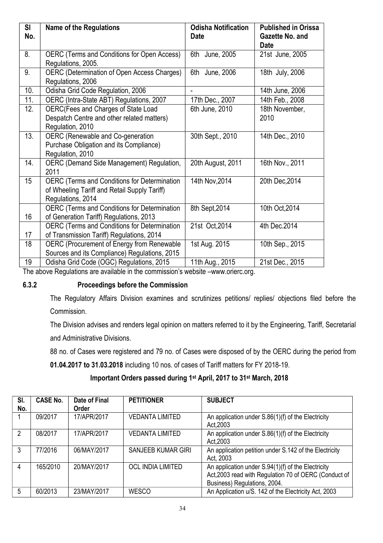| <b>SI</b><br>No. | <b>Name of the Regulations</b>                                                                                           | <b>Odisha Notification</b><br><b>Date</b> | <b>Published in Orissa</b><br>Gazette No. and<br><b>Date</b> |
|------------------|--------------------------------------------------------------------------------------------------------------------------|-------------------------------------------|--------------------------------------------------------------|
| 8.               | OERC (Terms and Conditions for Open Access)<br>Regulations, 2005.                                                        | 6th June, 2005                            | 21st June, 2005                                              |
| 9.               | OERC (Determination of Open Access Charges)<br>Regulations, 2006                                                         | 6th June, 2006                            | 18th July, 2006                                              |
| 10.              | Odisha Grid Code Regulation, 2006                                                                                        | $\blacksquare$                            | 14th June, 2006                                              |
| 11.              | OERC (Intra-State ABT) Regulations, 2007                                                                                 | 17th Dec., 2007                           | 14th Feb., 2008                                              |
| 12.              | OERC(Fees and Charges of State Load<br>Despatch Centre and other related matters)<br>Regulation, 2010                    | 6th June, 2010                            | 18th November,<br>2010                                       |
| 13.              | OERC (Renewable and Co-generation<br>Purchase Obligation and its Compliance)<br>Regulation, 2010                         | 30th Sept., 2010                          | 14th Dec., 2010                                              |
| 14.              | OERC (Demand Side Management) Regulation,<br>2011                                                                        | 20th August, 2011                         | 16th Nov., 2011                                              |
| 15               | <b>OERC</b> (Terms and Conditions for Determination<br>of Wheeling Tariff and Retail Supply Tariff)<br>Regulations, 2014 | 14th Nov, 2014                            | 20th Dec, 2014                                               |
| 16               | <b>OERC</b> (Terms and Conditions for Determination<br>of Generation Tariff) Regulations, 2013                           | 8th Sept, 2014                            | 10th Oct, 2014                                               |
| 17               | <b>OERC (Terms and Conditions for Determination</b><br>of Transmission Tariff) Regulations, 2014                         | 21st Oct, 2014                            | 4th Dec. 2014                                                |
| 18               | <b>OERC (Procurement of Energy from Renewable</b><br>Sources and its Compliance) Regulations, 2015                       | 1st Aug. 2015                             | 10th Sep., 2015                                              |
| 19               | Odisha Grid Code (OGC) Regulations, 2015                                                                                 | 11th Aug., 2015                           | 21st Dec., 2015                                              |

The above Regulations are available in the commission's website -www.orierc.org.

**6.3.2 Proceedings before the Commission** 

 The Regulatory Affairs Division examines and scrutinizes petitions/ replies/ objections filed before the Commission.

The Division advises and renders legal opinion on matters referred to it by the Engineering, Tariff, Secretarial

and Administrative Divisions.

88 no. of Cases were registered and 79 no. of Cases were disposed of by the OERC during the period from

**01.04.2017 to 31.03.2018** including 10 nos. of cases of Tariff matters for FY 2018-19.

### **Important Orders passed during 1st April, 2017 to 31st March, 2018**

| SI.<br>No. | <b>CASE No.</b> | Date of Final<br>Order | <b>PETITIONER</b>         | <b>SUBJECT</b>                                                                                                                              |
|------------|-----------------|------------------------|---------------------------|---------------------------------------------------------------------------------------------------------------------------------------------|
|            | 09/2017         | 17/APR/2017            | <b>VEDANTA LIMITED</b>    | An application under S.86(1)(f) of the Electricity<br>Act, 2003                                                                             |
| 2          | 08/2017         | 17/APR/2017            | <b>VEDANTA LIMITED</b>    | An application under S.86(1)(f) of the Electricity<br>Act, 2003                                                                             |
| 3          | 77/2016         | 06/MAY/2017            | <b>SANJEEB KUMAR GIRI</b> | An application petition under S.142 of the Electricity<br>Act, 2003                                                                         |
| 4          | 165/2010        | 20/MAY/2017            | <b>OCL INDIA LIMITED</b>  | An application under S.94(1)(f) of the Electricity<br>Act, 2003 read with Regulation 70 of OERC (Conduct of<br>Business) Regulations, 2004. |
| 5          | 60/2013         | 23/MAY/2017            | <b>WESCO</b>              | An Application u/S. 142 of the Electricity Act, 2003                                                                                        |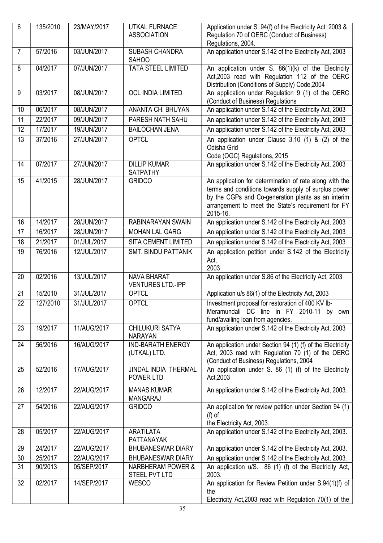| 6              | 135/2010 | 23/MAY/2017 | <b>UTKAL FURNACE</b><br><b>ASSOCIATION</b>           | Application under S. 94(f) of the Electricity Act, 2003 &<br>Regulation 70 of OERC (Conduct of Business)<br>Regulations, 2004.                                                                                                          |
|----------------|----------|-------------|------------------------------------------------------|-----------------------------------------------------------------------------------------------------------------------------------------------------------------------------------------------------------------------------------------|
| $\overline{7}$ | 57/2016  | 03/JUN/2017 | SUBASH CHANDRA<br><b>SAHOO</b>                       | An application under S.142 of the Electricity Act, 2003                                                                                                                                                                                 |
| 8              | 04/2017  | 07/JUN/2017 | <b>TATA STEEL LIMITED</b>                            | An application under S. 86(1)(k) of the Electricity<br>Act, 2003 read with Regulation 112 of the OERC<br>Distribution (Conditions of Supply) Code, 2004                                                                                 |
| 9              | 03/2017  | 08/JUN/2017 | <b>OCL INDIA LIMITED</b>                             | An application under Regulation 9 (1) of the OERC<br>(Conduct of Business) Regulations                                                                                                                                                  |
| 10             | 06/2017  | 08/JUN/2017 | ANANTA CH. BHUYAN                                    | An application under S.142 of the Electricity Act, 2003                                                                                                                                                                                 |
| 11             | 22/2017  | 09/JUN/2017 | PARESH NATH SAHU                                     | An application under S.142 of the Electricity Act, 2003                                                                                                                                                                                 |
| 12             | 17/2017  | 19/JUN/2017 | <b>BAILOCHAN JENA</b>                                | An application under S.142 of the Electricity Act, 2003                                                                                                                                                                                 |
| 13             | 37/2016  | 27/JUN/2017 | <b>OPTCL</b>                                         | An application under Clause 3.10 (1) & (2) of the<br>Odisha Grid<br>Code (OGC) Regulations, 2015                                                                                                                                        |
| 14             | 07/2017  | 27/JUN/2017 | <b>DILLIP KUMAR</b><br><b>SATPATHY</b>               | An application under S.142 of the Electricity Act, 2003                                                                                                                                                                                 |
| 15             | 41/2015  | 28/JUN/2017 | <b>GRIDCO</b>                                        | An application for determination of rate along with the<br>terms and conditions towards supply of surplus power<br>by the CGPs and Co-generation plants as an interim<br>arrangement to meet the State's requirement for FY<br>2015-16. |
| 16             | 14/2017  | 28/JUN/2017 | RABINARAYAN SWAIN                                    | An application under S.142 of the Electricity Act, 2003                                                                                                                                                                                 |
| 17             | 16/2017  | 28/JUN/2017 | <b>MOHAN LAL GARG</b>                                | An application under S.142 of the Electricity Act, 2003                                                                                                                                                                                 |
| 18             | 21/2017  | 01/JUL/2017 | <b>SITA CEMENT LIMITED</b>                           | An application under S.142 of the Electricity Act, 2003                                                                                                                                                                                 |
| 19             | 76/2016  | 12/JUL/2017 | <b>SMT. BINDU PATTANIK</b>                           | An application petition under S.142 of the Electricity<br>Act,<br>2003                                                                                                                                                                  |
| 20             | 02/2016  | 13/JUL/2017 | <b>NAVA BHARAT</b><br><b>VENTURES LTD.-IPP</b>       | An application under S.86 of the Electricity Act, 2003                                                                                                                                                                                  |
| 21             | 15/2010  | 31/JUL/2017 | <b>OPTCL</b>                                         | Application u/s 86(1) of the Electricity Act, 2003                                                                                                                                                                                      |
| 22             | 127/2010 | 31/JUL/2017 | <b>OPTCL</b>                                         | Investment proposal for restoration of 400 KV lb-<br>Meramundali DC line in FY 2010-11 by own<br>fund/availing loan from agencies.                                                                                                      |
| 23             | 19/2017  | 11/AUG/2017 | <b>CHILUKURI SATYA</b><br><b>NARAYAN</b>             | An application under S.142 of the Electricity Act, 2003                                                                                                                                                                                 |
| 24             | 56/2016  | 16/AUG/2017 | <b>IND-BARATH ENERGY</b><br>(UTKAL) LTD.             | An application under Section 94 (1) (f) of the Electricity<br>Act, 2003 read with Regulation 70 (1) of the OERC<br>(Conduct of Business) Regulations, 2004                                                                              |
| 25             | 52/2016  | 17/AUG/2017 | JINDAL INDIA THERMAL<br>POWER LTD                    | An application under S. 86 (1) (f) of the Electricity<br>Act, 2003                                                                                                                                                                      |
| 26             | 12/2017  | 22/AUG/2017 | <b>MANAS KUMAR</b><br><b>MANGARAJ</b>                | An application under S.142 of the Electricity Act, 2003.                                                                                                                                                                                |
| 27             | 54/2016  | 22/AUG/2017 | <b>GRIDCO</b>                                        | An application for review petition under Section 94 (1)<br>$(f)$ of<br>the Electricity Act, 2003.                                                                                                                                       |
| 28             | 05/2017  | 22/AUG/2017 | <b>ARATILATA</b><br>PATTANAYAK                       | An application under S.142 of the Electricity Act, 2003.                                                                                                                                                                                |
| 29             | 24/2017  | 22/AUG/2017 | <b>BHUBANESWAR DIARY</b>                             | An application under S.142 of the Electricity Act, 2003.                                                                                                                                                                                |
| 30             | 25/2017  | 22/AUG/2017 | <b>BHUBANESWAR DIARY</b>                             | An application under S.142 of the Electricity Act, 2003.                                                                                                                                                                                |
| 31             | 90/2013  | 05/SEP/2017 | <b>NARBHERAM POWER &amp;</b><br><b>STEEL PVT LTD</b> | An application u/S. 86 (1) (f) of the Electricity Act,<br>2003.                                                                                                                                                                         |
| 32             | 02/2017  | 14/SEP/2017 | <b>WESCO</b>                                         | An application for Review Petition under S.94(1)(f) of<br>the<br>Electricity Act, 2003 read with Regulation 70(1) of the                                                                                                                |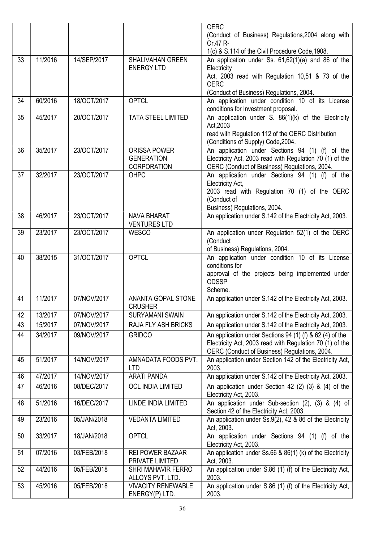|    |         |             |                                           | <b>OERC</b>                                                                                               |
|----|---------|-------------|-------------------------------------------|-----------------------------------------------------------------------------------------------------------|
|    |         |             |                                           | (Conduct of Business) Regulations, 2004 along with                                                        |
|    |         |             |                                           | Or.47 R-                                                                                                  |
| 33 | 11/2016 | 14/SEP/2017 | <b>SHALIVAHAN GREEN</b>                   | 1(c) & S.114 of the Civil Procedure Code, 1908.<br>An application under Ss. 61,62(1)(a) and 86 of the     |
|    |         |             | <b>ENERGY LTD</b>                         | Electricity                                                                                               |
|    |         |             |                                           | Act, 2003 read with Regulation 10,51 & 73 of the                                                          |
|    |         |             |                                           | <b>OERC</b>                                                                                               |
|    |         |             |                                           | (Conduct of Business) Regulations, 2004.                                                                  |
| 34 | 60/2016 | 18/OCT/2017 | <b>OPTCL</b>                              | An application under condition 10 of its License                                                          |
| 35 | 45/2017 | 20/OCT/2017 | <b>TATA STEEL LIMITED</b>                 | conditions for Investment proposal.<br>An application under S. 86(1)(k) of the Electricity                |
|    |         |             |                                           | Act, 2003                                                                                                 |
|    |         |             |                                           | read with Regulation 112 of the OERC Distribution                                                         |
|    |         |             |                                           | (Conditions of Supply) Code, 2004.                                                                        |
| 36 | 35/2017 | 23/OCT/2017 | <b>ORISSA POWER</b>                       | An application under Sections 94 (1) (f) of the                                                           |
|    |         |             | <b>GENERATION</b>                         | Electricity Act, 2003 read with Regulation 70 (1) of the                                                  |
| 37 | 32/2017 | 23/OCT/2017 | <b>CORPORATION</b><br>OHPC                | OERC (Conduct of Business) Regulations, 2004.<br>An application under Sections 94 (1) (f) of the          |
|    |         |             |                                           | Electricity Act,                                                                                          |
|    |         |             |                                           | 2003 read with Regulation 70 (1) of the OERC                                                              |
|    |         |             |                                           | (Conduct of                                                                                               |
|    |         |             |                                           | Business) Regulations, 2004.                                                                              |
| 38 | 46/2017 | 23/OCT/2017 | <b>NAVA BHARAT</b><br><b>VENTURES LTD</b> | An application under S.142 of the Electricity Act, 2003.                                                  |
| 39 | 23/2017 | 23/OCT/2017 | <b>WESCO</b>                              | An application under Regulation 52(1) of the OERC                                                         |
|    |         |             |                                           | (Conduct                                                                                                  |
|    |         |             |                                           | of Business) Regulations, 2004.                                                                           |
| 40 | 38/2015 | 31/OCT/2017 | <b>OPTCL</b>                              | An application under condition 10 of its License                                                          |
|    |         |             |                                           | conditions for                                                                                            |
|    |         |             |                                           | approval of the projects being implemented under<br><b>ODSSP</b>                                          |
|    |         |             |                                           | Scheme.                                                                                                   |
| 41 | 11/2017 | 07/NOV/2017 | ANANTA GOPAL STONE                        | An application under S.142 of the Electricity Act, 2003.                                                  |
|    |         |             | <b>CRUSHER</b>                            |                                                                                                           |
| 42 | 13/2017 | 07/NOV/2017 | <b>SURYAMANI SWAIN</b>                    | An application under S.142 of the Electricity Act, 2003.                                                  |
| 43 | 15/2017 | 07/NOV/2017 | RAJA FLY ASH BRICKS                       | An application under S.142 of the Electricity Act, 2003.                                                  |
| 44 | 34/2017 | 09/NOV/2017 | <b>GRIDCO</b>                             | An application under Sections 94 (1) (f) & 62 (4) of the                                                  |
|    |         |             |                                           | Electricity Act, 2003 read with Regulation 70 (1) of the<br>OERC (Conduct of Business) Regulations, 2004. |
| 45 | 51/2017 | 14/NOV/2017 | AMNADATA FOODS PVT.                       | An application under Section 142 of the Electricity Act,                                                  |
|    |         |             | <b>LTD</b>                                | 2003.                                                                                                     |
| 46 | 47/2017 | 14/NOV/2017 | <b>ARATI PANDA</b>                        | An application under S.142 of the Electricity Act, 2003.                                                  |
| 47 | 46/2016 | 08/DEC/2017 | <b>OCL INDIA LIMITED</b>                  | An application under Section 42 (2) (3) & (4) of the                                                      |
|    |         |             |                                           | Electricity Act, 2003.                                                                                    |
| 48 | 51/2016 | 16/DEC/2017 | LINDE INDIA LIMITED                       | An application under Sub-section (2), (3) & (4) of<br>Section 42 of the Electricity Act, 2003.            |
| 49 | 23/2016 | 05/JAN/2018 | <b>VEDANTA LIMITED</b>                    | An application under Ss.9(2), 42 & 86 of the Electricity                                                  |
|    |         |             |                                           | Act, 2003.                                                                                                |
| 50 | 33/2017 | 18/JAN/2018 | <b>OPTCL</b>                              | An application under Sections 94 (1) (f)<br>of the                                                        |
|    |         |             |                                           | Electricity Act, 2003.                                                                                    |
| 51 | 07/2016 | 03/FEB/2018 | <b>REI POWER BAZAAR</b>                   | An application under Ss.66 & 86(1) (k) of the Electricity                                                 |
| 52 | 44/2016 | 05/FEB/2018 | PRIVATE LIMITED<br>SHRI MAHAVIR FERRO     | Act, 2003.<br>An application under S.86 (1) (f) of the Electricity Act,                                   |
|    |         |             | ALLOYS PVT. LTD.                          | 2003.                                                                                                     |
| 53 | 45/2016 | 05/FEB/2018 | <b>VIVACITY RENEWABLE</b>                 | An application under S.86 (1) (f) of the Electricity Act,                                                 |
|    |         |             | ENERGY(P) LTD.                            | 2003.                                                                                                     |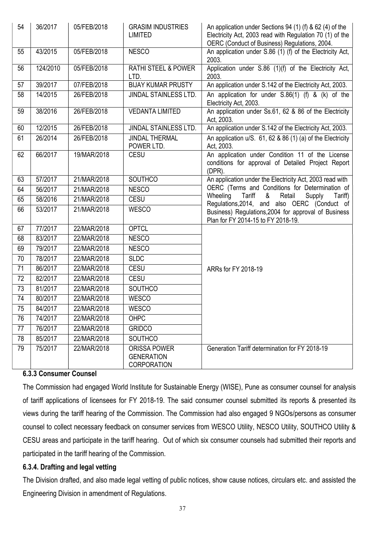| 54 | 36/2017  | 05/FEB/2018 | <b>GRASIM INDUSTRIES</b><br><b>LIMITED</b>                     | An application under Sections $94$ (1) (f) & 62 (4) of the<br>Electricity Act, 2003 read with Regulation 70 (1) of the<br>OERC (Conduct of Business) Regulations, 2004. |
|----|----------|-------------|----------------------------------------------------------------|-------------------------------------------------------------------------------------------------------------------------------------------------------------------------|
| 55 | 43/2015  | 05/FEB/2018 | <b>NESCO</b>                                                   | An application under S.86 (1) (f) of the Electricity Act,<br>2003.                                                                                                      |
| 56 | 124/2010 | 05/FEB/2018 | <b>RATHI STEEL &amp; POWER</b><br>LTD.                         | Application under S.86 (1)(f) of the Electricity Act,<br>2003.                                                                                                          |
| 57 | 39/2017  | 07/FEB/2018 | <b>BIJAY KUMAR PRUSTY</b>                                      | An application under S.142 of the Electricity Act, 2003.                                                                                                                |
| 58 | 14/2015  | 26/FEB/2018 | JINDAL STAINLESS LTD.                                          | An application for under S.86(1) (f) & (k) of the<br>Electricity Act, 2003.                                                                                             |
| 59 | 38/2016  | 26/FEB/2018 | <b>VEDANTA LIMITED</b>                                         | An application under Ss.61, 62 & 86 of the Electricity<br>Act, 2003.                                                                                                    |
| 60 | 12/2015  | 26/FEB/2018 | JINDAL STAINLESS LTD.                                          | An application under S.142 of the Electricity Act, 2003.                                                                                                                |
| 61 | 26/2014  | 26/FEB/2018 | <b>JINDAL THERMAL</b><br>POWER LTD.                            | An application u/S. 61, 62 & 86 (1) (a) of the Electricity<br>Act, 2003.                                                                                                |
| 62 | 66/2017  | 19/MAR/2018 | <b>CESU</b>                                                    | An application under Condition 11 of the License<br>conditions for approval of Detailed Project Report<br>(DPR).                                                        |
| 63 | 57/2017  | 21/MAR/2018 | <b>SOUTHCO</b>                                                 | An application under the Electricity Act, 2003 read with                                                                                                                |
| 64 | 56/2017  | 21/MAR/2018 | <b>NESCO</b>                                                   | OERC (Terms and Conditions for Determination of                                                                                                                         |
| 65 | 58/2016  | 21/MAR/2018 | CESU                                                           | Wheeling<br>Tariff<br>&<br>Retail<br>Supply<br>Tariff)<br>Regulations, 2014, and also OERC (Conduct of                                                                  |
| 66 | 53/2017  | 21/MAR/2018 | <b>WESCO</b>                                                   | Business) Regulations, 2004 for approval of Business<br>Plan for FY 2014-15 to FY 2018-19.                                                                              |
| 67 | 77/2017  | 22/MAR/2018 | <b>OPTCL</b>                                                   |                                                                                                                                                                         |
| 68 | 83/2017  | 22/MAR/2018 | <b>NESCO</b>                                                   |                                                                                                                                                                         |
| 69 | 79/2017  | 22/MAR/2018 | <b>NESCO</b>                                                   |                                                                                                                                                                         |
| 70 | 78/2017  | 22/MAR/2018 | <b>SLDC</b>                                                    |                                                                                                                                                                         |
| 71 | 86/2017  | 22/MAR/2018 | CESU                                                           | ARRs for FY 2018-19                                                                                                                                                     |
| 72 | 82/2017  | 22/MAR/2018 | <b>CESU</b>                                                    |                                                                                                                                                                         |
| 73 | 81/2017  | 22/MAR/2018 | <b>SOUTHCO</b>                                                 |                                                                                                                                                                         |
| 74 | 80/2017  | 22/MAR/2018 | <b>WESCO</b>                                                   |                                                                                                                                                                         |
| 75 | 84/2017  | 22/MAR/2018 | <b>WESCO</b>                                                   |                                                                                                                                                                         |
| 76 | 74/2017  | 22/MAR/2018 | OHPC                                                           |                                                                                                                                                                         |
| 77 | 76/2017  | 22/MAR/2018 | <b>GRIDCO</b>                                                  |                                                                                                                                                                         |
| 78 | 85/2017  | 22/MAR/2018 | <b>SOUTHCO</b>                                                 |                                                                                                                                                                         |
| 79 | 75/2017  | 22/MAR/2018 | <b>ORISSA POWER</b><br><b>GENERATION</b><br><b>CORPORATION</b> | Generation Tariff determination for FY 2018-19                                                                                                                          |

### **6.3.3 Consumer Counsel**

The Commission had engaged World Institute for Sustainable Energy (WISE), Pune as consumer counsel for analysis of tariff applications of licensees for FY 2018-19. The said consumer counsel submitted its reports & presented its views during the tariff hearing of the Commission. The Commission had also engaged 9 NGOs/persons as consumer counsel to collect necessary feedback on consumer services from WESCO Utility, NESCO Utility, SOUTHCO Utility & CESU areas and participate in the tariff hearing. Out of which six consumer counsels had submitted their reports and participated in the tariff hearing of the Commission.

#### **6.3.4. Drafting and legal vetting**

The Division drafted, and also made legal vetting of public notices, show cause notices, circulars etc. and assisted the Engineering Division in amendment of Regulations.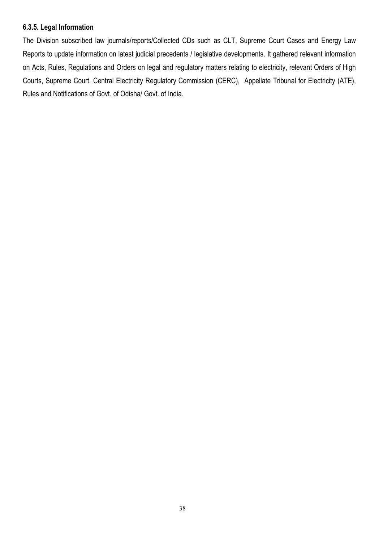#### **6.3.5. Legal Information**

The Division subscribed law journals/reports/Collected CDs such as CLT, Supreme Court Cases and Energy Law Reports to update information on latest judicial precedents / legislative developments. It gathered relevant information on Acts, Rules, Regulations and Orders on legal and regulatory matters relating to electricity, relevant Orders of High Courts, Supreme Court, Central Electricity Regulatory Commission (CERC), Appellate Tribunal for Electricity (ATE), Rules and Notifications of Govt. of Odisha/ Govt. of India.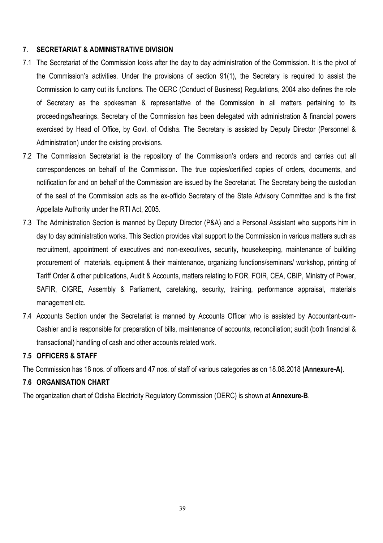#### **7. SECRETARIAT & ADMINISTRATIVE DIVISION**

- 7.1 The Secretariat of the Commission looks after the day to day administration of the Commission. It is the pivot of the Commission's activities. Under the provisions of section 91(1), the Secretary is required to assist the Commission to carry out its functions. The OERC (Conduct of Business) Regulations, 2004 also defines the role of Secretary as the spokesman & representative of the Commission in all matters pertaining to its proceedings/hearings. Secretary of the Commission has been delegated with administration & financial powers exercised by Head of Office, by Govt. of Odisha. The Secretary is assisted by Deputy Director (Personnel & Administration) under the existing provisions.
- 7.2 The Commission Secretariat is the repository of the Commission's orders and records and carries out all correspondences on behalf of the Commission. The true copies/certified copies of orders, documents, and notification for and on behalf of the Commission are issued by the Secretariat. The Secretary being the custodian of the seal of the Commission acts as the ex-officio Secretary of the State Advisory Committee and is the first Appellate Authority under the RTI Act, 2005.
- 7.3 The Administration Section is manned by Deputy Director (P&A) and a Personal Assistant who supports him in day to day administration works. This Section provides vital support to the Commission in various matters such as recruitment, appointment of executives and non-executives, security, housekeeping, maintenance of building procurement of materials, equipment & their maintenance, organizing functions/seminars/ workshop, printing of Tariff Order & other publications, Audit & Accounts, matters relating to FOR, FOIR, CEA, CBIP, Ministry of Power, SAFIR, CIGRE, Assembly & Parliament, caretaking, security, training, performance appraisal, materials management etc.
- 7.4 Accounts Section under the Secretariat is manned by Accounts Officer who is assisted by Accountant-cum-Cashier and is responsible for preparation of bills, maintenance of accounts, reconciliation; audit (both financial & transactional) handling of cash and other accounts related work.

#### **7.5 OFFICERS & STAFF**

The Commission has 18 nos. of officers and 47 nos. of staff of various categories as on 18.08.2018 **(Annexure-A).** 

#### **7.6 ORGANISATION CHART**

The organization chart of Odisha Electricity Regulatory Commission (OERC) is shown at **Annexure-B**.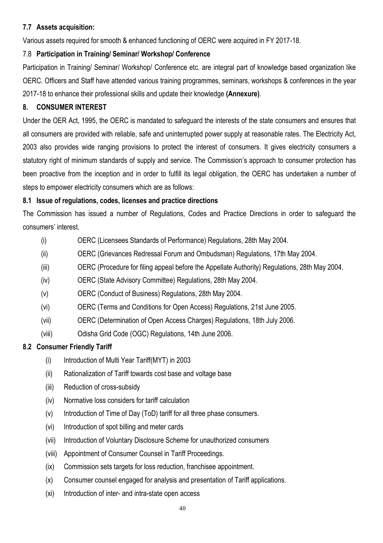### **7.7 Assets acquisition:**

Various assets required for smooth & enhanced functioning of OERC were acquired in FY 2017-18.

### 7.8 **Participation in Training/ Seminar/ Workshop/ Conference**

Participation in Training/ Seminar/ Workshop/ Conference etc. are integral part of knowledge based organization like OERC. Officers and Staff have attended various training programmes, seminars, workshops & conferences in the year 2017-18 to enhance their professional skills and update their knowledge **(Annexure)**.

### **8. CONSUMER INTEREST**

Under the OER Act, 1995, the OERC is mandated to safeguard the interests of the state consumers and ensures that all consumers are provided with reliable, safe and uninterrupted power supply at reasonable rates. The Electricity Act, 2003 also provides wide ranging provisions to protect the interest of consumers. It gives electricity consumers a statutory right of minimum standards of supply and service. The Commission's approach to consumer protection has been proactive from the inception and in order to fulfill its legal obligation, the OERC has undertaken a number of steps to empower electricity consumers which are as follows:

### **8.1 Issue of regulations, codes, licenses and practice directions**

The Commission has issued a number of Regulations, Codes and Practice Directions in order to safeguard the consumers' interest.

- (i) OERC (Licensees Standards of Performance) Regulations, 28th May 2004.
- (ii) OERC (Grievances Redressal Forum and Ombudsman) Regulations, 17th May 2004.
- (iii) OERC (Procedure for filing appeal before the Appellate Authority) Regulations, 28th May 2004.
- (iv) OERC (State Advisory Committee) Regulations, 28th May 2004.
- (v) OERC (Conduct of Business) Regulations, 28th May 2004.
- (vi) OERC (Terms and Conditions for Open Access) Regulations, 21st June 2005.
- (vii) OERC (Determination of Open Access Charges) Regulations, 18th July 2006.
- (viii) Odisha Grid Code (OGC) Regulations, 14th June 2006.

### **8.2 Consumer Friendly Tariff**

- (i) Introduction of Multi Year Tariff(MYT) in 2003
- (ii) Rationalization of Tariff towards cost base and voltage base
- (iii) Reduction of cross-subsidy
- (iv) Normative loss considers for tariff calculation
- (v) Introduction of Time of Day (ToD) tariff for all three phase consumers.
- (vi) Introduction of spot billing and meter cards
- (vii) Introduction of Voluntary Disclosure Scheme for unauthorized consumers
- (viii) Appointment of Consumer Counsel in Tariff Proceedings.
- (ix) Commission sets targets for loss reduction, franchisee appointment.
- (x) Consumer counsel engaged for analysis and presentation of Tariff applications.
- (xi) Introduction of inter- and intra-state open access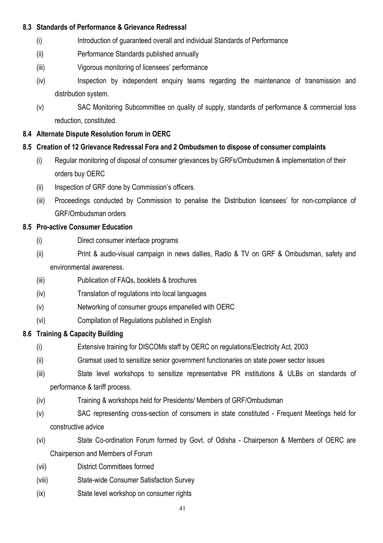### **8.3 Standards of Performance & Grievance Redressal**

- (i) Introduction of guaranteed overall and individual Standards of Performance
- (ii) Performance Standards published annually
- (iii) Vigorous monitoring of licensees' performance
- (iv) Inspection by independent enquiry teams regarding the maintenance of transmission and distribution system.
- (v) SAC Monitoring Subcommittee on quality of supply, standards of performance & commercial loss reduction, constituted.

### **8.4 Alternate Dispute Resolution forum in OERC**

### **8.5 Creation of 12 Grievance Redressal Fora and 2 Ombudsmen to dispose of consumer complaints**

- (i) Regular monitoring of disposal of consumer grievances by GRFs/Ombudsmen & implementation of their orders buy OERC
- $(ii)$  Inspection of GRF done by Commission's officers.
- (iii) Proceedings conducted by Commission to penalise the Distribution licensees' for non-compliance of GRF/Ombudsman orders

### **8.5 Pro-active Consumer Education**

- (i) Direct consumer interface programs
- (ii) Print & audio-visual campaign in news dallies, Radio & TV on GRF & Ombudsman, safety and environmental awareness.
- (iii) Publication of FAQs, booklets & brochures
- (iv) Translation of regulations into local languages
- (v) Networking of consumer groups empanelled with OERC
- (vi) Compilation of Regulations published in English

### **8.6 Training & Capacity Building**

- (i) Extensive training for DISCOMs staff by OERC on regulations/Electricity Act, 2003
- (ii) Gramsat used to sensitize senior government functionaries on state power sector issues
- (iii) State level workshops to sensitize representative PR institutions & ULBs on standards of performance & tariff process.
- (iv) Training & workshops held for Presidents/ Members of GRF/Ombudsman
- (v) SAC representing cross-section of consumers in state constituted Frequent Meetings held for constructive advice
- (vi) State Co-ordination Forum formed by Govt. of Odisha Chairperson & Members of OERC are Chairperson and Members of Forum
- (vii) District Committees formed
- (viii) State-wide Consumer Satisfaction Survey
- (ix) State level workshop on consumer rights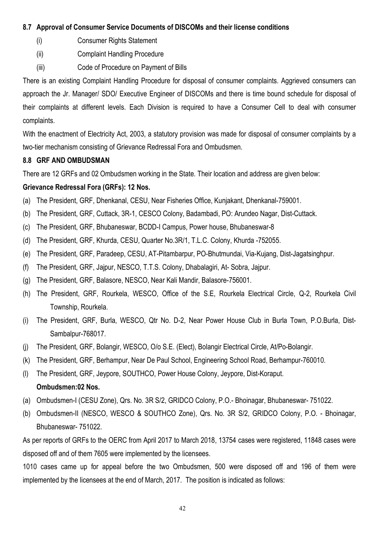#### **8.7 Approval of Consumer Service Documents of DISCOMs and their license conditions**

- (i) Consumer Rights Statement
- (ii) Complaint Handling Procedure
- (iii) Code of Procedure on Payment of Bills

There is an existing Complaint Handling Procedure for disposal of consumer complaints. Aggrieved consumers can approach the Jr. Manager/ SDO/ Executive Engineer of DISCOMs and there is time bound schedule for disposal of their complaints at different levels. Each Division is required to have a Consumer Cell to deal with consumer complaints.

With the enactment of Electricity Act, 2003, a statutory provision was made for disposal of consumer complaints by a two-tier mechanism consisting of Grievance Redressal Fora and Ombudsmen.

### **8.8 GRF AND OMBUDSMAN**

There are 12 GRFs and 02 Ombudsmen working in the State. Their location and address are given below:

### **Grievance Redressal Fora (GRFs): 12 Nos.**

- (a) The President, GRF, Dhenkanal, CESU, Near Fisheries Office, Kunjakant, Dhenkanal-759001.
- (b) The President, GRF, Cuttack, 3R-1, CESCO Colony, Badambadi, PO: Arundeo Nagar, Dist-Cuttack.
- (c) The President, GRF, Bhubaneswar, BCDD-I Campus, Power house, Bhubaneswar-8
- (d) The President, GRF, Khurda, CESU, Quarter No.3R/1, T.L.C. Colony, Khurda -752055.
- (e) The President, GRF, Paradeep, CESU, AT-Pitambarpur, PO-Bhutmundai, Via-Kujang, Dist-Jagatsinghpur.
- (f) The President, GRF, Jajpur, NESCO, T.T.S. Colony, Dhabalagiri, At- Sobra, Jajpur.
- (g) The President, GRF, Balasore, NESCO, Near Kali Mandir, Balasore-756001.
- (h) The President, GRF, Rourkela, WESCO, Office of the S.E, Rourkela Electrical Circle, Q-2, Rourkela Civil Township, Rourkela.
- (i) The President, GRF, Burla, WESCO, Qtr No. D-2, Near Power House Club in Burla Town, P.O.Burla, Dist-Sambalpur-768017.
- (j) The President, GRF, Bolangir, WESCO, O/o S.E. (Elect), Bolangir Electrical Circle, At/Po-Bolangir.
- (k) The President, GRF, Berhampur, Near De Paul School, Engineering School Road, Berhampur-760010.
- (l) The President, GRF, Jeypore, SOUTHCO, Power House Colony, Jeypore, Dist-Koraput.

### **Ombudsmen:02 Nos.**

- (a) Ombudsmen-I (CESU Zone), Qrs. No. 3R S/2, GRIDCO Colony, P.O.- Bhoinagar, Bhubaneswar- 751022.
- (b) Ombudsmen-II (NESCO, WESCO & SOUTHCO Zone), Qrs. No. 3R S/2, GRIDCO Colony, P.O. Bhoinagar, Bhubaneswar- 751022.

As per reports of GRFs to the OERC from April 2017 to March 2018, 13754 cases were registered, 11848 cases were disposed off and of them 7605 were implemented by the licensees.

1010 cases came up for appeal before the two Ombudsmen, 500 were disposed off and 196 of them were implemented by the licensees at the end of March, 2017. The position is indicated as follows: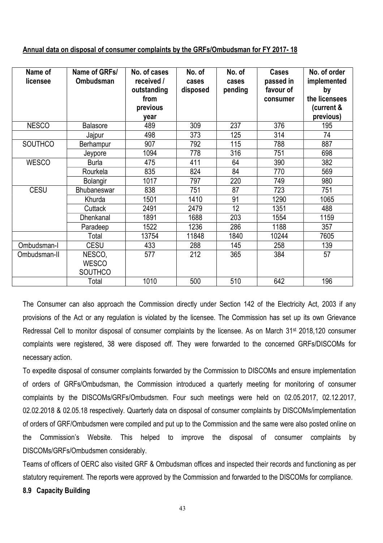| Annual data on disposal of consumer complaints by the GRFs/Ombudsman for FY 2017-18 |  |
|-------------------------------------------------------------------------------------|--|
|-------------------------------------------------------------------------------------|--|

| Name of<br>licensee | Name of GRFs/<br><b>Ombudsman</b>        | No. of cases<br>received /<br>outstanding<br>from<br>previous<br>year | No. of<br>cases<br>disposed | No. of<br>cases<br>pending | <b>Cases</b><br>passed in<br>favour of<br>consumer | No. of order<br>implemented<br>by<br>the licensees<br>(current &<br>previous) |
|---------------------|------------------------------------------|-----------------------------------------------------------------------|-----------------------------|----------------------------|----------------------------------------------------|-------------------------------------------------------------------------------|
| <b>NESCO</b>        | <b>Balasore</b>                          | 489                                                                   | 309                         | 237                        | 376                                                | 195                                                                           |
|                     | Jajpur                                   | 498                                                                   | 373                         | 125                        | 314                                                | 74                                                                            |
| <b>SOUTHCO</b>      | Berhampur                                | 907                                                                   | 792                         | 115                        | 788                                                | 887                                                                           |
|                     | Jeypore                                  | 1094                                                                  | 778                         | 316                        | 751                                                | 698                                                                           |
| <b>WESCO</b>        | <b>Burla</b>                             | 475                                                                   | 411                         | 64                         | 390                                                | 382                                                                           |
|                     | Rourkela                                 | 835                                                                   | 824                         | 84                         | 770                                                | 569                                                                           |
|                     | <b>Bolangir</b>                          | 1017                                                                  | 797                         | 220                        | 749                                                | 980                                                                           |
| <b>CESU</b>         | <b>Bhubaneswar</b>                       | 838                                                                   | 751                         | 87                         | 723                                                | 751                                                                           |
|                     | Khurda                                   | 1501                                                                  | 1410                        | 91                         | 1290                                               | 1065                                                                          |
|                     | Cuttack                                  | 2491                                                                  | 2479                        | 12                         | 1351                                               | 488                                                                           |
|                     | Dhenkanal                                | 1891                                                                  | 1688                        | 203                        | 1554                                               | 1159                                                                          |
|                     | Paradeep                                 | 1522                                                                  | 1236                        | 286                        | 1188                                               | 357                                                                           |
|                     | Total                                    | 13754                                                                 | 11848                       | 1840                       | 10244                                              | 7605                                                                          |
| Ombudsman-I         | <b>CESU</b>                              | 433                                                                   | 288                         | 145                        | 258                                                | 139                                                                           |
| Ombudsman-II        | NESCO,<br><b>WESCO</b><br><b>SOUTHCO</b> | 577                                                                   | 212                         | 365                        | 384                                                | 57                                                                            |
|                     | Total                                    | 1010                                                                  | 500                         | 510                        | 642                                                | 196                                                                           |

The Consumer can also approach the Commission directly under Section 142 of the Electricity Act, 2003 if any provisions of the Act or any regulation is violated by the licensee. The Commission has set up its own Grievance Redressal Cell to monitor disposal of consumer complaints by the licensee. As on March 31st 2018,120 consumer complaints were registered, 38 were disposed off. They were forwarded to the concerned GRFs/DISCOMs for necessary action.

To expedite disposal of consumer complaints forwarded by the Commission to DISCOMs and ensure implementation of orders of GRFs/Ombudsman, the Commission introduced a quarterly meeting for monitoring of consumer complaints by the DISCOMs/GRFs/Ombudsmen. Four such meetings were held on 02.05.2017, 02.12.2017, 02.02.2018 & 02.05.18 respectively. Quarterly data on disposal of consumer complaints by DISCOMs/implementation of orders of GRF/Ombudsmen were compiled and put up to the Commission and the same were also posted online on the Commission's Website. This helped to improve the disposal of consumer complaints by DISCOMs/GRFs/Ombudsmen considerably.

Teams of officers of OERC also visited GRF & Ombudsman offices and inspected their records and functioning as per statutory requirement. The reports were approved by the Commission and forwarded to the DISCOMs for compliance.

**8.9 Capacity Building**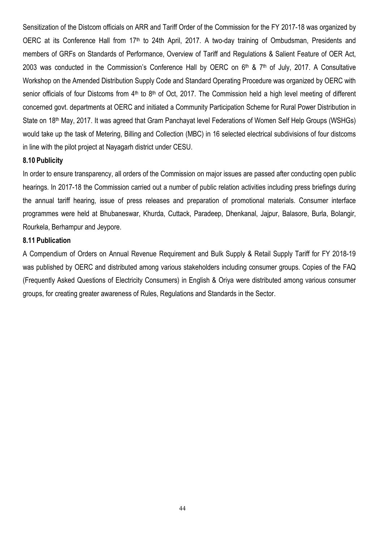Sensitization of the Distcom officials on ARR and Tariff Order of the Commission for the FY 2017-18 was organized by OERC at its Conference Hall from 17<sup>th</sup> to 24th April, 2017. A two-day training of Ombudsman, Presidents and members of GRFs on Standards of Performance, Overview of Tariff and Regulations & Salient Feature of OER Act, 2003 was conducted in the Commission's Conference Hall by OERC on  $6<sup>th</sup>$  &  $7<sup>th</sup>$  of July, 2017. A Consultative Workshop on the Amended Distribution Supply Code and Standard Operating Procedure was organized by OERC with senior officials of four Distcoms from 4<sup>th</sup> to 8<sup>th</sup> of Oct, 2017. The Commission held a high level meeting of different concerned govt. departments at OERC and initiated a Community Participation Scheme for Rural Power Distribution in State on 18<sup>th</sup> May, 2017. It was agreed that Gram Panchayat level Federations of Women Self Help Groups (WSHGs) would take up the task of Metering, Billing and Collection (MBC) in 16 selected electrical subdivisions of four distcoms in line with the pilot project at Nayagarh district under CESU.

#### **8.10 Publicity**

In order to ensure transparency, all orders of the Commission on major issues are passed after conducting open public hearings. In 2017-18 the Commission carried out a number of public relation activities including press briefings during the annual tariff hearing, issue of press releases and preparation of promotional materials. Consumer interface programmes were held at Bhubaneswar, Khurda, Cuttack, Paradeep, Dhenkanal, Jajpur, Balasore, Burla, Bolangir, Rourkela, Berhampur and Jeypore.

#### **8.11 Publication**

A Compendium of Orders on Annual Revenue Requirement and Bulk Supply & Retail Supply Tariff for FY 2018-19 was published by OERC and distributed among various stakeholders including consumer groups. Copies of the FAQ (Frequently Asked Questions of Electricity Consumers) in English & Oriya were distributed among various consumer groups, for creating greater awareness of Rules, Regulations and Standards in the Sector.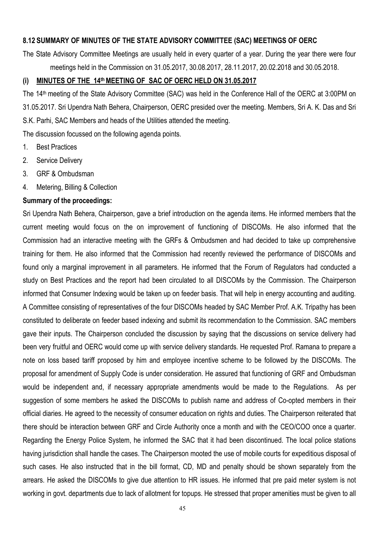#### **8.12 SUMMARY OF MINUTES OF THE STATE ADVISORY COMMITTEE (SAC) MEETINGS OF OERC**

The State Advisory Committee Meetings are usually held in every quarter of a year. During the year there were four meetings held in the Commission on 31.05.2017, 30.08.2017, 28.11.2017, 20.02.2018 and 30.05.2018.

#### **(i) MINUTES OF THE 14th MEETING OF SAC OF OERC HELD ON 31.05.2017**

The 14th meeting of the State Advisory Committee (SAC) was held in the Conference Hall of the OERC at 3:00PM on 31.05.2017. Sri Upendra Nath Behera, Chairperson, OERC presided over the meeting. Members, Sri A. K. Das and Sri S.K. Parhi, SAC Members and heads of the Utilities attended the meeting.

The discussion focussed on the following agenda points.

- 1. Best Practices
- 2. Service Delivery
- 3. GRF & Ombudsman
- 4. Metering, Billing & Collection

#### **Summary of the proceedings:**

Sri Upendra Nath Behera, Chairperson, gave a brief introduction on the agenda items. He informed members that the current meeting would focus on the on improvement of functioning of DISCOMs. He also informed that the Commission had an interactive meeting with the GRFs & Ombudsmen and had decided to take up comprehensive training for them. He also informed that the Commission had recently reviewed the performance of DISCOMs and found only a marginal improvement in all parameters. He informed that the Forum of Regulators had conducted a study on Best Practices and the report had been circulated to all DISCOMs by the Commission. The Chairperson informed that Consumer Indexing would be taken up on feeder basis. That will help in energy accounting and auditing. A Committee consisting of representatives of the four DISCOMs headed by SAC Member Prof. A.K. Tripathy has been constituted to deliberate on feeder based indexing and submit its recommendation to the Commission. SAC members gave their inputs. The Chairperson concluded the discussion by saying that the discussions on service delivery had been very fruitful and OERC would come up with service delivery standards. He requested Prof. Ramana to prepare a note on loss based tariff proposed by him and employee incentive scheme to be followed by the DISCOMs. The proposal for amendment of Supply Code is under consideration. He assured that functioning of GRF and Ombudsman would be independent and, if necessary appropriate amendments would be made to the Regulations. As per suggestion of some members he asked the DISCOMs to publish name and address of Co-opted members in their official diaries. He agreed to the necessity of consumer education on rights and duties. The Chairperson reiterated that there should be interaction between GRF and Circle Authority once a month and with the CEO/COO once a quarter. Regarding the Energy Police System, he informed the SAC that it had been discontinued. The local police stations having jurisdiction shall handle the cases. The Chairperson mooted the use of mobile courts for expeditious disposal of such cases. He also instructed that in the bill format, CD, MD and penalty should be shown separately from the arrears. He asked the DISCOMs to give due attention to HR issues. He informed that pre paid meter system is not working in govt. departments due to lack of allotment for topups. He stressed that proper amenities must be given to all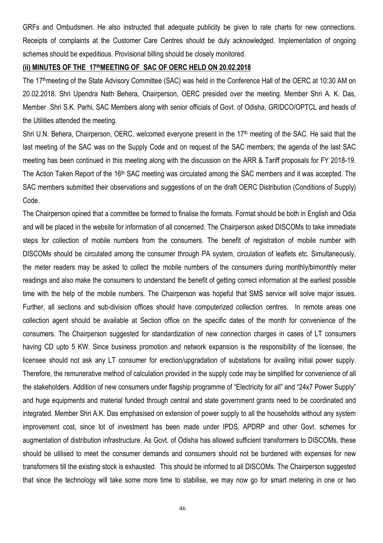GRFs and Ombudsmen. He also instructed that adequate publicity be given to rate charts for new connections. Receipts of complaints at the Customer Care Centres should be duly acknowledged. Implementation of ongoing schemes should be expeditious. Provisional billing should be closely monitored.

#### **(ii) MINUTES OF THE 17thMEETING OF SAC OF OERC HELD ON 20.02.2018**

The 17<sup>th</sup>meeting of the State Advisory Committee (SAC) was held in the Conference Hall of the OERC at 10:30 AM on 20.02.2018. Shri Upendra Nath Behera, Chairperson, OERC presided over the meeting. Member Shri A. K. Das, Member Shri S.K. Parhi, SAC Members along with senior officials of Govt. of Odisha, GRIDCO/OPTCL and heads of the Utilities attended the meeting.

Shri U.N. Behera, Chairperson, OERC, welcomed everyone present in the 17<sup>th</sup> meeting of the SAC. He said that the last meeting of the SAC was on the Supply Code and on request of the SAC members; the agenda of the last SAC meeting has been continued in this meeting along with the discussion on the ARR & Tariff proposals for FY 2018-19. The Action Taken Report of the 16<sup>th</sup> SAC meeting was circulated among the SAC members and it was accepted. The SAC members submitted their observations and suggestions of on the draft OERC Distribution (Conditions of Supply) Code.

The Chairperson opined that a committee be formed to finalise the formats. Format should be both in English and Odia and will be placed in the website for information of all concerned. The Chairperson asked DISCOMs to take immediate steps for collection of mobile numbers from the consumers. The benefit of registration of mobile number with DISCOMs should be circulated among the consumer through PA system, circulation of leaflets etc. Simultaneously, the meter readers may be asked to collect the mobile numbers of the consumers during monthly/bimonthly meter readings and also make the consumers to understand the benefit of getting correct information at the earliest possible time with the help of the mobile numbers. The Chairperson was hopeful that SMS service will solve major issues. Further, all sections and sub-division offices should have computerized collection centres. In remote areas one collection agent should be available at Section office on the specific dates of the month for convenience of the consumers. The Chairperson suggested for standardization of new connection charges in cases of LT consumers having CD upto 5 KW. Since business promotion and network expansion is the responsibility of the licensee, the licensee should not ask any LT consumer for erection/upgradation of substations for availing initial power supply. Therefore, the remunerative method of calculation provided in the supply code may be simplified for convenience of all the stakeholders. Addition of new consumers under flagship programme of "Electricity for all" and "24x7 Power Supply" and huge equipments and material funded through central and state government grants need to be coordinated and integrated. Member Shri A.K. Das emphasised on extension of power supply to all the households without any system improvement cost, since lot of investment has been made under IPDS, APDRP and other Govt. schemes for augmentation of distribution infrastructure. As Govt. of Odisha has allowed sufficient transformers to DISCOMs, these should be utilised to meet the consumer demands and consumers should not be burdened with expenses for new transformers till the existing stock is exhausted. This should be informed to all DISCOMs. The Chairperson suggested that since the technology will take some more time to stabilise, we may now go for smart metering in one or two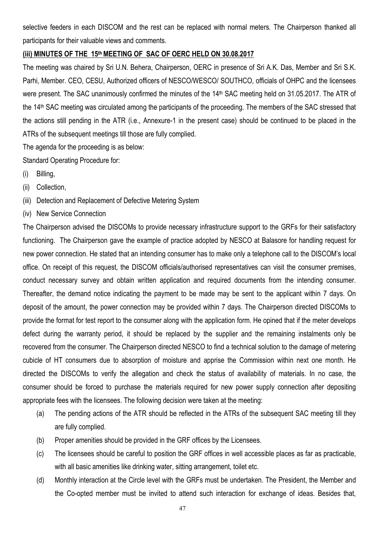selective feeders in each DISCOM and the rest can be replaced with normal meters. The Chairperson thanked all participants for their valuable views and comments.

### **(iii) MINUTES OF THE 15th MEETING OF SAC OF OERC HELD ON 30.08.2017**

The meeting was chaired by Sri U.N. Behera, Chairperson, OERC in presence of Sri A.K. Das, Member and Sri S.K. Parhi, Member. CEO, CESU, Authorized officers of NESCO/WESCO/ SOUTHCO, officials of OHPC and the licensees were present. The SAC unanimously confirmed the minutes of the 14<sup>th</sup> SAC meeting held on 31.05.2017. The ATR of the 14th SAC meeting was circulated among the participants of the proceeding. The members of the SAC stressed that the actions still pending in the ATR (i.e., Annexure-1 in the present case) should be continued to be placed in the ATRs of the subsequent meetings till those are fully complied.

The agenda for the proceeding is as below:

Standard Operating Procedure for:

- (i) Billing,
- (ii) Collection,
- (iii) Detection and Replacement of Defective Metering System
- (iv) New Service Connection

The Chairperson advised the DISCOMs to provide necessary infrastructure support to the GRFs for their satisfactory functioning. The Chairperson gave the example of practice adopted by NESCO at Balasore for handling request for new power connection. He stated that an intending consumer has to make only a telephone call to the DISCOM's local office. On receipt of this request, the DISCOM officials/authorised representatives can visit the consumer premises, conduct necessary survey and obtain written application and required documents from the intending consumer. Thereafter, the demand notice indicating the payment to be made may be sent to the applicant within 7 days. On deposit of the amount, the power connection may be provided within 7 days. The Chairperson directed DISCOMs to provide the format for test report to the consumer along with the application form. He opined that if the meter develops defect during the warranty period, it should be replaced by the supplier and the remaining instalments only be recovered from the consumer. The Chairperson directed NESCO to find a technical solution to the damage of metering cubicle of HT consumers due to absorption of moisture and apprise the Commission within next one month. He directed the DISCOMs to verify the allegation and check the status of availability of materials. In no case, the consumer should be forced to purchase the materials required for new power supply connection after depositing appropriate fees with the licensees. The following decision were taken at the meeting:

- (a) The pending actions of the ATR should be reflected in the ATRs of the subsequent SAC meeting till they are fully complied.
- (b) Proper amenities should be provided in the GRF offices by the Licensees.
- (c) The licensees should be careful to position the GRF offices in well accessible places as far as practicable, with all basic amenities like drinking water, sitting arrangement, toilet etc.
- (d) Monthly interaction at the Circle level with the GRFs must be undertaken. The President, the Member and the Co-opted member must be invited to attend such interaction for exchange of ideas. Besides that,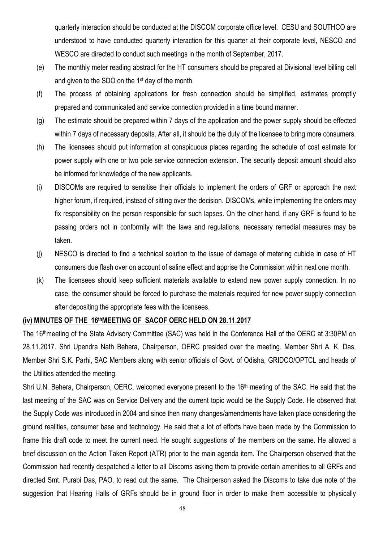quarterly interaction should be conducted at the DISCOM corporate office level. CESU and SOUTHCO are understood to have conducted quarterly interaction for this quarter at their corporate level, NESCO and WESCO are directed to conduct such meetings in the month of September, 2017.

- (e) The monthly meter reading abstract for the HT consumers should be prepared at Divisional level billing cell and given to the SDO on the 1st day of the month.
- (f) The process of obtaining applications for fresh connection should be simplified, estimates promptly prepared and communicated and service connection provided in a time bound manner.
- (g) The estimate should be prepared within 7 days of the application and the power supply should be effected within 7 days of necessary deposits. After all, it should be the duty of the licensee to bring more consumers.
- (h) The licensees should put information at conspicuous places regarding the schedule of cost estimate for power supply with one or two pole service connection extension. The security deposit amount should also be informed for knowledge of the new applicants.
- (i) DISCOMs are required to sensitise their officials to implement the orders of GRF or approach the next higher forum, if required, instead of sitting over the decision. DISCOMs, while implementing the orders may fix responsibility on the person responsible for such lapses. On the other hand, if any GRF is found to be passing orders not in conformity with the laws and regulations, necessary remedial measures may be taken.
- (j) NESCO is directed to find a technical solution to the issue of damage of metering cubicle in case of HT consumers due flash over on account of saline effect and apprise the Commission within next one month.
- (k) The licensees should keep sufficient materials available to extend new power supply connection. In no case, the consumer should be forced to purchase the materials required for new power supply connection after depositing the appropriate fees with the licensees.

#### **(iv) MINUTES OF THE 16thMEETING OF SACOF OERC HELD ON 28.11.2017**

The 16thmeeting of the State Advisory Committee (SAC) was held in the Conference Hall of the OERC at 3:30PM on 28.11.2017. Shri Upendra Nath Behera, Chairperson, OERC presided over the meeting. Member Shri A. K. Das, Member Shri S.K. Parhi, SAC Members along with senior officials of Govt. of Odisha, GRIDCO/OPTCL and heads of the Utilities attended the meeting.

Shri U.N. Behera, Chairperson, OERC, welcomed everyone present to the 16<sup>th</sup> meeting of the SAC. He said that the last meeting of the SAC was on Service Delivery and the current topic would be the Supply Code. He observed that the Supply Code was introduced in 2004 and since then many changes/amendments have taken place considering the ground realities, consumer base and technology. He said that a lot of efforts have been made by the Commission to frame this draft code to meet the current need. He sought suggestions of the members on the same. He allowed a brief discussion on the Action Taken Report (ATR) prior to the main agenda item. The Chairperson observed that the Commission had recently despatched a letter to all Discoms asking them to provide certain amenities to all GRFs and directed Smt. Purabi Das, PAO, to read out the same. The Chairperson asked the Discoms to take due note of the suggestion that Hearing Halls of GRFs should be in ground floor in order to make them accessible to physically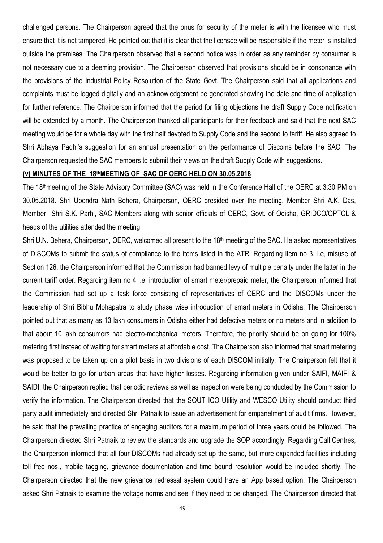challenged persons. The Chairperson agreed that the onus for security of the meter is with the licensee who must ensure that it is not tampered. He pointed out that it is clear that the licensee will be responsible if the meter is installed outside the premises. The Chairperson observed that a second notice was in order as any reminder by consumer is not necessary due to a deeming provision. The Chairperson observed that provisions should be in consonance with the provisions of the Industrial Policy Resolution of the State Govt. The Chairperson said that all applications and complaints must be logged digitally and an acknowledgement be generated showing the date and time of application for further reference. The Chairperson informed that the period for filing objections the draft Supply Code notification will be extended by a month. The Chairperson thanked all participants for their feedback and said that the next SAC meeting would be for a whole day with the first half devoted to Supply Code and the second to tariff. He also agreed to Shri Abhaya Padhi's suggestion for an annual presentation on the performance of Discoms before the SAC. The Chairperson requested the SAC members to submit their views on the draft Supply Code with suggestions.

#### **(v) MINUTES OF THE 18thMEETING OF SAC OF OERC HELD ON 30.05.2018**

The 18thmeeting of the State Advisory Committee (SAC) was held in the Conference Hall of the OERC at 3:30 PM on 30.05.2018. Shri Upendra Nath Behera, Chairperson, OERC presided over the meeting. Member Shri A.K. Das, Member Shri S.K. Parhi, SAC Members along with senior officials of OERC, Govt. of Odisha, GRIDCO/OPTCL & heads of the utilities attended the meeting.

Shri U.N. Behera, Chairperson, OERC, welcomed all present to the 18<sup>th</sup> meeting of the SAC. He asked representatives of DISCOMs to submit the status of compliance to the items listed in the ATR. Regarding item no 3, i.e, misuse of Section 126, the Chairperson informed that the Commission had banned levy of multiple penalty under the latter in the current tariff order. Regarding item no 4 i.e, introduction of smart meter/prepaid meter, the Chairperson informed that the Commission had set up a task force consisting of representatives of OERC and the DISCOMs under the leadership of Shri Bibhu Mohapatra to study phase wise introduction of smart meters in Odisha. The Chairperson pointed out that as many as 13 lakh consumers in Odisha either had defective meters or no meters and in addition to that about 10 lakh consumers had electro-mechanical meters. Therefore, the priority should be on going for 100% metering first instead of waiting for smart meters at affordable cost. The Chairperson also informed that smart metering was proposed to be taken up on a pilot basis in two divisions of each DISCOM initially. The Chairperson felt that it would be better to go for urban areas that have higher losses. Regarding information given under SAIFI, MAIFI & SAIDI, the Chairperson replied that periodic reviews as well as inspection were being conducted by the Commission to verify the information. The Chairperson directed that the SOUTHCO Utility and WESCO Utility should conduct third party audit immediately and directed Shri Patnaik to issue an advertisement for empanelment of audit firms. However, he said that the prevailing practice of engaging auditors for a maximum period of three years could be followed. The Chairperson directed Shri Patnaik to review the standards and upgrade the SOP accordingly. Regarding Call Centres, the Chairperson informed that all four DISCOMs had already set up the same, but more expanded facilities including toll free nos., mobile tagging, grievance documentation and time bound resolution would be included shortly. The Chairperson directed that the new grievance redressal system could have an App based option. The Chairperson asked Shri Patnaik to examine the voltage norms and see if they need to be changed. The Chairperson directed that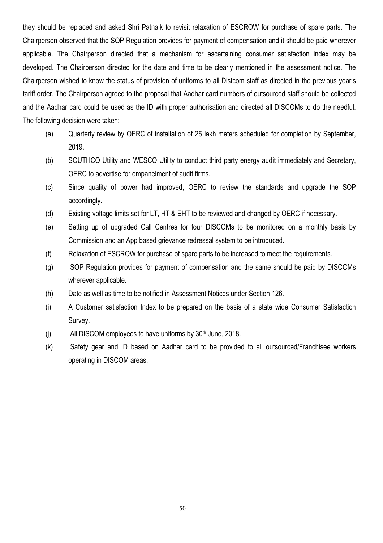they should be replaced and asked Shri Patnaik to revisit relaxation of ESCROW for purchase of spare parts. The Chairperson observed that the SOP Regulation provides for payment of compensation and it should be paid wherever applicable. The Chairperson directed that a mechanism for ascertaining consumer satisfaction index may be developed. The Chairperson directed for the date and time to be clearly mentioned in the assessment notice. The Chairperson wished to know the status of provision of uniforms to all Distcom staff as directed in the previous year's tariff order. The Chairperson agreed to the proposal that Aadhar card numbers of outsourced staff should be collected and the Aadhar card could be used as the ID with proper authorisation and directed all DISCOMs to do the needful. The following decision were taken:

- (a) Quarterly review by OERC of installation of 25 lakh meters scheduled for completion by September, 2019.
- (b) SOUTHCO Utility and WESCO Utility to conduct third party energy audit immediately and Secretary, OERC to advertise for empanelment of audit firms.
- (c) Since quality of power had improved, OERC to review the standards and upgrade the SOP accordingly.
- (d) Existing voltage limits set for LT, HT & EHT to be reviewed and changed by OERC if necessary.
- (e) Setting up of upgraded Call Centres for four DISCOMs to be monitored on a monthly basis by Commission and an App based grievance redressal system to be introduced.
- (f) Relaxation of ESCROW for purchase of spare parts to be increased to meet the requirements.
- (g) SOP Regulation provides for payment of compensation and the same should be paid by DISCOMs wherever applicable.
- (h) Date as well as time to be notified in Assessment Notices under Section 126.
- (i) A Customer satisfaction Index to be prepared on the basis of a state wide Consumer Satisfaction Survey.
- (j) All DISCOM employees to have uniforms by  $30<sup>th</sup>$  June, 2018.
- (k) Safety gear and ID based on Aadhar card to be provided to all outsourced/Franchisee workers operating in DISCOM areas.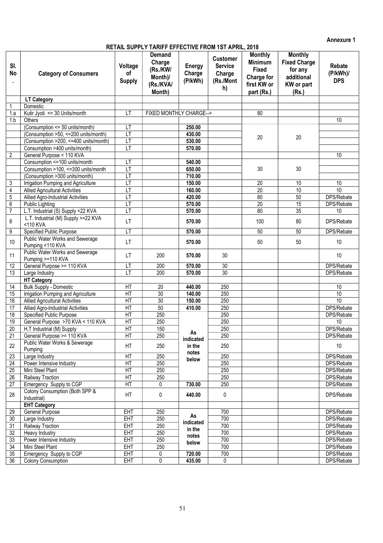**Annexure 1** 

### **RETAIL SUPPLY TARIFF EFFECTIVE FROM 1ST APRIL, 2018**

| SI.<br>No       | <b>Category of Consumers</b>                                                | Voltage<br>of<br><b>Supply</b> | Demand<br>Charge<br>(Rs./KW/<br>Month)/<br>(Rs./KVA/<br>Month) | <b>Energy</b><br>Charge<br>(P/kWh) | <b>Customer</b><br><b>Service</b><br>Charge<br>(Rs./Mont<br>h) | <b>Monthly</b><br><b>Minimum</b><br><b>Fixed</b><br>Charge for<br>first KW or<br>part (Rs.) | <b>Monthly</b><br><b>Fixed Charge</b><br>for any<br>additional<br><b>KW</b> or part<br>(Rs.) | Rebate<br>(P/kWh)<br><b>DPS</b> |
|-----------------|-----------------------------------------------------------------------------|--------------------------------|----------------------------------------------------------------|------------------------------------|----------------------------------------------------------------|---------------------------------------------------------------------------------------------|----------------------------------------------------------------------------------------------|---------------------------------|
|                 | <b>LT Category</b>                                                          |                                |                                                                |                                    |                                                                |                                                                                             |                                                                                              |                                 |
| 1               | Domestic                                                                    |                                |                                                                |                                    |                                                                |                                                                                             |                                                                                              |                                 |
| 1.a             | Kutir Jyoti <= 30 Units/month                                               | LT                             | FIXED MONTHLY CHARGE-->                                        |                                    |                                                                | 80                                                                                          |                                                                                              |                                 |
| 1.b             | Others                                                                      |                                |                                                                |                                    |                                                                |                                                                                             |                                                                                              | 10                              |
|                 | (Consumption <= 50 units/month)                                             | $\overline{LT}$                |                                                                | 250.00                             |                                                                |                                                                                             |                                                                                              |                                 |
|                 | (Consumption >50, <= 200 units/month)                                       | $\overline{\mathsf{LT}}$       |                                                                | 430.00                             |                                                                | 20                                                                                          | 20                                                                                           |                                 |
|                 | (Consumption >200, <=400 units/month)                                       | LT                             |                                                                | 530.00                             |                                                                |                                                                                             |                                                                                              |                                 |
|                 | Consumption >400 units/month)                                               | LT                             |                                                                | 570.00                             |                                                                |                                                                                             |                                                                                              |                                 |
| $\overline{2}$  | General Purpose < 110 KVA                                                   |                                |                                                                |                                    |                                                                |                                                                                             |                                                                                              | 10                              |
|                 | Consumption <= 100 units/month                                              | LT                             |                                                                | 540.00                             |                                                                |                                                                                             |                                                                                              |                                 |
|                 | Consumption >100, <= 300 units/month                                        | LT                             |                                                                | 650.00                             |                                                                | 30                                                                                          | 30                                                                                           |                                 |
|                 | (Consumption >300 units/month)                                              | LT<br>LT                       |                                                                | 710.00<br>150.00                   |                                                                |                                                                                             |                                                                                              |                                 |
| 3<br>4          | Irrigation Pumping and Agriculture<br><b>Allied Agricultural Activities</b> | LT                             |                                                                | 160.00                             |                                                                | 20<br>$\overline{20}$                                                                       | 10<br>10                                                                                     | 10<br>10                        |
| 5               | Allied Agro-Industrial Activities                                           | $\overline{\mathsf{LT}}$       |                                                                | 420.00                             |                                                                | 80                                                                                          | 50                                                                                           | DPS/Rebate                      |
| 6               | <b>Public Lighting</b>                                                      | LT                             |                                                                | 570.00                             |                                                                | $\overline{20}$                                                                             | 15                                                                                           | DPS/Rebate                      |
| $\overline{7}$  | L.T. Industrial (S) Supply <22 KVA                                          | LT                             |                                                                | 570.00                             |                                                                | 80                                                                                          | 35                                                                                           | 10                              |
|                 | L.T. Industrial (M) Supply >=22 KVA                                         |                                |                                                                |                                    |                                                                |                                                                                             |                                                                                              |                                 |
| 8               | <110 KVA                                                                    | <b>LT</b>                      |                                                                | 570.00                             |                                                                | 100                                                                                         | 80                                                                                           | DPS/Rebate                      |
| 9               | Specified Public Purpose                                                    | $\overline{\mathsf{LT}}$       |                                                                | 570.00                             |                                                                | 50                                                                                          | 50                                                                                           | DPS/Rebate                      |
| 10              | <b>Public Water Works and Sewerage</b><br>Pumping <110 KVA                  | <b>LT</b>                      |                                                                | 570.00                             |                                                                | 50                                                                                          | 50                                                                                           | 10                              |
| 11              | Public Water Works and Sewerage<br>Pumping >=110 KVA                        | <b>LT</b>                      | 200                                                            | 570.00                             | 30                                                             |                                                                                             |                                                                                              | 10                              |
| 12              | General Purpose >= 110 KVA                                                  | LT                             | 200                                                            | 570.00                             | 30                                                             |                                                                                             |                                                                                              | DPS/Rebate                      |
| 13              | Large Industry                                                              | LT                             | 200                                                            | 570.00                             | $\overline{30}$                                                |                                                                                             |                                                                                              | DPS/Rebate                      |
|                 | <b>HT Category</b>                                                          |                                |                                                                |                                    |                                                                |                                                                                             |                                                                                              |                                 |
| 14              | <b>Bulk Supply - Domestic</b>                                               | HT                             | $\overline{20}$                                                | 440.00                             | 250                                                            |                                                                                             |                                                                                              | 10                              |
| 15              | Irrigation Pumping and Agriculture                                          | HT                             | 30                                                             | 140.00                             | 250                                                            |                                                                                             |                                                                                              | 10                              |
| 16              | <b>Allied Agricultural Activities</b>                                       | HT                             | 30                                                             | 150.00                             | 250                                                            |                                                                                             |                                                                                              | 10                              |
| $\overline{17}$ | Allied Agro-Industrial Activities                                           | HT                             | 50                                                             | 410.00                             | 250                                                            |                                                                                             |                                                                                              | DPS/Rebate                      |
| 18              | Specified Public Purpose                                                    | $\overline{HT}$                | 250                                                            |                                    | 250                                                            |                                                                                             |                                                                                              | DPS/Rebate                      |
| 19              | General Purpose >70 KVA < 110 KVA                                           | $\overline{HT}$                | 250                                                            |                                    | 250                                                            |                                                                                             |                                                                                              | 10                              |
| 20              | H.T Industrial (M) Supply                                                   | HT                             | 150                                                            | As                                 | 250                                                            |                                                                                             |                                                                                              | DPS/Rebate                      |
| 21              | General Purpose >= 110 KVA                                                  | HT                             | 250                                                            | indicated                          | 250                                                            |                                                                                             |                                                                                              | DPS/Rebate                      |
| 22              | Public Water Works & Sewerage                                               | HT                             | 250                                                            | in the                             | 250                                                            |                                                                                             |                                                                                              | 10                              |
| 23              | Pumping<br>Large Industry                                                   | HT                             | 250                                                            | notes                              | 250                                                            |                                                                                             |                                                                                              | DPS/Rebate                      |
| 24              | Power Intensive Industry                                                    | $\overline{HT}$                | 250                                                            | below                              | 250                                                            |                                                                                             |                                                                                              | DPS/Rebate                      |
| 25              | Mini Steel Plant                                                            | $\overline{HT}$                | 250                                                            |                                    | 250                                                            |                                                                                             |                                                                                              | DPS/Rebate                      |
| 26              | Railway Traction                                                            | $\overline{HT}$                | 250                                                            |                                    | 250                                                            |                                                                                             |                                                                                              | DPS/Rebate                      |
| 27              | Emergency Supply to CGP                                                     | $\overline{HT}$                | 0                                                              | 730.00                             | 250                                                            |                                                                                             |                                                                                              | DPS/Rebate                      |
| 28              | Colony Consumption (Both SPP &                                              | HT.                            | 0                                                              | 440.00                             | 0                                                              |                                                                                             |                                                                                              | DPS/Rebate                      |
|                 | Industrial)                                                                 |                                |                                                                |                                    |                                                                |                                                                                             |                                                                                              |                                 |
|                 | <b>EHT Category</b>                                                         |                                |                                                                |                                    |                                                                |                                                                                             |                                                                                              |                                 |
| 29              | General Purpose                                                             | <b>EHT</b><br><b>EHT</b>       | 250                                                            | As                                 | 700<br>700                                                     |                                                                                             |                                                                                              | DPS/Rebate<br>DPS/Rebate        |
| 30<br>31        | Large Industry<br>Railway Traction                                          | <b>EHT</b>                     | 250<br>250                                                     | indicated                          | 700                                                            |                                                                                             |                                                                                              | <b>DPS/Rebate</b>               |
| 32              | Heavy Industry                                                              | <b>EHT</b>                     | 250                                                            | in the                             | 700                                                            |                                                                                             |                                                                                              | DPS/Rebate                      |
| 33              | Power Intensive Industry                                                    | <b>EHT</b>                     | 250                                                            | notes                              | 700                                                            |                                                                                             |                                                                                              | DPS/Rebate                      |
| 34              | Mini Steel Plant                                                            | <b>EHT</b>                     | 250                                                            | below                              | 700                                                            |                                                                                             |                                                                                              | <b>DPS/Rebate</b>               |
| 35              | Emergency Supply to CGP                                                     | <b>EHT</b>                     | 0                                                              | 720.00                             | 700                                                            |                                                                                             |                                                                                              | DPS/Rebate                      |
| 36              | Colony Consumption                                                          | <b>EHT</b>                     | 0                                                              | 435.00                             | 0                                                              |                                                                                             |                                                                                              | DPS/Rebate                      |
|                 |                                                                             |                                |                                                                |                                    |                                                                |                                                                                             |                                                                                              |                                 |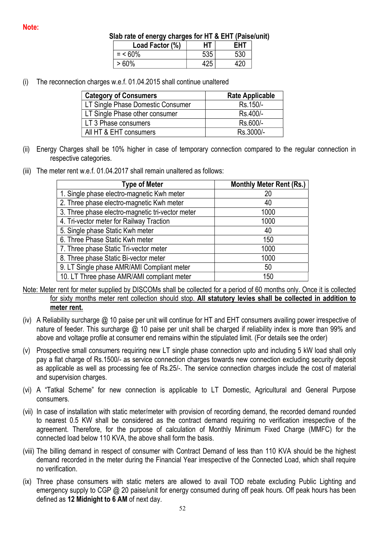**Note:** 

**Slab rate of energy charges for HT & EHT (Paise/unit)** 

| .<br>Load Factor (%) | HT  | EHT |
|----------------------|-----|-----|
| $= 60\%$             | 535 | 530 |
| $>60\%$              | オウエ | лог |

(i) The reconnection charges w.e.f. 01.04.2015 shall continue unaltered

| <b>Category of Consumers</b>      | <b>Rate Applicable</b> |
|-----------------------------------|------------------------|
| LT Single Phase Domestic Consumer | Rs.150/-               |
| LT Single Phase other consumer    | Rs.400/-               |
| LT 3 Phase consumers              | Rs.600/-               |
| All HT & EHT consumers            | Rs.3000/-              |

- (ii) Energy Charges shall be 10% higher in case of temporary connection compared to the regular connection in respective categories.
- (iii) The meter rent w.e.f. 01.04.2017 shall remain unaltered as follows:

| <b>Type of Meter</b>                             | <b>Monthly Meter Rent (Rs.)</b> |
|--------------------------------------------------|---------------------------------|
| 1. Single phase electro-magnetic Kwh meter       | 20                              |
| 2. Three phase electro-magnetic Kwh meter        | 40                              |
| 3. Three phase electro-magnetic tri-vector meter | 1000                            |
| 4. Tri-vector meter for Railway Traction         | 1000                            |
| 5. Single phase Static Kwh meter                 | 40                              |
| 6. Three Phase Static Kwh meter                  | 150                             |
| 7. Three phase Static Tri-vector meter           | 1000                            |
| 8. Three phase Static Bi-vector meter            | 1000                            |
| 9. LT Single phase AMR/AMI Compliant meter       | 50                              |
| 10. LT Three phase AMR/AMI compliant meter       | 150                             |

- Note: Meter rent for meter supplied by DISCOMs shall be collected for a period of 60 months only. Once it is collected for sixty months meter rent collection should stop. **All statutory levies shall be collected in addition to meter rent.**
- (iv) A Reliability surcharge @ 10 paise per unit will continue for HT and EHT consumers availing power irrespective of nature of feeder. This surcharge @ 10 paise per unit shall be charged if reliability index is more than 99% and above and voltage profile at consumer end remains within the stipulated limit. (For details see the order)
- (v) Prospective small consumers requiring new LT single phase connection upto and including 5 kW load shall only pay a flat charge of Rs.1500/- as service connection charges towards new connection excluding security deposit as applicable as well as processing fee of Rs.25/-. The service connection charges include the cost of material and supervision charges.
- (vi) A "Tatkal Scheme" for new connection is applicable to LT Domestic, Agricultural and General Purpose consumers.
- (vii) In case of installation with static meter/meter with provision of recording demand, the recorded demand rounded to nearest 0.5 KW shall be considered as the contract demand requiring no verification irrespective of the agreement. Therefore, for the purpose of calculation of Monthly Minimum Fixed Charge (MMFC) for the connected load below 110 KVA, the above shall form the basis.
- (viii) The billing demand in respect of consumer with Contract Demand of less than 110 KVA should be the highest demand recorded in the meter during the Financial Year irrespective of the Connected Load, which shall require no verification.
- (ix) Three phase consumers with static meters are allowed to avail TOD rebate excluding Public Lighting and emergency supply to CGP @ 20 paise/unit for energy consumed during off peak hours. Off peak hours has been defined as **12 Midnight to 6 AM** of next day.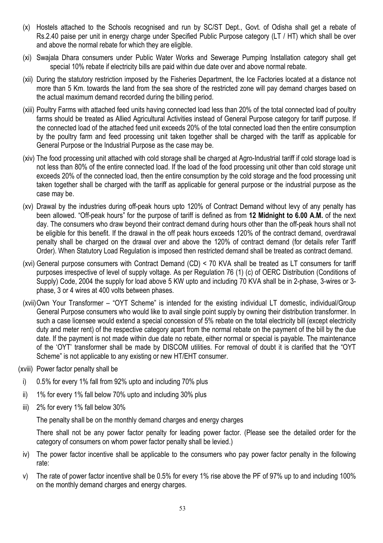- (x) Hostels attached to the Schools recognised and run by SC/ST Dept., Govt. of Odisha shall get a rebate of Rs.2.40 paise per unit in energy charge under Specified Public Purpose category (LT / HT) which shall be over and above the normal rebate for which they are eligible.
- (xi) Swajala Dhara consumers under Public Water Works and Sewerage Pumping Installation category shall get special 10% rebate if electricity bills are paid within due date over and above normal rebate.
- (xii) During the statutory restriction imposed by the Fisheries Department, the Ice Factories located at a distance not more than 5 Km. towards the land from the sea shore of the restricted zone will pay demand charges based on the actual maximum demand recorded during the billing period.
- (xiii) Poultry Farms with attached feed units having connected load less than 20% of the total connected load of poultry farms should be treated as Allied Agricultural Activities instead of General Purpose category for tariff purpose. If the connected load of the attached feed unit exceeds 20% of the total connected load then the entire consumption by the poultry farm and feed processing unit taken together shall be charged with the tariff as applicable for General Purpose or the Industrial Purpose as the case may be.
- (xiv) The food processing unit attached with cold storage shall be charged at Agro-Industrial tariff if cold storage load is not less than 80% of the entire connected load. If the load of the food processing unit other than cold storage unit exceeds 20% of the connected load, then the entire consumption by the cold storage and the food processing unit taken together shall be charged with the tariff as applicable for general purpose or the industrial purpose as the case may be.
- (xv) Drawal by the industries during off-peak hours upto 120% of Contract Demand without levy of any penalty has been allowed. "Off-peak hours" for the purpose of tariff is defined as from 12 Midnight to 6.00 A.M. of the next day. The consumers who draw beyond their contract demand during hours other than the off-peak hours shall not be eligible for this benefit. If the drawal in the off peak hours exceeds 120% of the contract demand, overdrawal penalty shall be charged on the drawal over and above the 120% of contract demand (for details refer Tariff Order). When Statutory Load Regulation is imposed then restricted demand shall be treated as contract demand.
- (xvi) General purpose consumers with Contract Demand (CD) < 70 KVA shall be treated as LT consumers for tariff purposes irrespective of level of supply voltage. As per Regulation 76 (1) (c) of OERC Distribution (Conditions of Supply) Code, 2004 the supply for load above 5 KW upto and including 70 KVA shall be in 2-phase, 3-wires or 3 phase, 3 or 4 wires at 400 volts between phases.
- (xvii)Own Your Transformer "OYT Scheme" is intended for the existing individual LT domestic, individual/Group General Purpose consumers who would like to avail single point supply by owning their distribution transformer. In such a case licensee would extend a special concession of 5% rebate on the total electricity bill (except electricity duty and meter rent) of the respective category apart from the normal rebate on the payment of the bill by the due date. If the payment is not made within due date no rebate, either normal or special is payable. The maintenance of the 'OYT' transformer shall be made by DISCOM utilities. For removal of doubt it is clarified that the "OYT Scheme" is not applicable to any existing or new HT/EHT consumer.
- (xviii) Power factor penalty shall be
- i) 0.5% for every 1% fall from 92% upto and including 70% plus
- ii) 1% for every 1% fall below 70% upto and including 30% plus
- iii) 2% for every 1% fall below 30%

The penalty shall be on the monthly demand charges and energy charges

 There shall not be any power factor penalty for leading power factor. (Please see the detailed order for the category of consumers on whom power factor penalty shall be levied.)

- iv) The power factor incentive shall be applicable to the consumers who pay power factor penalty in the following rate:
- v) The rate of power factor incentive shall be 0.5% for every 1% rise above the PF of 97% up to and including 100% on the monthly demand charges and energy charges.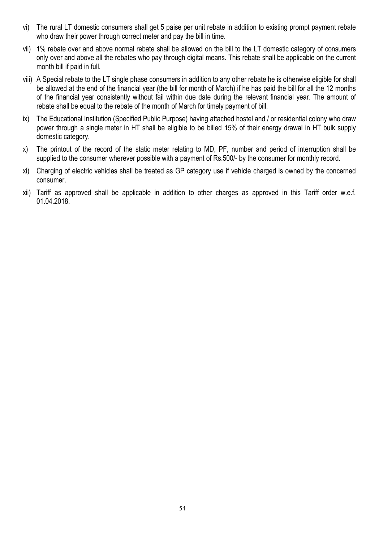- vi) The rural LT domestic consumers shall get 5 paise per unit rebate in addition to existing prompt payment rebate who draw their power through correct meter and pay the bill in time.
- vii) 1% rebate over and above normal rebate shall be allowed on the bill to the LT domestic category of consumers only over and above all the rebates who pay through digital means. This rebate shall be applicable on the current month bill if paid in full.
- viii) A Special rebate to the LT single phase consumers in addition to any other rebate he is otherwise eligible for shall be allowed at the end of the financial year (the bill for month of March) if he has paid the bill for all the 12 months of the financial year consistently without fail within due date during the relevant financial year. The amount of rebate shall be equal to the rebate of the month of March for timely payment of bill.
- ix) The Educational Institution (Specified Public Purpose) having attached hostel and / or residential colony who draw power through a single meter in HT shall be eligible to be billed 15% of their energy drawal in HT bulk supply domestic category.
- x) The printout of the record of the static meter relating to MD, PF, number and period of interruption shall be supplied to the consumer wherever possible with a payment of Rs.500/- by the consumer for monthly record.
- xi) Charging of electric vehicles shall be treated as GP category use if vehicle charged is owned by the concerned consumer.
- xii) Tariff as approved shall be applicable in addition to other charges as approved in this Tariff order w.e.f. 01.04.2018.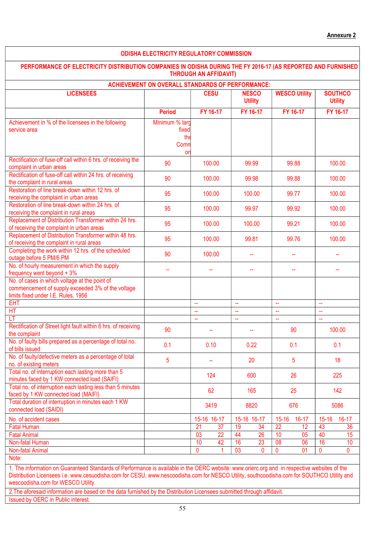| <b>ODISHA ELECTRICITY REGULATORY COMMISSION</b>                                                                                              |                                                         |                       |                                |                        |                                  |  |  |
|----------------------------------------------------------------------------------------------------------------------------------------------|---------------------------------------------------------|-----------------------|--------------------------------|------------------------|----------------------------------|--|--|
| PERFORMANCE OF ELECTRICITY DISTRIBUTION COMPANIES IN ODISHA DURING THE FY 2016-17 (AS REPORTED AND FURNISHED<br><b>THROUGH AN AFFIDAVIT)</b> |                                                         |                       |                                |                        |                                  |  |  |
|                                                                                                                                              | <b>ACHIEVEMENT ON OVERALL STANDARDS OF PERFORMANCE:</b> |                       |                                |                        |                                  |  |  |
| <b>LICENSEES</b>                                                                                                                             |                                                         | <b>CESU</b>           | <b>NESCO</b><br><b>Utility</b> | <b>WESCO Utility</b>   | <b>SOUTHCO</b><br><b>Utility</b> |  |  |
|                                                                                                                                              | <b>Period</b>                                           | FY 16-17              | FY 16-17                       | FY 16-17               | FY 16-17                         |  |  |
| Achievement in % of the licensees in the following<br>service area                                                                           | Minimum % targ<br>fixed<br>the<br>Comn<br>on            |                       |                                |                        |                                  |  |  |
| Rectification of fuse-off call within 6 hrs. of receiving the<br>complaint in urban areas                                                    | 90                                                      | 100.00                | 99.99                          | 99.88                  | 100.00                           |  |  |
| Rectification of fuse-off call within 24 hrs. of receiving<br>the complaint in rural areas                                                   | 90                                                      | 100.00                | 99.98                          | 99.88                  | 100.00                           |  |  |
| Restoration of line break-down within 12 hrs. of<br>receiving the complaint in urban areas                                                   | 95                                                      | 100.00                | 100.00                         | 99.77                  | 100.00                           |  |  |
| Restoration of line break-down within 24 hrs. of<br>receiving the complaint in rural areas                                                   | 95                                                      | 100.00                | 99.97                          | 99.92                  | 100.00                           |  |  |
| Replacement of Distribution Transformer within 24 hrs.<br>of receiving the complaint in urban areas                                          | 95                                                      | 100.00                | 100.00                         | 99.21                  | 100.00                           |  |  |
| Replacement of Distribution Transformer within 48 hrs.<br>of receiving the complaint in rural areas                                          | 95                                                      | 100.00                | 99.81                          | 99.76                  | 100.00                           |  |  |
| Completing the work within 12 hrs. of the scheduled<br>outage before 5 PM/6 PM                                                               | 90                                                      | 100.00                |                                |                        |                                  |  |  |
| No. of hourly measurement in which the supply<br>frequency went beyond + 3%                                                                  | <u></u>                                                 | $\overline{a}$        | $\sim$                         | <u></u>                |                                  |  |  |
| No. of cases in which voltage at the point of<br>commencement of supply exceeded 3% of the voltage<br>limits fixed under I.E. Rules, 1956    |                                                         |                       |                                |                        |                                  |  |  |
| <b>EHT</b>                                                                                                                                   |                                                         | ÷,                    | u.                             | ωü,                    | $\mathbb{L}^2$                   |  |  |
| HT                                                                                                                                           |                                                         | u.                    | u.                             | u.                     | u.                               |  |  |
| LT                                                                                                                                           |                                                         | u.                    | u.                             | $\mathbb{L}^2$         | u.                               |  |  |
| Rectification of Street light fault within 6 hrs. of receiving<br>the complaint                                                              | 90                                                      |                       |                                | 90                     | 100.00                           |  |  |
| No. of faulty bills prepared as a percentage of total no.<br>of bills issued                                                                 | 0.1                                                     | 0.10                  | 0.22                           | 0.1                    | 0.1                              |  |  |
| No. of faulty/defective meters as a percentage of total<br>no. of existing meters                                                            | 5                                                       |                       | 20                             | 5                      | 18                               |  |  |
| Total no. of interruption each lasting more than 5<br>minutes faced by 1 KW connected load (SAIFI)                                           |                                                         | 124                   | 600                            | 26                     | 225                              |  |  |
| Total no. of interruption each lasting less than 5 minutes<br>faced by 1 KW connected load (MAIFI)                                           |                                                         | 62                    | 165                            | 25                     | 142                              |  |  |
| Total duration of interruption in minutes each 1 KW<br>connected load (SAIDI)                                                                |                                                         | 3419                  | 8820                           | 676                    | 5086                             |  |  |
| No. of accident cases                                                                                                                        |                                                         | 15-16 16-17           | 15-16 16-17                    | $15 - 16$<br>$16 - 17$ | $15 - 16$<br>$16 - 17$           |  |  |
| <b>Fatal Human</b>                                                                                                                           |                                                         | 21<br>37              | 19<br>34                       | 22<br>12               | 43<br>36                         |  |  |
| <b>Fatal Animal</b>                                                                                                                          |                                                         | $\overline{22}$<br>03 | 44<br>26                       | 10<br>05               | 40<br>15                         |  |  |
| Non-fatal Human                                                                                                                              |                                                         | 10<br>42              | 16<br>23                       | 08<br>06               | 16<br>10                         |  |  |
| Non-fatal Animal                                                                                                                             |                                                         | $\mathbf{0}$          | 03<br>0                        | 01<br>$\Omega$         | $\mathbf{0}$<br>0                |  |  |
| Note:                                                                                                                                        |                                                         |                       |                                |                        |                                  |  |  |
| 1. The information on Guaranteed Standards of Performance is available in the OERC website: www.orierc.org and in respective websites of the |                                                         |                       |                                |                        |                                  |  |  |
|                                                                                                                                              |                                                         |                       |                                |                        |                                  |  |  |

Distribution Licensees i.e. www.cesuodisha.com for CESU, www.nescoodisha.com for NESCO Utility, southcoodisha.com for SOUTHCO Utility and wescoodisha.com for WESCO Utility.

2.The aforesaid information are based on the data furnished by the Distribution Licensees submitted through affidavit. Issued by OERC in Public interest.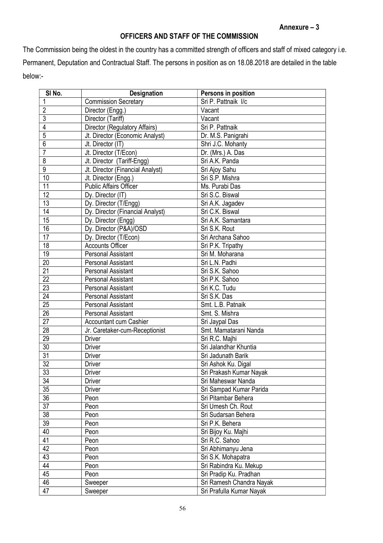### **OFFICERS AND STAFF OF THE COMMISSION**

The Commission being the oldest in the country has a committed strength of officers and staff of mixed category i.e. Permanent, Deputation and Contractual Staff. The persons in position as on 18.08.2018 are detailed in the table below:-

| SI <sub>No.</sub> | <b>Designation</b>               | Persons in position      |
|-------------------|----------------------------------|--------------------------|
| 1                 | <b>Commission Secretary</b>      | Sri P. Pattnaik I/c      |
| $\overline{2}$    | Director (Engg.)                 | Vacant                   |
| $\overline{3}$    | Director (Tariff)                | Vacant                   |
| 4                 | Director (Regulatory Affairs)    | Sri P. Pattnaik          |
| 5                 | Jt. Director (Economic Analyst)  | Dr. M.S. Panigrahi       |
| 6                 | Jt. Director (IT)                | Shri J.C. Mohanty        |
| $\overline{7}$    | Jt. Director (T/Econ)            | Dr. (Mrs.) A. Das        |
| 8                 | Jt. Director (Tariff-Engg)       | Sri A.K. Panda           |
| $\overline{9}$    | Jt. Director (Financial Analyst) | Sri Ajoy Sahu            |
| 10                | Jt. Director (Engg.)             | Sri S.P. Mishra          |
| 11                | <b>Public Affairs Officer</b>    | Ms. Purabi Das           |
| 12                | Dy. Director (IT)                | Sri S.C. Biswal          |
| 13                | Dy. Director (T/Engg)            | Sri A.K. Jagadev         |
| $\overline{14}$   | Dy. Director (Financial Analyst) | Sri C.K. Biswal          |
| $\overline{15}$   | Dy. Director (Engg)              | Sri A.K. Samantara       |
| 16                | Dy. Director (P&A)/OSD           | Sri S.K. Rout            |
| $\overline{17}$   | Dy. Director (T/Econ)            | Sri Archana Sahoo        |
| $\overline{18}$   | <b>Accounts Officer</b>          | Sri P.K. Tripathy        |
| $\overline{19}$   | <b>Personal Assistant</b>        | Sri M. Moharana          |
| 20                | <b>Personal Assistant</b>        | Sri L.N. Padhi           |
| $\overline{21}$   | <b>Personal Assistant</b>        | Sri S.K. Sahoo           |
| 22                | <b>Personal Assistant</b>        | Sri P.K. Sahoo           |
| $\overline{23}$   | <b>Personal Assistant</b>        | Sri K.C. Tudu            |
| 24                | Personal Assistant               | Sri S.K. Das             |
| $\overline{25}$   | <b>Personal Assistant</b>        | Smt. L.B. Patnaik        |
| $\overline{26}$   | <b>Personal Assistant</b>        | Smt. S. Mishra           |
| $\overline{27}$   | <b>Accountant cum Cashier</b>    | Sri Jaypal Das           |
| $\overline{28}$   | Jr. Caretaker-cum-Receptionist   | Smt. Mamatarani Nanda    |
| $\overline{29}$   | <b>Driver</b>                    | Sri R.C. Majhi           |
| $\overline{30}$   | <b>Driver</b>                    | Sri Jalandhar Khuntia    |
| $\overline{31}$   | <b>Driver</b>                    | Sri Jadunath Barik       |
| $\overline{32}$   | <b>Driver</b>                    | Sri Ashok Ku. Digal      |
| 33                | <b>Driver</b>                    | Sri Prakash Kumar Nayak  |
| 34                | <b>Driver</b>                    | Sri Maheswar Nanda       |
| $\overline{35}$   | Driver                           | Sri Sampad Kumar Parida  |
| $\overline{36}$   | Peon                             | Sri Pitambar Behera      |
| $\overline{37}$   | Peon                             | Sri Umesh Ch. Rout       |
| $\overline{38}$   | Peon                             | Sri Sudarsan Behera      |
| 39                | Peon                             | Sri P.K. Behera          |
| 40                | Peon                             | Sri Bijoy Ku. Majhi      |
| 41                | Peon                             | Sri R.C. Sahoo           |
| $\overline{42}$   | Peon                             | Sri Abhimanyu Jena       |
| 43                | Peon                             | Sri S.K. Mohapatra       |
| 44                | Peon                             | Sri Rabindra Ku. Mekup   |
| 45                | Peon                             | Sri Pradip Ku. Pradhan   |
| 46                | Sweeper                          | Sri Ramesh Chandra Nayak |
| $\overline{47}$   | Sweeper                          | Sri Prafulla Kumar Nayak |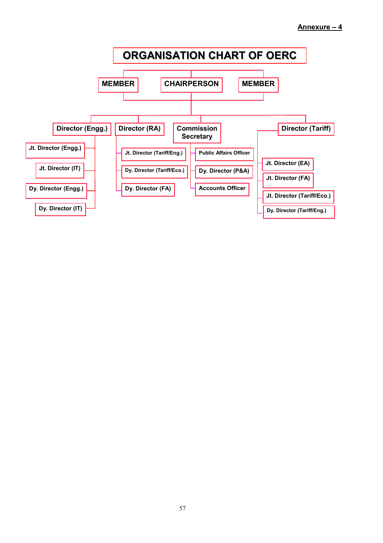#### **Annexure 4**

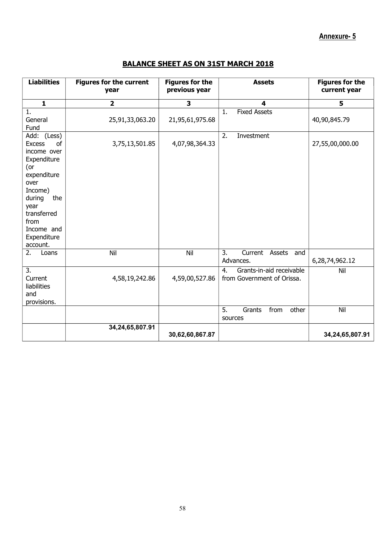### **Annexure- 5**

### **BALANCE SHEET AS ON 31ST MARCH 2018**

| <b>Liabilities</b>                                                                                                                                                                                 | <b>Figures for the current</b><br>year | <b>Figures for the</b><br>previous year | <b>Assets</b>                                                | <b>Figures for the</b><br>current year |
|----------------------------------------------------------------------------------------------------------------------------------------------------------------------------------------------------|----------------------------------------|-----------------------------------------|--------------------------------------------------------------|----------------------------------------|
| $\mathbf{1}$                                                                                                                                                                                       | $\overline{\mathbf{2}}$                | $\overline{\mathbf{3}}$                 | $\overline{\mathbf{4}}$                                      | 5                                      |
| 1.<br>General<br>Fund                                                                                                                                                                              | 25,91,33,063.20                        | 21,95,61,975.68                         | <b>Fixed Assets</b><br>1.                                    | 40,90,845.79                           |
| Add: (Less)<br><b>Excess</b><br>of<br>income over<br>Expenditure<br>(or<br>expenditure<br>over<br>Income)<br>during<br>the<br>year<br>transferred<br>from<br>Income and<br>Expenditure<br>account. | 3,75,13,501.85                         | 4,07,98,364.33                          | Investment<br>2.                                             | 27,55,00,000.00                        |
| 2.<br>Loans                                                                                                                                                                                        | Nil                                    | Nil                                     | 3.<br>Current<br>Assets<br>and<br>Advances.                  | 6,28,74,962.12                         |
| 3.<br>Current<br>liabilities<br>and<br>provisions.                                                                                                                                                 | 4,58,19,242.86                         | 4,59,00,527.86                          | Grants-in-aid receivable<br>4.<br>from Government of Orissa. | Nil                                    |
|                                                                                                                                                                                                    |                                        |                                         | 5.<br>from<br>Grants<br>other<br>sources                     | Nil                                    |
|                                                                                                                                                                                                    | 34,24,65,807.91                        | 30,62,60,867.87                         |                                                              | 34,24,65,807.91                        |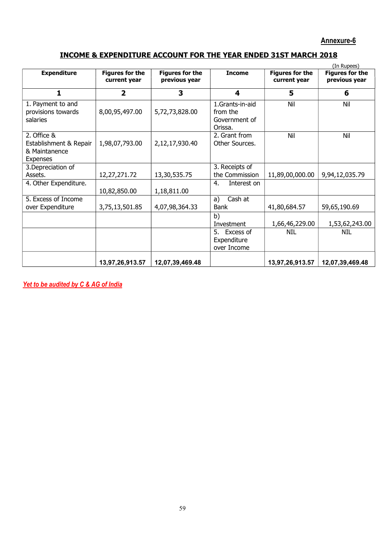**Annexure-6**

### **INCOME & EXPENDITURE ACCOUNT FOR THE YEAR ENDED 31ST MARCH 2018**

|                                                                    |                                        |                                         |                                                         |                                        | (In Rupees)                             |
|--------------------------------------------------------------------|----------------------------------------|-----------------------------------------|---------------------------------------------------------|----------------------------------------|-----------------------------------------|
| <b>Expenditure</b>                                                 | <b>Figures for the</b><br>current year | <b>Figures for the</b><br>previous year | <b>Income</b>                                           | <b>Figures for the</b><br>current year | <b>Figures for the</b><br>previous year |
| $\mathbf{1}$                                                       | $\overline{2}$                         | 3                                       | 4                                                       | 5                                      | 6                                       |
| 1. Payment to and<br>provisions towards<br>salaries                | 8,00,95,497.00                         | 5,72,73,828.00                          | 1.Grants-in-aid<br>from the<br>Government of<br>Orissa. | Nil                                    | Nil                                     |
| 2. Office &<br>Establishment & Repair<br>& Maintanence<br>Expenses | 1,98,07,793.00                         | 2,12,17,930.40                          | 2. Grant from<br>Other Sources.                         | Nil                                    | Nil                                     |
| 3. Depreciation of<br>Assets.                                      | 12,27,271.72                           | 13,30,535.75                            | 3. Receipts of<br>the Commission                        | 11,89,00,000.00                        | 9,94,12,035.79                          |
| 4. Other Expenditure.                                              | 10,82,850.00                           | 1,18,811.00                             | Interest on<br>4.                                       |                                        |                                         |
| 5. Excess of Income<br>over Expenditure                            | 3,75,13,501.85                         | 4,07,98,364.33                          | Cash at<br>a)<br><b>Bank</b>                            | 41,80,684.57                           | 59,65,190.69                            |
|                                                                    |                                        |                                         | b)<br>Investment                                        | 1,66,46,229.00                         | 1,53,62,243.00                          |
|                                                                    |                                        |                                         | Excess of<br>5.<br>Expenditure<br>over Income           | <b>NIL</b>                             | <b>NIL</b>                              |
|                                                                    | 13,97,26,913.57                        | 12,07,39,469.48                         |                                                         | 13,97,26,913.57                        | 12,07,39,469.48                         |

*Yet to be audited by C & AG of India*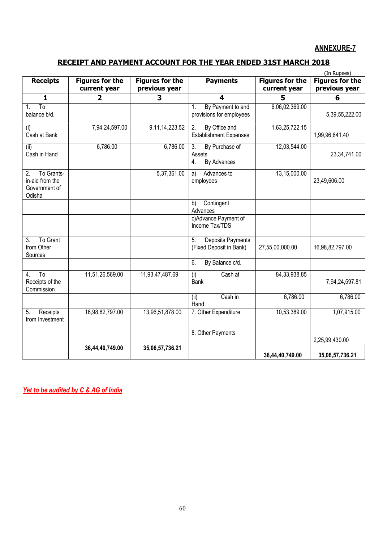### **ANNEXURE-7**

### **RECEIPT AND PAYMENT ACCOUNT FOR THE YEAR ENDED 31ST MARCH 2018**

|                                                                |                                        |                                         |                                                           |                                        | (In Rupees)                             |
|----------------------------------------------------------------|----------------------------------------|-----------------------------------------|-----------------------------------------------------------|----------------------------------------|-----------------------------------------|
| <b>Receipts</b>                                                | <b>Figures for the</b><br>current year | <b>Figures for the</b><br>previous year | <b>Payments</b>                                           | <b>Figures for the</b><br>current year | <b>Figures for the</b><br>previous year |
| 1                                                              | $\overline{2}$                         | 3                                       | 4                                                         | 5                                      | 6                                       |
| $\overline{I}$<br>1.<br>balance b/d.                           |                                        |                                         | By Payment to and<br>1.<br>provisions for employees       | 6,06,02,369.00                         | 5,39,55,222.00                          |
| (i)<br>Cash at Bank                                            | 7,94,24,597.00                         | 9, 11, 14, 223. 52                      | By Office and<br>2.<br><b>Establishment Expenses</b>      | 1,63,25,722.15                         | 1,99,96,641.40                          |
| (ii)<br>Cash in Hand                                           | 6,786.00                               | 6,786.00                                | $\overline{3}$ .<br>By Purchase of<br>Assets              | 12,03,544.00                           | 23,34,741.00                            |
|                                                                |                                        |                                         | By Advances<br>4.                                         |                                        |                                         |
| To Grants-<br>2.<br>in-aid from the<br>Government of<br>Odisha |                                        | 5,37,361.00                             | Advances to<br>a)<br>employees                            | 13,15,000.00                           | 23,49,606.00                            |
|                                                                |                                        |                                         | Contingent<br>b)<br>Advances                              |                                        |                                         |
|                                                                |                                        |                                         | c)Advance Payment of<br>Income Tax/TDS                    |                                        |                                         |
| To Grant<br>3.<br>from Other<br>Sources                        |                                        |                                         | <b>Deposits Payments</b><br>5.<br>(Fixed Deposit in Bank) | 27,55,00,000.00                        | 16,98,82,797.00                         |
|                                                                |                                        |                                         | By Balance c/d.<br>6.                                     |                                        |                                         |
| $\overline{10}$<br>4.<br>Receipts of the<br>Commission         | 11,51,26,569.00                        | 11,93,47,487.69                         | Cash at<br>(i)<br>Bank                                    | 84, 33, 938. 85                        | 7,94,24,597.81                          |
|                                                                |                                        |                                         | Cash in<br>(ii)<br>Hand                                   | 6,786.00                               | 6,786.00                                |
| Receipts<br>5.<br>from Investment                              | 16,98,82,797.00                        | 13,96,51,878.00                         | 7. Other Expenditure                                      | 10,53,389.00                           | 1,07,915.00                             |
|                                                                |                                        |                                         | 8. Other Payments                                         |                                        | 2,25,99,430.00                          |
|                                                                | 36,44,40,749.00                        | 35,06,57,736.21                         |                                                           | 36,44,40,749.00                        | 35,06,57,736.21                         |

*Yet to be audited by C & AG of India*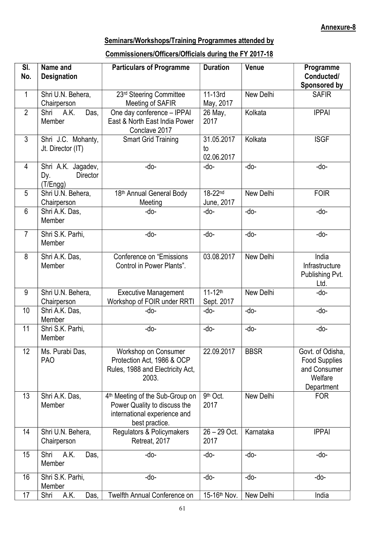### **Seminars/Workshops/Training Programmes attended by**

### **Commissioners/Officers/Officials during the FY 2017-18**

| SI.<br>No.      | Name and<br><b>Designation</b>                    | <b>Particulars of Programme</b>                                                                                               | <b>Duration</b>                       | Venue       | Programme<br>Conducted/<br>Sponsored by                                           |
|-----------------|---------------------------------------------------|-------------------------------------------------------------------------------------------------------------------------------|---------------------------------------|-------------|-----------------------------------------------------------------------------------|
| $\mathbf{1}$    | Shri U.N. Behera,<br>Chairperson                  | 23rd Steering Committee<br>Meeting of SAFIR                                                                                   | $11-13rd$<br>May, 2017                | New Delhi   | <b>SAFIR</b>                                                                      |
| $\overline{2}$  | Shri A.K.<br>Das,<br>Member                       | One day conference - IPPAI<br>East & North East India Power<br>Conclave 2017                                                  | 26 May,<br>2017                       | Kolkata     | <b>IPPAI</b>                                                                      |
| $\mathfrak{Z}$  | Shri J.C. Mohanty,<br>Jt. Director (IT)           | <b>Smart Grid Training</b>                                                                                                    | 31.05.2017<br>to<br>02.06.2017        | Kolkata     | <b>ISGF</b>                                                                       |
| $\overline{4}$  | Shri A.K. Jagadev,<br>Director<br>Dy.<br>(T/Engg) | -do-                                                                                                                          | -do-                                  | -do-        | -do-                                                                              |
| 5               | Shri U.N. Behera,<br>Chairperson                  | 18th Annual General Body<br>Meeting                                                                                           | 18-22nd<br>June, 2017                 | New Delhi   | <b>FOIR</b>                                                                       |
| $6\phantom{1}6$ | Shri A.K. Das,<br>Member                          | -do-                                                                                                                          | -do-                                  | -do-        | -do-                                                                              |
| $\overline{7}$  | Shri S.K. Parhi,<br>Member                        | -do-                                                                                                                          | -do-                                  | -do-        | -do-                                                                              |
| 8               | Shri A.K. Das,<br>Member                          | Conference on "Emissions<br>Control in Power Plants".                                                                         | 03.08.2017                            | New Delhi   | India<br>Infrastructure<br>Publishing Pvt.<br>Ltd.                                |
| 9               | Shri U.N. Behera,<br>Chairperson                  | <b>Executive Management</b><br>Workshop of FOIR under RRTI                                                                    | $11 - 12$ <sup>th</sup><br>Sept. 2017 | New Delhi   | -do-                                                                              |
| 10              | Shri A.K. Das,<br>Member                          | -do-                                                                                                                          | -do-                                  | -do-        | -do-                                                                              |
| 11              | Shri S.K. Parhi,<br>Member                        | -do-                                                                                                                          | -do-                                  | -do-        | -do-                                                                              |
| $\overline{12}$ | Ms. Purabi Das,<br><b>PAO</b>                     | Workshop on Consumer<br>Protection Act, 1986 & OCP<br>Rules, 1988 and Electricity Act,<br>2003.                               | 22.09.2017                            | <b>BBSR</b> | Govt. of Odisha,<br><b>Food Supplies</b><br>and Consumer<br>Welfare<br>Department |
| 13              | Shri A.K. Das,<br>Member                          | 4 <sup>th</sup> Meeting of the Sub-Group on<br>Power Quality to discuss the<br>international experience and<br>best practice. | 9th Oct.<br>2017                      | New Delhi   | <b>FOR</b>                                                                        |
| 14              | Shri U.N. Behera,<br>Chairperson                  | Regulators & Policymakers<br>Retreat, 2017                                                                                    | $26 - 29$ Oct.<br>2017                | Karnataka   | <b>IPPAI</b>                                                                      |
| 15              | Shri<br>A.K.<br>Das,<br>Member                    | -do-                                                                                                                          | -do-                                  | -do-        | -do-                                                                              |
| 16              | Shri S.K. Parhi,<br>Member                        | -do-                                                                                                                          | -do-                                  | -do-        | -do-                                                                              |
| 17              | Shri<br>A.K.<br>Das,                              | Twelfth Annual Conference on                                                                                                  | 15-16 <sup>th</sup> Nov.              | New Delhi   | India                                                                             |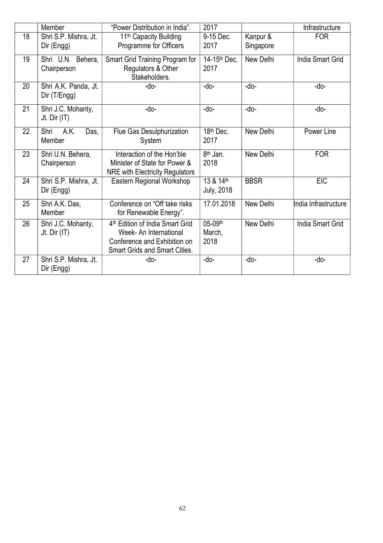|    | Member                               | "Power Distribution in India".              | 2017                              |             | Infrastructure          |
|----|--------------------------------------|---------------------------------------------|-----------------------------------|-------------|-------------------------|
| 18 | Shri S.P. Mishra, Jt.                | 11 <sup>th</sup> Capacity Building          | 9-15 Dec.                         | Kanpur &    | <b>FOR</b>              |
|    | Dir (Engg)                           | Programme for Officers                      | 2017                              | Singapore   |                         |
| 19 | Shri U.N. Behera,                    | Smart Grid Training Program for             | 14-15 <sup>th</sup> Dec.          | New Delhi   | <b>India Smart Grid</b> |
|    | Chairperson                          | Regulators & Other<br>Stakeholders.         | 2017                              |             |                         |
| 20 | Shri A.K. Panda, Jt.<br>Dir (T/Engg) | -do-                                        | -do-                              | -do-        | -do-                    |
|    |                                      |                                             |                                   |             |                         |
| 21 | Shri J.C. Mohanty,<br>Jt. Dir (IT)   | -do-                                        | -do-                              | -do-        | -do-                    |
| 22 | A.K.<br>Shri<br>Das,                 | Flue Gas Desulphurization                   | 18th Dec.                         | New Delhi   | Power Line              |
|    | Member                               | System                                      | 2017                              |             |                         |
| 23 | Shri U.N. Behera,                    | Interaction of the Hon'ble                  | $\overline{8}$ <sup>th</sup> Jan. | New Delhi   | <b>FOR</b>              |
|    | Chairperson                          | Minister of State for Power &               | 2018                              |             |                         |
| 24 |                                      | <b>NRE</b> with Electricity Regulators      | 13 & 14th                         | <b>BBSR</b> | <b>EIC</b>              |
|    | Shri S.P. Mishra, Jt.<br>Dir (Engg)  | Eastern Regional Workshop                   | <b>July, 2018</b>                 |             |                         |
| 25 | Shri A.K. Das,                       | Conference on "Off take risks               | 17.01.2018                        | New Delhi   | India Infrastructure    |
|    | Member                               | for Renewable Energy".                      |                                   |             |                         |
| 26 | Shri J.C. Mohanty,                   | 4 <sup>th</sup> Edition of India Smart Grid | 05-09th                           | New Delhi   | <b>India Smart Grid</b> |
|    | Jt. Dir (IT)                         | Week-An International                       | March,                            |             |                         |
|    |                                      | Conference and Exhibition on                | 2018                              |             |                         |
| 27 |                                      | <b>Smart Grids and Smart Cities.</b>        | -do-                              | -do-        | -do-                    |
|    | Shri S.P. Mishra, Jt.<br>Dir (Engg)  | -do-                                        |                                   |             |                         |
|    |                                      |                                             |                                   |             |                         |